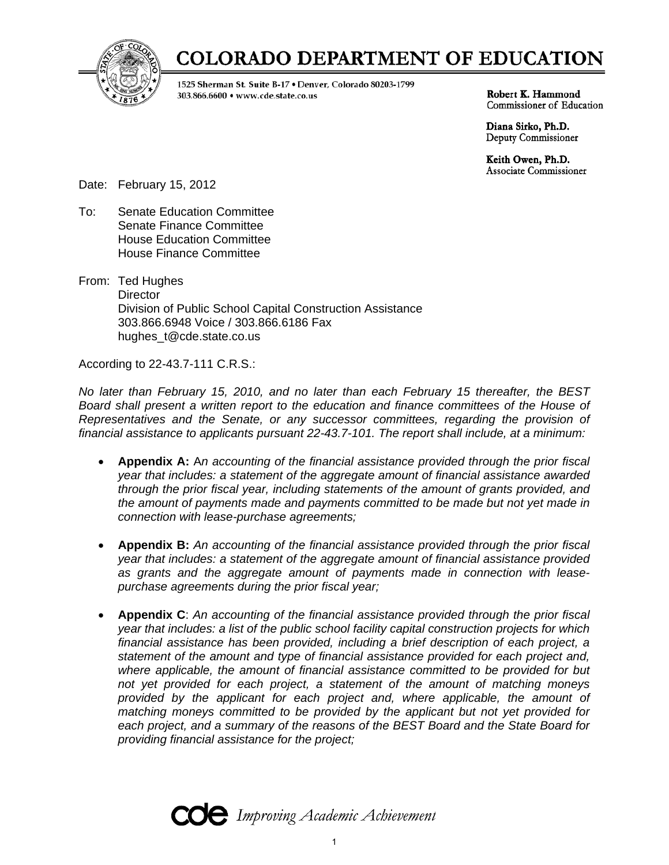

# **COLORADO DEPARTMENT OF EDUCATION**

1525 Sherman St. Suite B-17 . Denver, Colorado 80203-1799 303.866.6600 · www.cde.state.co.us

Robert K. Hammond Commissioner of Education

Diana Sirko, Ph.D. Deputy Commissioner

Keith Owen, Ph.D. **Associate Commissioner** 

Date: February 15, 2012

- To: Senate Education Committee Senate Finance Committee House Education Committee House Finance Committee
- From: Ted Hughes **Director**  Division of Public School Capital Construction Assistance 303.866.6948 Voice / 303.866.6186 Fax hughes\_t@cde.state.co.us

According to 22-43.7-111 C.R.S.:

*No later than February 15, 2010, and no later than each February 15 thereafter, the BEST*  Board shall present a written report to the education and finance committees of the House of *Representatives and the Senate, or any successor committees, regarding the provision of financial assistance to applicants pursuant 22-43.7-101. The report shall include, at a minimum:* 

- **Appendix A:** A*n accounting of the financial assistance provided through the prior fiscal year that includes: a statement of the aggregate amount of financial assistance awarded through the prior fiscal year, including statements of the amount of grants provided, and the amount of payments made and payments committed to be made but not yet made in connection with lease-purchase agreements;*
- **Appendix B:** *An accounting of the financial assistance provided through the prior fiscal year that includes: a statement of the aggregate amount of financial assistance provided as grants and the aggregate amount of payments made in connection with leasepurchase agreements during the prior fiscal year;*
- **Appendix C**: *An accounting of the financial assistance provided through the prior fiscal year that includes: a list of the public school facility capital construction projects for which financial assistance has been provided, including a brief description of each project, a statement of the amount and type of financial assistance provided for each project and, where applicable, the amount of financial assistance committed to be provided for but not yet provided for each project, a statement of the amount of matching moneys*  provided by the applicant for each project and, where applicable, the amount of *matching moneys committed to be provided by the applicant but not yet provided for each project, and a summary of the reasons of the BEST Board and the State Board for providing financial assistance for the project;*

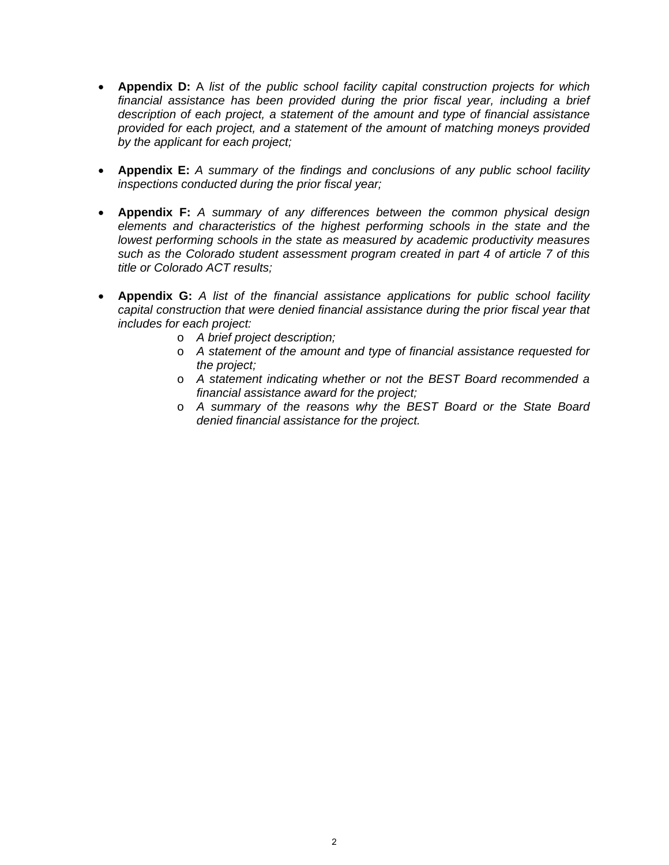- **Appendix D:** A *list of the public school facility capital construction projects for which financial assistance has been provided during the prior fiscal year, including a brief description of each project, a statement of the amount and type of financial assistance provided for each project, and a statement of the amount of matching moneys provided by the applicant for each project;*
- **Appendix E:** *A summary of the findings and conclusions of any public school facility inspections conducted during the prior fiscal year;*
- **Appendix F:** *A summary of any differences between the common physical design elements and characteristics of the highest performing schools in the state and the lowest performing schools in the state as measured by academic productivity measures such as the Colorado student assessment program created in part 4 of article 7 of this title or Colorado ACT results;*
- **Appendix G:** *A list of the financial assistance applications for public school facility capital construction that were denied financial assistance during the prior fiscal year that includes for each project:* 
	- o *A brief project description;*
	- o *A statement of the amount and type of financial assistance requested for the project;*
	- o *A statement indicating whether or not the BEST Board recommended a financial assistance award for the project;*
	- o *A summary of the reasons why the BEST Board or the State Board denied financial assistance for the project.*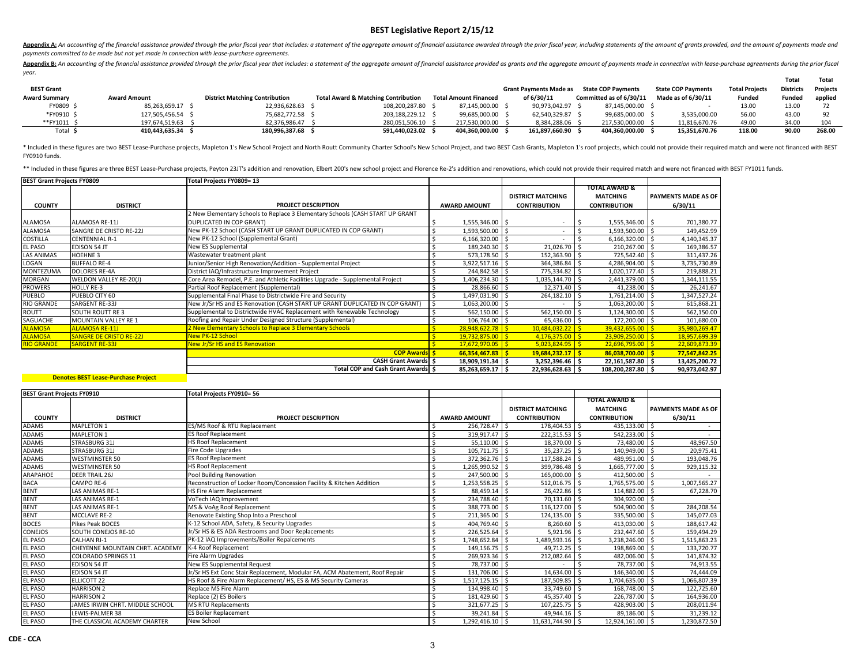Appendix A: An accounting of the financial assistance provided through the prior fiscal year that includes: a statement of the aggregate amount of financial assistance awarded through the prior fiscal year, including state *payments committed to be made but not yet made in connection with lease‐purchase agreements.*

Appendix B: An accounting of the financial assistance provided through the prior fiscal year that includes: a statement of the aggregate amount of financial assistance provided as grants and the aggregate amount of payment *year.*

|                      |                     |                                       |                                                |                              |                        |                           |                           |                       | Total            | Total    |
|----------------------|---------------------|---------------------------------------|------------------------------------------------|------------------------------|------------------------|---------------------------|---------------------------|-----------------------|------------------|----------|
| <b>BEST Grant</b>    |                     |                                       |                                                |                              | Grant Payments Made as | <b>State COP Pavments</b> | <b>State COP Pavments</b> | <b>Total Projects</b> | <b>Districts</b> | Projects |
| <b>Award Summary</b> | <b>Award Amount</b> | <b>District Matching Contribution</b> | <b>Total Award &amp; Matching Contribution</b> | <b>Total Amount Financed</b> | of 6/30/11             | Committed as of 6/30/11   | Made as of 6/30/11        | Funded                | <b>Funded</b>    | applied  |
| FY0809 \$            | 85.263.659.17 \$    | 22.936.628.63 \$                      | 108.200.287.80                                 | 87.145.000.00                | 90.973.042.97 \$       | 87.145.000.00 S           |                           | 13.00                 | 13.00            |          |
| *FY0910 \$           | 127.505.456.54 \$   | 75.682.772.58 \$                      | 203.188.229.12                                 | 99,685,000.00                | 62.540.329.87 \$       | 99.685.000.00             | 3,535,000.00              | 56.00                 | 43.00            |          |
| **FY1011 \$          | 197.674.519.63      | 82.376.986.47                         | 280.051.506.10 \$                              | 217.530.000.00               | 8.384.288.06 \$        | 217.530.000.00            | 11.816.670.76             | 49.00                 | 34.00            | 104      |
| Total :              | 410.443.635.34      | 180,996,387.68                        | 591.440.023.02                                 | 404.360.000.00               | 161.897.660.90         | 404.360.000.00            | 15.351.670.76             | 118.00                | 90.00            | 268.00   |

\* Included in these figures are two BEST Lease-Purchase projects, Mapleton 1's New School Project and North Routt Community Charter School's New School Project, and two BEST Cash Grants, Mapleton 1's roof projects, which c FY0910 funds.

\*\* Included in these figures are three BEST Lease-Purchase projects, Peyton 23JT's addition and renovation, Elbert 200's new school project and Florence Re-2's addition and renovations, which could not provide their requir

| <b>BEST Grant Projects FY0809</b> |                                | Total Projects FY0809= 13                                                      |                     |                          |                          |                            |
|-----------------------------------|--------------------------------|--------------------------------------------------------------------------------|---------------------|--------------------------|--------------------------|----------------------------|
|                                   |                                |                                                                                |                     |                          | <b>TOTAL AWARD &amp;</b> |                            |
|                                   |                                |                                                                                |                     | <b>DISTRICT MATCHING</b> | <b>MATCHING</b>          | <b>PAYMENTS MADE AS OF</b> |
| <b>COUNTY</b>                     | <b>DISTRICT</b>                | <b>PROJECT DESCRIPTION</b>                                                     | <b>AWARD AMOUNT</b> | <b>CONTRIBUTION</b>      | <b>CONTRIBUTION</b>      | 6/30/11                    |
|                                   |                                | 2 New Elementary Schools to Replace 3 Elementary Schools (CASH START UP GRANT  |                     |                          |                          |                            |
| ALAMOSA                           | ALAMOSA RE-11J                 | DUPLICATED IN COP GRANT)                                                       | 1,555,346.00 \$     |                          | $1,555,346.00$ \$        | 701,380.77                 |
| ALAMOSA                           | SANGRE DE CRISTO RE-22J        | New PK-12 School (CASH START UP GRANT DUPLICATED IN COP GRANT)                 | 1,593,500.00 \$     |                          | 1,593,500.00 \$          | 149,452.99                 |
| COSTILLA                          | <b>CENTENNIAL R-1</b>          | New PK-12 School (Supplemental Grant)                                          | 6,166,320.00 \$     |                          | 6,166,320.00 \$          | 4,140,345.37               |
| <b>EL PASO</b>                    | <b>EDISON 54 JT</b>            | New ES Supplemental                                                            | 189,240.30 \$       | 21,026.70 \$             | 210,267.00 \$            | 169,386.57                 |
| <b>LAS ANIMAS</b>                 | HOEHNE 3                       | Wastewater treatment plant                                                     | 573,178.50 \$       | 152,363.90 \$            | 725,542.40 \$            | 311,437.26                 |
| LOGAN                             | <b>BUFFALO RE-4</b>            | Junior/Senior High Renovation/Addition - Supplemental Project                  | 3,922,517.16 \$     | 364,386.84 \$            | 4,286,904.00 \$          | 3,735,730.89               |
| MONTEZUMA                         | <b>DOLORES RE-4A</b>           | District IAQ/Infrastructure Improvement Project                                | 244,842.58 \$       | 775,334.82 \$            | 1,020,177.40 \$          | 219,888.21                 |
| MORGAN                            | WELDON VALLEY RE-20(J)         | Core Area Remodel, P.E. and Athletic Facilities Upgrade - Supplemental Project | 1,406,234.30 \$     | 1,035,144.70 \$          | 2,441,379.00 \$          | 1,344,111.55               |
| <b>PROWERS</b>                    | <b>HOLLY RE-3</b>              | Partial Roof Replacement (Supplemental)                                        | 28,866.60 \$        | 12,371.40 \$             | 41,238.00 \$             | 26,241.67                  |
| <b>PUEBLO</b>                     | PUEBLO CITY 60                 | Supplemental Final Phase to Districtwide Fire and Security                     | 1,497,031.90 \$     | 264,182.10 \$            | 1,761,214.00 \$          | 1,347,527.24               |
| <b>RIO GRANDE</b>                 | SARGENT RE-33J                 | New Jr/Sr HS and ES Renovation (CASH START UP GRANT DUPLICATED IN COP GRANT)   | 1,063,200.00 \$     |                          | 1,063,200.00 \$          | 615,868.21                 |
| ROUTT                             | <b>SOUTH ROUTT RE3</b>         | Supplemental to Districtwide HVAC Replacement with Renewable Technology        | 562,150.00 \$       | 562,150.00 \$            | 1,124,300.00 \$          | 562,150.00                 |
| SAGUACHE                          | MOUNTAIN VALLEY RE 1           | Roofing and Repair Under Designed Structure (Supplemental)                     | 106,764.00 \$       | 65,436.00 \$             | 172,200.00 \$            | 101,680.00                 |
| <b>ALAMOSA</b>                    | <b>ALAMOSA RE-11J</b>          | 2 New Elementary Schools to Replace 3 Elementary Schools                       | $28,948,622.78$ \$  | $10,484,032.22$ \$       | $39,432,655.00$ \$       | 35,980,269.47              |
| <b>ALAMOSA</b>                    | <b>SANGRE DE CRISTO RE-22J</b> | <b>New PK-12 School</b>                                                        | $19,732,875.00$ \$  | $4,176,375.00$ \$        | $23,909,250.00$ \$       | 18,957,699.39              |
| <b>RIO GRANDE</b>                 | <b>SARGENT RE-33J</b>          | New Jr/Sr HS and ES Renovation                                                 | $17,672,970.05$ \$  | $5,023,824.95$ \$        | $22,696,795.00$ \$       | 22,609,873.39              |
|                                   |                                | <b>COP Awards   \$</b>                                                         | 66,354,467.83       | $19,684,232.17$ \$       | $86,038,700.00$ \$       | 77,547,842.25              |
|                                   |                                | <b>CASH Grant Awards S</b>                                                     | 18,909,191.34 \$    | 3,252,396.46 \$          | 22,161,587.80 \$         | 13,425,200.72              |
|                                   |                                | Total COP and Cash Grant Awards \$                                             | 85,263,659.17 \$    | $22,936,628.63$ \$       | 108,200,287.80 \$        | 90,973,042.97              |

| <b>BEST Grant Projects FY0910</b> |                                 | Total Projects FY0910= 56                                                   |                     |                          |                          |                            |
|-----------------------------------|---------------------------------|-----------------------------------------------------------------------------|---------------------|--------------------------|--------------------------|----------------------------|
|                                   |                                 |                                                                             |                     |                          | <b>TOTAL AWARD &amp;</b> |                            |
|                                   |                                 |                                                                             |                     | <b>DISTRICT MATCHING</b> | <b>MATCHING</b>          | <b>PAYMENTS MADE AS OF</b> |
| <b>COUNTY</b>                     | <b>DISTRICT</b>                 | <b>PROJECT DESCRIPTION</b>                                                  | <b>AWARD AMOUNT</b> | <b>CONTRIBUTION</b>      | <b>CONTRIBUTION</b>      | 6/30/11                    |
| ADAMS                             | <b>MAPLETON 1</b>               | ES/MS Roof & RTU Replacement                                                | 256,728.47 \$       | 178,404.53 \$            | 435,133.00 \$            |                            |
| ADAMS                             | <b>MAPLETON 1</b>               | <b>ES Roof Replacement</b>                                                  | 319,917.47 \$       | 222,315.53 \$            | 542,233.00 \$            |                            |
| ADAMS                             | STRASBURG 31J                   | <b>HS Roof Replacement</b>                                                  | $55,110.00$ \$      | 18,370.00 \$             | 73,480.00 \$             | 48,967.50                  |
| ADAMS                             | STRASBURG 31J                   | Fire Code Upgrades                                                          | 105,711.75 \$       | 35,237.25                | 140,949.00 \$<br>S,      | 20,975.41                  |
| <b>ADAMS</b>                      | <b>WESTMINSTER 50</b>           | <b>ES Roof Replacement</b>                                                  | 372,362.76 \$       | 117,588.24 \$            | 489,951.00 \$            | 193,048.76                 |
| ADAMS                             | <b>WESTMINSTER 50</b>           | <b>HS Roof Replacement</b>                                                  | 1,265,990.52 \$     | 399,786.48 \$            | 1,665,777.00 \$          | 929,115.32                 |
| ARAPAHOE                          | <b>DEER TRAIL 26J</b>           | Pool Building Renovation                                                    | 247,500.00 \$       | 165,000.00 \$            | 412,500.00 \$            |                            |
| <b>BACA</b>                       | CAMPO RE-6                      | Reconstruction of Locker Room/Concession Facility & Kitchen Addition        | 1,253,558.25        | $512,016.75$ \$          | 1,765,575.00 \$          | 1,007,565.27               |
| <b>BENT</b>                       | LAS ANIMAS RE-1                 | HS Fire Alarm Replacement                                                   | 88.459.14           | 26,422.86                | 114,882.00 \$            | 67,228.70                  |
| <b>BENT</b>                       | LAS ANIMAS RE-1                 | VoTech IAQ Improvement                                                      | 234,788.40          | 70,131.60                | 304.920.00 \$            |                            |
| <b>BENT</b>                       | LAS ANIMAS RE-1                 | MS & VoAg Roof Replacement                                                  | 388,773.00          | 116,127.00               | 504,900.00 \$            | 284,208.54                 |
| <b>BENT</b>                       | <b>MCCLAVE RE-2</b>             | Renovate Existing Shop Into a Preschool                                     | 211,365.00          | 124,135.00               | 335,500.00 \$            | 145,077.03                 |
| <b>BOCES</b>                      | <b>Pikes Peak BOCES</b>         | K-12 School ADA, Safety, & Security Upgrades                                | 404,769.40          | 8,260.60                 | 413,030.00 \$            | 188,617.42                 |
| CONEJOS                           | <b>SOUTH CONEJOS RE-10</b>      | Jr/Sr HS & ES ADA Restrooms and Door Replacements                           | 226,525.64 \$       | $5,921.96$ \$            | 232,447.60 \$            | 159,494.29                 |
| <b>EL PASO</b>                    | <b>CALHAN RJ-1</b>              | PK-12 IAQ Improvements/Boiler Repalcements                                  | 1,748,652.84        | 1,489,593.16 \$          | 3,238,246.00 \$          | 1,515,863.23               |
| <b>EL PASO</b>                    | CHEYENNE MOUNTAIN CHRT. ACADEMY | K-4 Roof Replacement                                                        | 149.156.75   \$     | 49,712.25                | 198,869.00 \$<br>S,      | 133,720.77                 |
| <b>EL PASO</b>                    | <b>COLORADO SPRINGS 11</b>      | Fire Alarm Upgrades                                                         | 269,923.36 \$       | 212,082.64 \$            | 482,006.00 \$            | 141,874.32                 |
| <b>EL PASO</b>                    | <b>EDISON 54 JT</b>             | New ES Supplemental Request                                                 | 78,737.00 \$        |                          | 78,737.00 \$             | 74,913.55                  |
| <b>EL PASO</b>                    | <b>EDISON 54 JT</b>             | Jr/Sr HS Ext Conc Stair Replacement, Modular FA, ACM Abatement, Roof Repair | 131,706.00          | 14,634.00                | 146,340.00 \$            | 74,444.09                  |
| EL PASO                           | <b>ELLICOTT 22</b>              | HS Roof & Fire Alarm Replacement/ HS, ES & MS Security Cameras              | $1,517,125.15$ \$   | 187,509.85 \$            | 1,704,635.00 \$          | 1,066,807.39               |
| <b>EL PASO</b>                    | <b>HARRISON 2</b>               | Replace MS Fire Alarm                                                       | 134,998.40          | 33,749.60                | 168,748.00 \$            | 122,725.60                 |
| <b>EL PASO</b>                    | <b>HARRISON 2</b>               | Replace (2) ES Boilers                                                      | 181,429.60          | 45,357.40                | 226,787.00 \$            | 164,936.00                 |
| <b>EL PASO</b>                    | JAMES IRWIN CHRT. MIDDLE SCHOOL | <b>MS RTU Replacements</b>                                                  | 321,677.25          | 107,225.75               | 428,903.00 \$            | 208,011.94                 |
| <b>EL PASO</b>                    | LEWIS-PALMER 38                 | <b>ES Boiler Replacement</b>                                                | 39,241.84 \$        | 49,944.16 \$             | 89,186.00 \$             | 31,239.12                  |
| <b>EL PASO</b>                    | THE CLASSICAL ACADEMY CHARTER   | New School                                                                  | 1,292,416.10 \$     | 11,631,744.90 \$         | 12,924,161.00 \$         | 1,230,872.50               |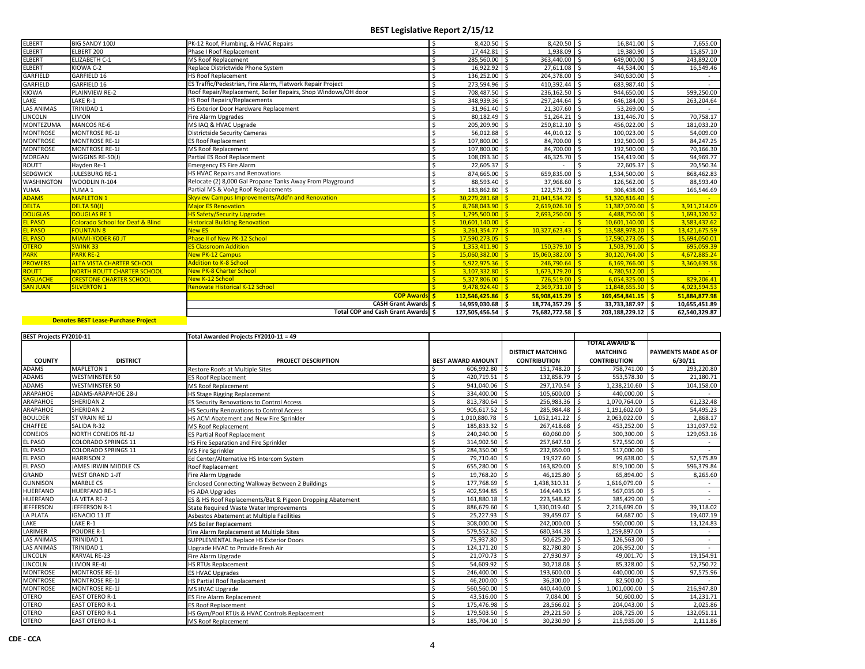| <b>ELBERT</b>     | <b>BIG SANDY 100J</b>                       | PK-12 Roof, Plumbing, & HVAC Repairs                          | $8.420.50$ \$      | 8,420.50 \$                 | 16,841.00 \$                       | 7,655.00      |
|-------------------|---------------------------------------------|---------------------------------------------------------------|--------------------|-----------------------------|------------------------------------|---------------|
| <b>ELBERT</b>     | ELBERT 200                                  | <b>Phase I Roof Replacement</b>                               | 17.442.81          | 1,938.09 \$                 | 19,380.90 \$                       | 15,857.10     |
| <b>ELBERT</b>     | <b>ELIZABETH C-1</b>                        | <b>MS Roof Replacement</b>                                    | 285,560.00         | 363,440.00 \$<br>-Ś         | 649,000.00 \$                      | 243,892.00    |
| <b>ELBERT</b>     | KIOWA C-2                                   | Replace Districtwide Phone System                             | 16,922.92          | 27,611.08 \$<br>l \$        | 44,534.00 \$                       | 16,549.46     |
| GARFIELD          | GARFIELD 16                                 | <b>HS Roof Replacement</b>                                    | 136,252.00         | 204,378.00 \$               | 340,630.00 \$                      |               |
| GARFIELD          | GARFIELD 16                                 | ES Traffic/Pedestrian, Fire Alarm, Flatwork Repair Project    | 273,594.96         | 410,392.44 \$               | 683,987.40 \$                      |               |
| <b>KIOWA</b>      | <b>PLAINVIEW RE-2</b>                       | Roof Repair/Replacement, Boiler Repairs, Shop Windows/OH door | 708,487.50         | 236,162.50 \$               | 944,650.00 \$                      | 599,250.00    |
| LAKE              | LAKE R-1                                    | <b>HS Roof Repairs/Replacements</b>                           | 348,939.36         | 297,244.64 \$<br>l S        | 646,184.00 \$                      | 263,204.64    |
| <b>LAS ANIMAS</b> | TRINIDAD 1                                  | HS Exterior Door Hardware Replacement                         | 31,961.40          | 21,307.60 \$                | 53,269.00 \$                       |               |
| LINCOLN           | <b>LIMON</b>                                | Fire Alarm Upgrades                                           | 80,182.49          | $51,264.21$ \$              | 131,446.70 \$                      | 70,758.17     |
| <b>MONTEZUMA</b>  | MANCOS RE-6                                 | MS IAQ & HVAC Upgrade                                         | 205,209.90         | 250,812.10 \$               | 456,022.00 \$                      | 181,033.20    |
| <b>MONTROSE</b>   | <b>MONTROSE RE-1J</b>                       | <b>Districtside Security Cameras</b>                          | 56,012.88          | 44,010.12 \$                | 100,023.00 \$                      | 54,009.00     |
| <b>MONTROSE</b>   | <b>MONTROSE RE-1J</b>                       | <b>ES Roof Replacement</b>                                    | 107,800.00         | 84,700.00 \$                | 192,500.00 \$                      | 84,247.25     |
| <b>MONTROSE</b>   | <b>MONTROSE RE-1J</b>                       | <b>MS Roof Replacement</b>                                    | 107,800.00         | 84,700.00 \$                | 192,500.00 \$                      | 70,166.30     |
| <b>MORGAN</b>     | WIGGINS RE-50(J)                            | Partial ES Roof Replacement                                   | 108,093.30         | 46,325.70                   | 154,419.00 \$                      | 94,969.77     |
| ROUTT             | Hayden Re-1                                 | <b>Emergency ES Fire Alarm</b>                                | 22,605.37          |                             | 22,605.37 \$                       | 20,550.34     |
| SEDGWICK          | <b>JULESBURG RE-1</b>                       | HS HVAC Repairs and Renovations                               | 874,665.00         | 659,835.00 \$               | 1,534,500.00 \$                    | 868,462.83    |
| <b>WASHINGTON</b> | WOODLIN R-104                               | Relocate (2) 8,000 Gal Propane Tanks Away From Playground     | 88,593.40          | 37,968.60 \$                | 126,562.00 \$                      | 88,593.40     |
| YUMA              | YUMA <sub>1</sub>                           | Partial MS & VoAg Roof Replacements                           | 183,862.80         | 122,575.20 \$<br>۱s         | 306,438.00 \$                      | 166,546.69    |
| <b>ADAMS</b>      | <b>MAPLETON 1</b>                           | Skyview Campus Improvements/Add'n and Renovation              | $30.279.281.68$ S  | $21,041,534.72$ \$          | $51,320,816.40$ \$                 |               |
| <b>DELTA</b>      | DELTA 50(J)                                 | <b>Major ES Renovation</b>                                    | 8,768,043.90       | $2,619,026.10$ \$<br>$\sim$ | $11,387,070.00$ \$                 | 3,911,214.09  |
| <b>DOUGLAS</b>    | <b>DOUGLAS RE 1</b>                         | <b>HS Safety/Security Upgrades</b>                            | 1,795,500.00       | $2,693,250.00$ \$<br>l \$   | $4,488,750.00$ \$                  | 1,693,120.52  |
| <b>EL PASO</b>    | <b>Colorado School for Deaf &amp; Blind</b> | <b>Historical Building Renovation</b>                         | $10.601.140.00$ S  |                             | $10.601.140.00$ S<br>l sl          | 3.583.432.62  |
| <b>EL PASO</b>    | <b>FOUNTAIN 8</b>                           | <b>New ES</b>                                                 | $3,261,354.77$ \$  | $10,327,623.43$ \$          | $13,588,978.20$ \$                 | 13,421,675.59 |
| <b>EL PASO</b>    | MIAMI-YODER 60 JT                           | Phase II of New PK-12 School                                  | 17,590,273.05      | l \$                        | $\mathsf{s}$<br>$17,590,273.05$ \$ | 15,694,050.01 |
| <b>OTERO</b>      | <b>SWINK33</b>                              | <b>ES Classroom Addition</b>                                  | $1,353,411.90$ \$  | $150,379.10$ \$             | $1,503,791.00$ \$                  | 695,059.39    |
| <b>PARK</b>       | <b>PARK RE-2</b>                            | <b>New PK-12 Campus</b>                                       | 15.060.382.00      | $15,060,382.00$ \$<br>L\$.  | $30.120.764.00$ S                  | 4,672,885.24  |
| <b>PROWERS</b>    | <b>ALTA VISTA CHARTER SCHOOL</b>            | <b>Addition to K-8 School</b>                                 | 5.922.975.36       | $246,790.64$ \$<br>l <      | $6.169.766.00$ S                   | 3,360,639.58  |
| <b>ROUTT</b>      | <b>NORTH ROUTT CHARTER SCHOOL</b>           | <b>New PK-8 Charter School</b>                                | 3.107.332.80       | $1.673.179.20$ S            | $4,780,512.00$ \$                  |               |
| <b>SAGUACHE</b>   | <b>CRESTONE CHARTER SCHOOL</b>              | <b>New K-12 School</b>                                        | $5,327,806.00$ \$  | $726,519.00$ \$             | $6,054,325.00$ \$                  | 829,206.41    |
| <b>SAN JUAN</b>   | <b>SILVERTON 1</b>                          | <b>Renovate Historical K-12 School</b>                        | $9,478,924.40$ \$  | $2,369,731.10$ \$           | $11,848,655.50$ \$                 | 4,023,594.53  |
|                   |                                             | <b>COP Awards S</b>                                           | $112.546.425.86$ S | $56,908,415.29$ \$          | $169,454,841.15$ \$                | 51.884.877.98 |
|                   |                                             | <b>CASH Grant Awards S</b>                                    | 14,959,030.68 \$   | 18,774,357.29 \$            | 33,733,387.97 \$                   | 10,655,451.89 |
|                   |                                             | Total COP and Cash Grant Awards S                             | 127,505,456.54     | 75,682,772.58 \$<br>l s     | 203,188,229.12 \$                  | 62,540,329.87 |

| <b>BEST Projects FY2010-11</b> |                            | Total Awarded Projects FY2010-11 = 49                     |                          |                          |                             |                             |
|--------------------------------|----------------------------|-----------------------------------------------------------|--------------------------|--------------------------|-----------------------------|-----------------------------|
|                                |                            |                                                           |                          |                          | <b>TOTAL AWARD &amp;</b>    |                             |
|                                |                            |                                                           |                          | <b>DISTRICT MATCHING</b> | <b>MATCHING</b>             | <b>PAYMENTS MADE AS OF</b>  |
| <b>COUNTY</b>                  | <b>DISTRICT</b>            | <b>PROJECT DESCRIPTION</b>                                | <b>BEST AWARD AMOUNT</b> | <b>CONTRIBUTION</b>      | <b>CONTRIBUTION</b>         | 6/30/11                     |
| ADAMS                          | MAPLETON 1                 | <b>Restore Roofs at Multiple Sites</b>                    | 606,992.80 \$            | 151,748.20               | Ŝ.<br>758,741.00            | 293,220.80<br>Ŝ.            |
| ADAMS                          | <b>WESTMINSTER 50</b>      | <b>ES Roof Replacement</b>                                | $420,719.51$ \$          | 132.858.79               | 553,578.30 \$<br>Ŝ.         | 21,180.71                   |
| <b>ADAMS</b>                   | <b>WESTMINSTER 50</b>      | <b>MS Roof Replacement</b>                                | 941,040.06               | 297,170.54               | 1,238,210.60                | \$<br>104,158.00            |
| <b>ARAPAHOE</b>                | ADAMS-ARAPAHOE 28-J        | <b>HS Stage Rigging Replacement</b>                       | 334,400.00 \$            | 105,600.00               | 440,000.00<br>l \$          | -Ś                          |
| ARAPAHOE                       | SHERIDAN 2                 | <b>ES Security Renovations to Control Access</b>          | 813,780.64 \$            | 256,983.36               | 1,070,764.00<br>.S          | 61,232.48<br>-Ś             |
| ARAPAHOE                       | SHERIDAN 2                 | HS Security Renovations to Control Access                 | 905,617.52 \$            | 285,984.48               | 1,191,602.00                | 54,495.23                   |
| <b>BOULDER</b>                 | ST VRAIN RE 1J             | HS ACM Abatement and New Fire Sprinkler                   | 1.010.880.78             | 1,052,141.22             | 2,063,022.00                | 2.868.17                    |
| CHAFFEE                        | SALIDA R-32                | <b>MS Roof Replacement</b>                                | 185,833.32 \$            | 267,418.68               | 453,252.00                  | <sup>\$</sup><br>131,037.92 |
| CONEJOS                        | <b>NORTH CONEJOS RE-1J</b> | <b>ES Partial Roof Replacement</b>                        | 240.240.00 \$            | 60,060.00                | 300,300.00                  | 129,053.16                  |
| EL PASO                        | <b>COLORADO SPRINGS 11</b> | HS Fire Separation and Fire Sprinkler                     | 314,902.50 \$            | 257,647.50               | 572,550.00                  |                             |
| EL PASO                        | COLORADO SPRINGS 11        | MS Fire Sprinkler                                         | 284,350.00 \$            | 232,650.00               | 517,000.00                  | $\sim$                      |
| <b>EL PASO</b>                 | <b>HARRISON 2</b>          | Ed Center/Alternative HS Intercom System                  | 79,710.40                | 19,927.60                | 99,638.00 \$                | 52,575.89                   |
| EL PASO                        | JAMES IRWIN MIDDLE CS      | Roof Replacement                                          | 655,280.00 \$            | 163,820.00               | 819,100.00 \$               | 596,379.84                  |
| <b>GRAND</b>                   | <b>WEST GRAND 1-JT</b>     | Fire Alarm Upgrade                                        | 19,768.20 \$             | 46,125.80                | 65,894.00                   | l s<br>8,265.60             |
| <b>GUNNISON</b>                | <b>MARBLE CS</b>           | Enclosed Connecting Walkway Between 2 Buildings           | 177,768.69 \$            | 1,438,310.31             | 1,616,079.00                | I S                         |
| <b>HUERFANO</b>                | <b>HUERFANO RE-1</b>       | <b>HS ADA Upgrades</b>                                    | 402,594.85 \$            | 164,440.15               | 567,035.00<br>l S           | $\overline{15}$             |
| <b>HUERFANO</b>                | LA VETA RE-2               | ES & HS Roof Replacements/Bat & Pigeon Dropping Abatement | 161,880.18 \$<br>Ś       | 223,548.82               | 385,429.00<br>-Ś            |                             |
| <b>JEFFERSON</b>               | JEFFERSON R-1              | <b>State Required Waste Water Improvements</b>            | 886,679.60 \$<br>ς       | 1,330,019.40             | 2,216,699.00                | 39,118.02                   |
| LA PLATA                       | <b>IGNACIO 11 JT</b>       | Asbestos Abatement at Multiple Facilities                 | 25,227.93                | 39,459.07                | 64,687.00<br>$\zeta$        | Ŝ.<br>19,407.19             |
| LAKE                           | LAKE R-1                   | MS Boiler Replacement                                     | 308,000.00 \$            | 242,000.00               | 550,000.00<br><sup>\$</sup> | $\mathsf{S}$<br>13,124.83   |
| <b>LARIMER</b>                 | POUDRE R-1                 | Fire Alarm Replacement at Multiple Sites                  | 579,552.62 \$            | 680,344.38               | 1,259,897.00 \$<br>-Ś       |                             |
| <b>LAS ANIMAS</b>              | <b>TRINIDAD 1</b>          | <b>SUPPLEMENTAL Replace HS Exterior Doors</b>             | 75,937.80                | 50,625.20                | -Ś<br>126,563.00            | l s                         |
| <b>LAS ANIMAS</b>              | TRINIDAD 1                 | Upgrade HVAC to Provide Fresh Air                         | 124,171.20 \$            | 82,780.80                | 206,952.00                  | -Ś                          |
| LINCOLN                        | <b>KARVAL RE-23</b>        | Fire Alarm Upgrade                                        | 21,070.73 \$             | 27,930.97                | 49,001.70 \$<br>l \$        | 19,154.91                   |
| LINCOLN                        | <b>LIMON RE-4J</b>         | <b>HS RTUs Replacement</b>                                | 54,609.92 \$             | 30,718.08                | 85,328.00                   | ΙŚ.<br>52,750.72            |
| <b>MONTROSE</b>                | <b>MONTROSE RE-1J</b>      | <b>ES HVAC Upgrades</b>                                   | 246,400.00 \$            | 193,600.00               | 440,000.00                  | 97,575.96                   |
| <b>MONTROSE</b>                | <b>MONTROSE RE-1J</b>      | <b>HS Partial Roof Replacement</b>                        | 46,200.00                | 36,300.00                | 82,500.00 \$                |                             |
| <b>MONTROSE</b>                | <b>MONTROSE RE-1J</b>      | MS HVAC Upgrade                                           | 560,560.00 \$            | 440,440.00               | 1,001,000.00                | 216,947.80                  |
| <b>OTERO</b>                   | <b>EAST OTERO R-1</b>      | <b>ES Fire Alarm Replacement</b>                          | 43,516.00 \$             | 7,084.00                 | 50,600.00 \$                | 14,231.71                   |
| <b>OTERO</b>                   | <b>EAST OTERO R-1</b>      | <b>ES Roof Replacement</b>                                | 175,476.98 \$            | 28,566.02                | 204,043.00                  | 2,025.86<br>$\vert$ s       |
| <b>OTERO</b>                   | <b>EAST OTERO R-1</b>      | HS Gym/Pool RTUs & HVAC Controls Replacement              | 179,503.50 \$            | 29,221.50                | 208,725.00                  | 132,051.11                  |
| <b>OTERO</b>                   | <b>EAST OTERO R-1</b>      | <b>MS Roof Replacement</b>                                | 185,704.10 \$            | 30,230.90                | 215,935.00 \$<br>-Ś         | 2,111.86                    |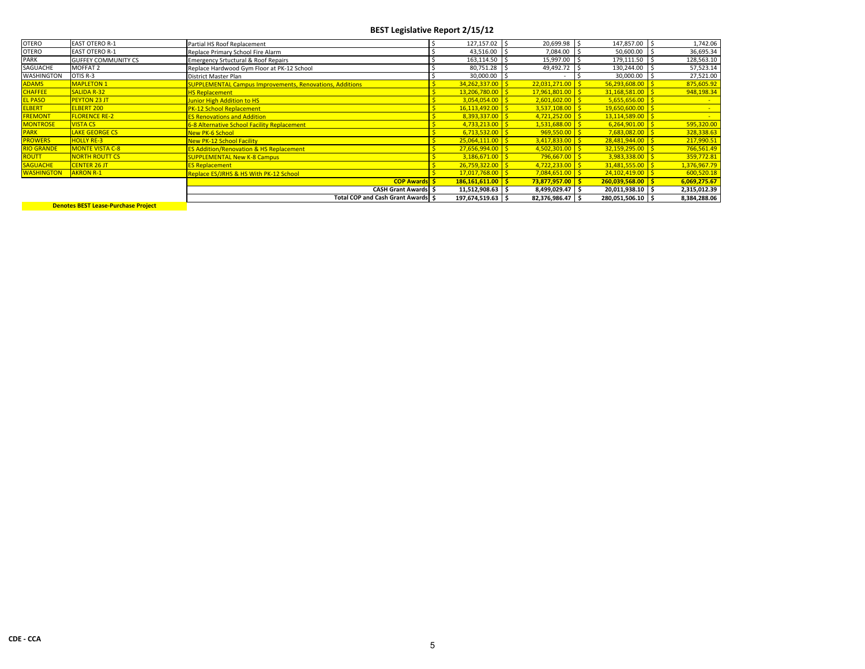| <b>OTERO</b>      | <b>EAST OTERO R-1</b>      | Partial HS Roof Replacement                                     | 127,157.02         | 20,699.98 \$       | 147,857.00 \$      | 1,742.06     |
|-------------------|----------------------------|-----------------------------------------------------------------|--------------------|--------------------|--------------------|--------------|
| <b>OTERO</b>      | <b>EAST OTERO R-1</b>      | Replace Primary School Fire Alarm                               | 43,516.00          | 7,084.00           | 50,600.00          | 36,695.34    |
| <b>PARK</b>       | <b>GUFFEY COMMUNITY CS</b> | <b>Emergency Srtuctural &amp; Roof Repairs</b>                  | 163,114.50         | 15,997.00          | 179,111.50         | 128,563.10   |
| SAGUACHE          | MOFFAT 2                   | Replace Hardwood Gym Floor at PK-12 School                      | 80,751.28          | 49,492.72          | 130,244.00         | 57,523.14    |
| WASHINGTON        | OTIS R-3                   | District Master Plan                                            | 30,000.00          |                    | 30,000.00          | 27,521.00    |
| <b>ADAMS</b>      | <b>MAPLETON 1</b>          | <b>SUPPLEMENTAL Campus Improvements, Renovations, Additions</b> | 34,262,337.00      | $22,031,271.00$ \$ | 56,293,608.00      | 875,605.92   |
| <b>CHAFFEE</b>    | <b>SALIDA R-32</b>         | <b>HS Replacement</b>                                           | 13.206.780.00      | 17,961,801.00 \$   | 31,168,581.00      | 948,198.34   |
| <b>EL PASO</b>    | <b>PEYTON 23 JT</b>        | <b>Junior High Addition to HS</b>                               | 3,054,054.00       | $2,601,602.00$ \$  | 5,655,656.00       |              |
| <b>ELBERT</b>     | <b>ELBERT 200</b>          | <b>PK-12 School Replacement</b>                                 | 16,113,492.00      | $3,537,108.00$ \$  | 19,650,600.00      |              |
| <b>FREMONT</b>    | <b>FLORENCE RE-2</b>       | <b>ES Renovations and Addition</b>                              | 8,393,337.00       | $4,721,252.00$ \$  | 13,114,589.00      |              |
| <b>MONTROSE</b>   | <b>VISTA CS</b>            | 6-8 Alternative School Facility Replacement                     | 4,733,213.00       | $1,531,688.00$ \$  | 6,264,901.00       | 595,320.00   |
| <b>PARK</b>       | <b>LAKE GEORGE CS</b>      | <b>New PK-6 School</b>                                          | 6,713,532.00       | $969,550.00$ \$    | 7,683,082.00       | 328,338.63   |
| <b>PROWERS</b>    | <b>HOLLY RE-3</b>          | <b>New PK-12 School Facility</b>                                | 25,064,111.00      | $3,417,833.00$ \$  | 28,481,944.00      | 217,990.51   |
| <b>RIO GRANDE</b> | <b>MONTE VISTA C-8</b>     | <b>ES Addition/Renovation &amp; HS Replacement</b>              | $27.656.994.00$ S  | $4,502,301.00$ \$  | 32.159.295.00      | 766,561.49   |
| <b>ROUTT</b>      | <b>NORTH ROUTT CS</b>      | <b>SUPPLEMENTAL New K-8 Campus</b>                              | $3,186,671.00$ \$  | $796,667.00$ \$    | 3,983,338.00       | 359,772.81   |
| <b>SAGUACHE</b>   | <b>CENTER 26 JT</b>        | <b>ES Replacement</b>                                           | 26,759,322.00      | $4,722,233.00$ \$  | 31,481,555.00      | 1,376,967.79 |
| <b>WASHINGTON</b> | <b>AKRON R-1</b>           | Replace ES/JRHS & HS With PK-12 School                          | $17,017,768.00$ \$ | $7,084,651.00$ \$  | 24,102,419.00      | 600,520.18   |
|                   |                            | <b>COP Awards S</b>                                             | 186,161,611.00     | $73,877,957.00$ \$ | $260.039.568.00$ S | 6,069,275.67 |
|                   |                            | <b>CASH Grant Awards S</b>                                      | 11,512,908.63 \$   | 8,499,029.47 \$    | 20,011,938.10 \$   | 2,315,012.39 |
|                   |                            | Total COP and Cash Grant Awards   \$                            | 197,674,519.63 \$  | 82,376,986.47 \$   | 280,051,506.10 \$  | 8,384,288.06 |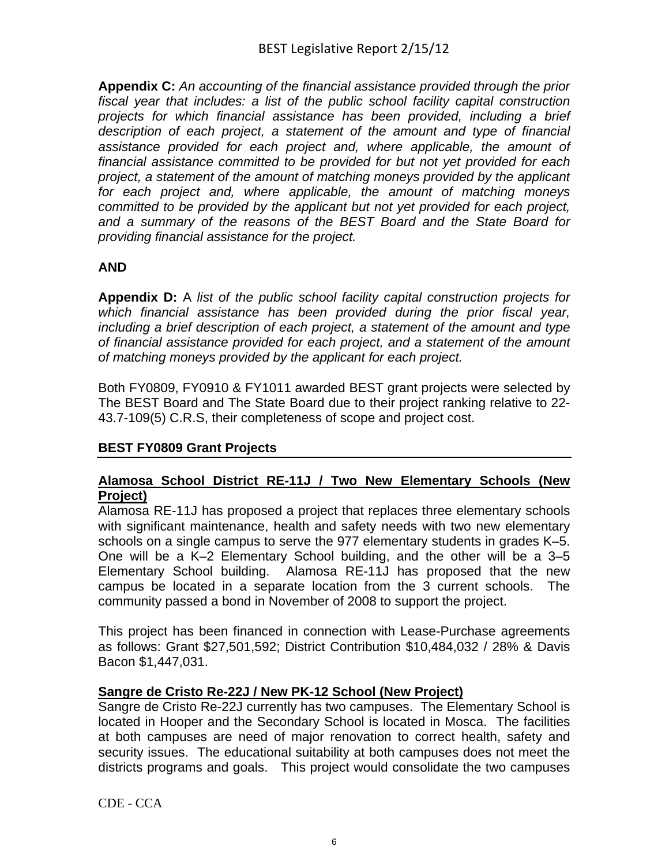**Appendix C:** *An accounting of the financial assistance provided through the prior fiscal year that includes: a list of the public school facility capital construction projects for which financial assistance has been provided, including a brief description of each project, a statement of the amount and type of financial assistance provided for each project and, where applicable, the amount of financial assistance committed to be provided for but not yet provided for each project, a statement of the amount of matching moneys provided by the applicant for each project and, where applicable, the amount of matching moneys committed to be provided by the applicant but not yet provided for each project, and a summary of the reasons of the BEST Board and the State Board for providing financial assistance for the project.*

## **AND**

**Appendix D:** A *list of the public school facility capital construction projects for which financial assistance has been provided during the prior fiscal year, including a brief description of each project, a statement of the amount and type of financial assistance provided for each project, and a statement of the amount of matching moneys provided by the applicant for each project.*

Both FY0809, FY0910 & FY1011 awarded BEST grant projects were selected by The BEST Board and The State Board due to their project ranking relative to 22- 43.7-109(5) C.R.S, their completeness of scope and project cost.

## **BEST FY0809 Grant Projects**

#### **Alamosa School District RE-11J / Two New Elementary Schools (New Project)**

Alamosa RE-11J has proposed a project that replaces three elementary schools with significant maintenance, health and safety needs with two new elementary schools on a single campus to serve the 977 elementary students in grades K–5. One will be a K–2 Elementary School building, and the other will be a 3–5 Elementary School building. Alamosa RE-11J has proposed that the new campus be located in a separate location from the 3 current schools. The community passed a bond in November of 2008 to support the project.

This project has been financed in connection with Lease-Purchase agreements as follows: Grant \$27,501,592; District Contribution \$10,484,032 / 28% & Davis Bacon \$1,447,031.

#### **Sangre de Cristo Re-22J / New PK-12 School (New Project)**

Sangre de Cristo Re-22J currently has two campuses. The Elementary School is located in Hooper and the Secondary School is located in Mosca. The facilities at both campuses are need of major renovation to correct health, safety and security issues. The educational suitability at both campuses does not meet the districts programs and goals. This project would consolidate the two campuses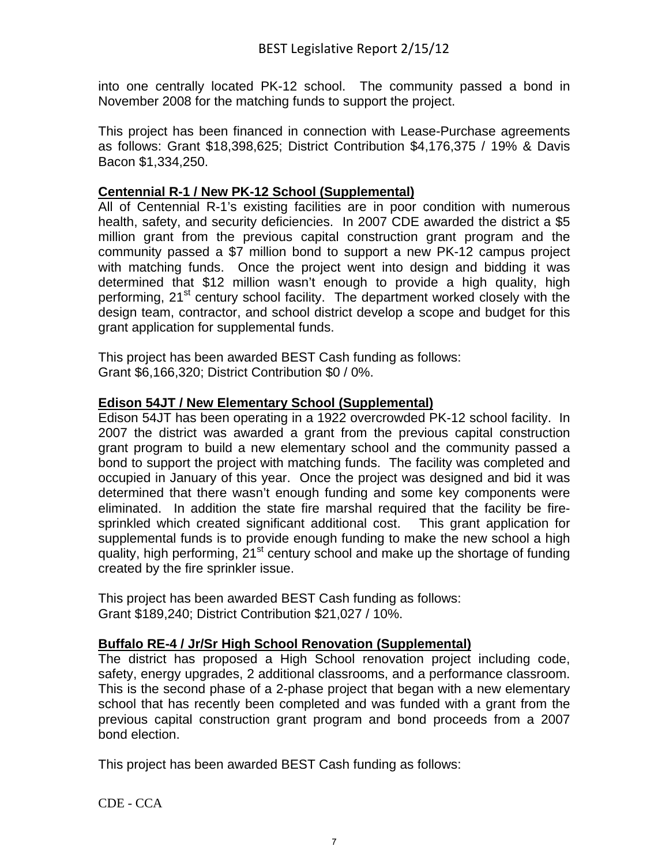into one centrally located PK-12 school. The community passed a bond in November 2008 for the matching funds to support the project.

This project has been financed in connection with Lease-Purchase agreements as follows: Grant \$18,398,625; District Contribution \$4,176,375 / 19% & Davis Bacon \$1,334,250.

#### **Centennial R-1 / New PK-12 School (Supplemental)**

All of Centennial R-1's existing facilities are in poor condition with numerous health, safety, and security deficiencies. In 2007 CDE awarded the district a \$5 million grant from the previous capital construction grant program and the community passed a \$7 million bond to support a new PK-12 campus project with matching funds. Once the project went into design and bidding it was determined that \$12 million wasn't enough to provide a high quality, high performing, 21<sup>st</sup> century school facility. The department worked closely with the design team, contractor, and school district develop a scope and budget for this grant application for supplemental funds.

This project has been awarded BEST Cash funding as follows: Grant \$6,166,320; District Contribution \$0 / 0%.

#### **Edison 54JT / New Elementary School (Supplemental)**

Edison 54JT has been operating in a 1922 overcrowded PK-12 school facility. In 2007 the district was awarded a grant from the previous capital construction grant program to build a new elementary school and the community passed a bond to support the project with matching funds. The facility was completed and occupied in January of this year. Once the project was designed and bid it was determined that there wasn't enough funding and some key components were eliminated. In addition the state fire marshal required that the facility be firesprinkled which created significant additional cost. This grant application for supplemental funds is to provide enough funding to make the new school a high quality, high performing, 21<sup>st</sup> century school and make up the shortage of funding created by the fire sprinkler issue.

This project has been awarded BEST Cash funding as follows: Grant \$189,240; District Contribution \$21,027 / 10%.

## **Buffalo RE-4 / Jr/Sr High School Renovation (Supplemental)**

The district has proposed a High School renovation project including code, safety, energy upgrades, 2 additional classrooms, and a performance classroom. This is the second phase of a 2-phase project that began with a new elementary school that has recently been completed and was funded with a grant from the previous capital construction grant program and bond proceeds from a 2007 bond election.

This project has been awarded BEST Cash funding as follows: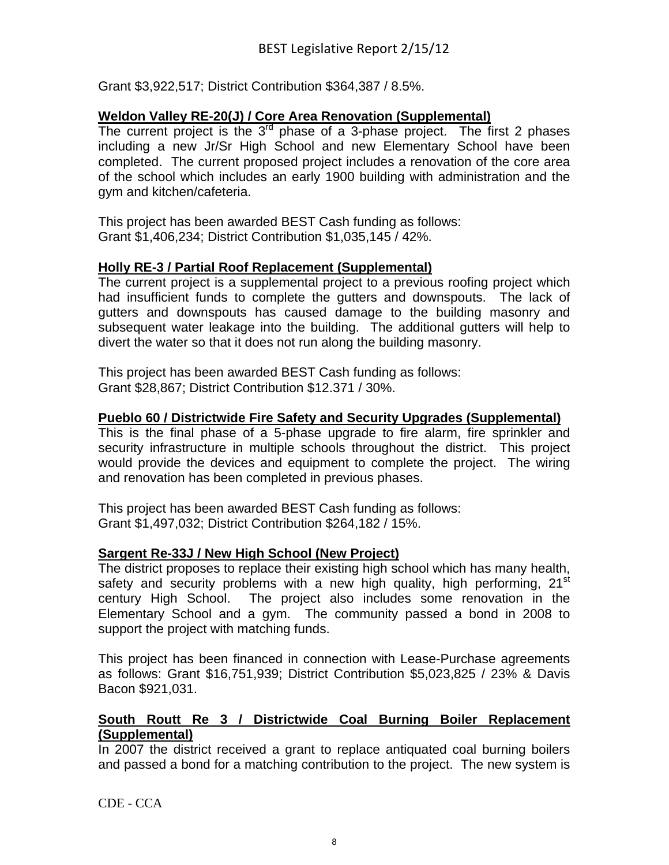Grant \$3,922,517; District Contribution \$364,387 / 8.5%.

#### **Weldon Valley RE-20(J) / Core Area Renovation (Supplemental)**

The current project is the  $3<sup>rd</sup>$  phase of a 3-phase project. The first 2 phases including a new Jr/Sr High School and new Elementary School have been completed. The current proposed project includes a renovation of the core area of the school which includes an early 1900 building with administration and the gym and kitchen/cafeteria.

This project has been awarded BEST Cash funding as follows: Grant \$1,406,234; District Contribution \$1,035,145 / 42%.

#### **Holly RE-3 / Partial Roof Replacement (Supplemental)**

The current project is a supplemental project to a previous roofing project which had insufficient funds to complete the gutters and downspouts. The lack of gutters and downspouts has caused damage to the building masonry and subsequent water leakage into the building. The additional gutters will help to divert the water so that it does not run along the building masonry.

This project has been awarded BEST Cash funding as follows: Grant \$28,867; District Contribution \$12.371 / 30%.

## **Pueblo 60 / Districtwide Fire Safety and Security Upgrades (Supplemental)**

This is the final phase of a 5-phase upgrade to fire alarm, fire sprinkler and security infrastructure in multiple schools throughout the district. This project would provide the devices and equipment to complete the project. The wiring and renovation has been completed in previous phases.

This project has been awarded BEST Cash funding as follows: Grant \$1,497,032; District Contribution \$264,182 / 15%.

#### **Sargent Re-33J / New High School (New Project)**

The district proposes to replace their existing high school which has many health, safety and security problems with a new high quality, high performing,  $21^{st}$ century High School. The project also includes some renovation in the Elementary School and a gym. The community passed a bond in 2008 to support the project with matching funds.

This project has been financed in connection with Lease-Purchase agreements as follows: Grant \$16,751,939; District Contribution \$5,023,825 / 23% & Davis Bacon \$921,031.

#### **South Routt Re 3 / Districtwide Coal Burning Boiler Replacement (Supplemental)**

In 2007 the district received a grant to replace antiquated coal burning boilers and passed a bond for a matching contribution to the project. The new system is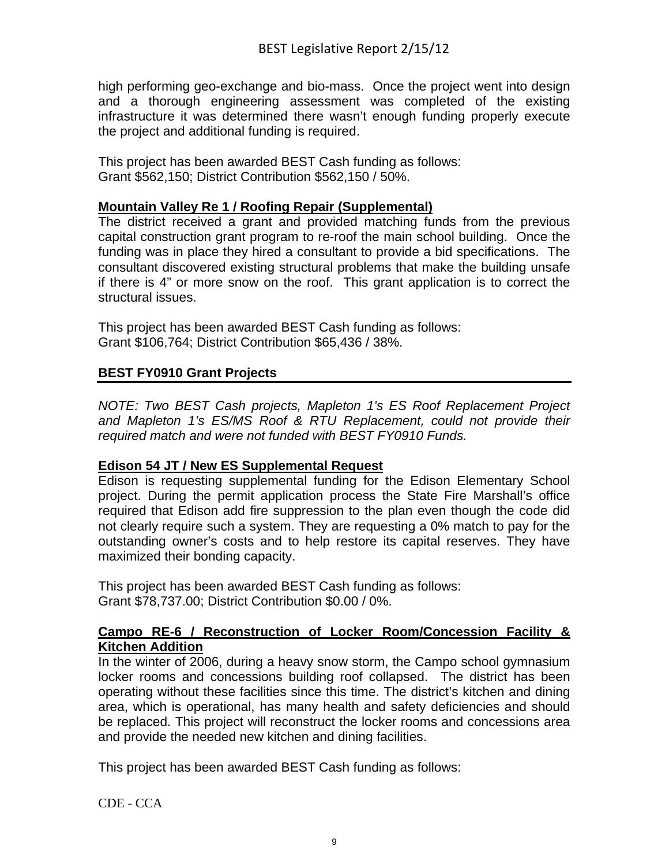high performing geo-exchange and bio-mass. Once the project went into design and a thorough engineering assessment was completed of the existing infrastructure it was determined there wasn't enough funding properly execute the project and additional funding is required.

This project has been awarded BEST Cash funding as follows: Grant \$562,150; District Contribution \$562,150 / 50%.

#### **Mountain Valley Re 1 / Roofing Repair (Supplemental)**

The district received a grant and provided matching funds from the previous capital construction grant program to re-roof the main school building. Once the funding was in place they hired a consultant to provide a bid specifications. The consultant discovered existing structural problems that make the building unsafe if there is 4" or more snow on the roof. This grant application is to correct the structural issues.

This project has been awarded BEST Cash funding as follows: Grant \$106,764; District Contribution \$65,436 / 38%.

## **BEST FY0910 Grant Projects**

*NOTE: Two BEST Cash projects, Mapleton 1's ES Roof Replacement Project and Mapleton 1's ES/MS Roof & RTU Replacement, could not provide their required match and were not funded with BEST FY0910 Funds.* 

#### **Edison 54 JT / New ES Supplemental Request**

Edison is requesting supplemental funding for the Edison Elementary School project. During the permit application process the State Fire Marshall's office required that Edison add fire suppression to the plan even though the code did not clearly require such a system. They are requesting a 0% match to pay for the outstanding owner's costs and to help restore its capital reserves. They have maximized their bonding capacity.

This project has been awarded BEST Cash funding as follows: Grant \$78,737.00; District Contribution \$0.00 / 0%.

#### **Campo RE-6 / Reconstruction of Locker Room/Concession Facility & Kitchen Addition**

In the winter of 2006, during a heavy snow storm, the Campo school gymnasium locker rooms and concessions building roof collapsed. The district has been operating without these facilities since this time. The district's kitchen and dining area, which is operational, has many health and safety deficiencies and should be replaced. This project will reconstruct the locker rooms and concessions area and provide the needed new kitchen and dining facilities.

This project has been awarded BEST Cash funding as follows: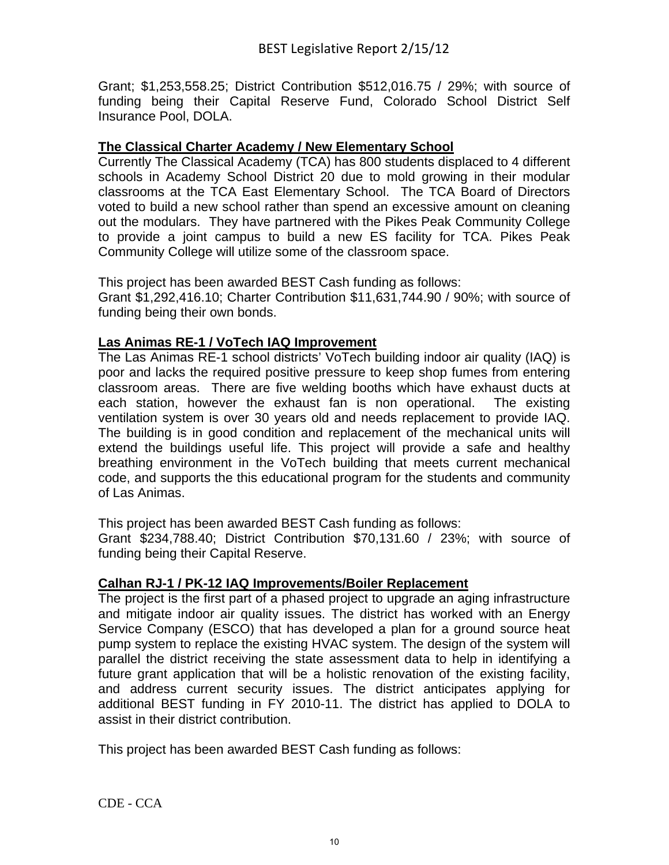Grant; \$1,253,558.25; District Contribution \$512,016.75 / 29%; with source of funding being their Capital Reserve Fund, Colorado School District Self Insurance Pool, DOLA.

#### **The Classical Charter Academy / New Elementary School**

Currently The Classical Academy (TCA) has 800 students displaced to 4 different schools in Academy School District 20 due to mold growing in their modular classrooms at the TCA East Elementary School. The TCA Board of Directors voted to build a new school rather than spend an excessive amount on cleaning out the modulars. They have partnered with the Pikes Peak Community College to provide a joint campus to build a new ES facility for TCA. Pikes Peak Community College will utilize some of the classroom space.

This project has been awarded BEST Cash funding as follows:

Grant \$1,292,416.10; Charter Contribution \$11,631,744.90 / 90%; with source of funding being their own bonds.

#### **Las Animas RE-1 / VoTech IAQ Improvement**

The Las Animas RE-1 school districts' VoTech building indoor air quality (IAQ) is poor and lacks the required positive pressure to keep shop fumes from entering classroom areas. There are five welding booths which have exhaust ducts at each station, however the exhaust fan is non operational. The existing ventilation system is over 30 years old and needs replacement to provide IAQ. The building is in good condition and replacement of the mechanical units will extend the buildings useful life. This project will provide a safe and healthy breathing environment in the VoTech building that meets current mechanical code, and supports the this educational program for the students and community of Las Animas.

This project has been awarded BEST Cash funding as follows:

Grant \$234,788.40; District Contribution \$70,131.60 / 23%; with source of funding being their Capital Reserve.

#### **Calhan RJ-1 / PK-12 IAQ Improvements/Boiler Replacement**

The project is the first part of a phased project to upgrade an aging infrastructure and mitigate indoor air quality issues. The district has worked with an Energy Service Company (ESCO) that has developed a plan for a ground source heat pump system to replace the existing HVAC system. The design of the system will parallel the district receiving the state assessment data to help in identifying a future grant application that will be a holistic renovation of the existing facility, and address current security issues. The district anticipates applying for additional BEST funding in FY 2010-11. The district has applied to DOLA to assist in their district contribution.

This project has been awarded BEST Cash funding as follows: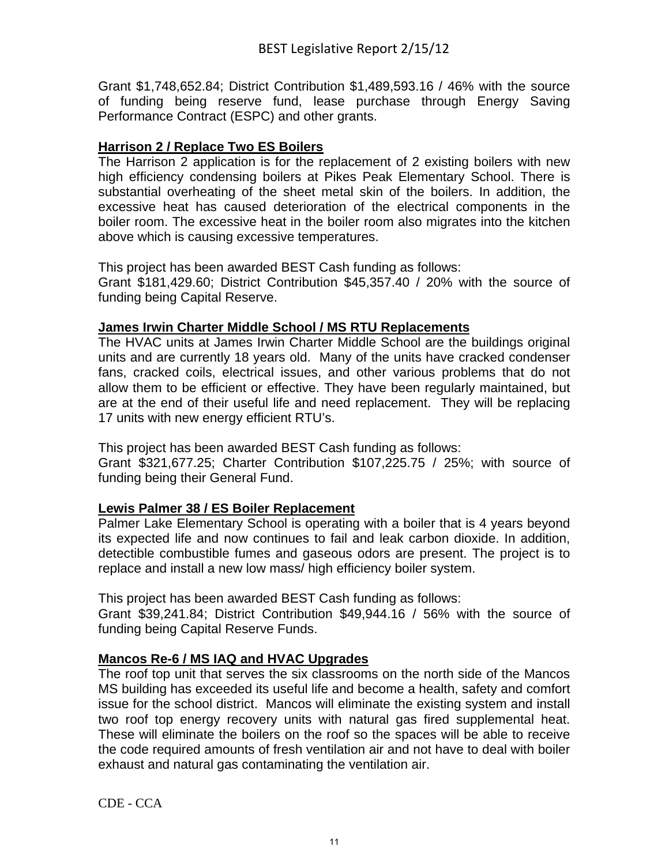Grant \$1,748,652.84; District Contribution \$1,489,593.16 / 46% with the source of funding being reserve fund, lease purchase through Energy Saving Performance Contract (ESPC) and other grants.

## **Harrison 2 / Replace Two ES Boilers**

The Harrison 2 application is for the replacement of 2 existing boilers with new high efficiency condensing boilers at Pikes Peak Elementary School. There is substantial overheating of the sheet metal skin of the boilers. In addition, the excessive heat has caused deterioration of the electrical components in the boiler room. The excessive heat in the boiler room also migrates into the kitchen above which is causing excessive temperatures.

This project has been awarded BEST Cash funding as follows:

Grant \$181,429.60; District Contribution \$45,357.40 / 20% with the source of funding being Capital Reserve.

## **James Irwin Charter Middle School / MS RTU Replacements**

The HVAC units at James Irwin Charter Middle School are the buildings original units and are currently 18 years old. Many of the units have cracked condenser fans, cracked coils, electrical issues, and other various problems that do not allow them to be efficient or effective. They have been regularly maintained, but are at the end of their useful life and need replacement. They will be replacing 17 units with new energy efficient RTU's.

This project has been awarded BEST Cash funding as follows:

Grant \$321,677.25; Charter Contribution \$107,225.75 / 25%; with source of funding being their General Fund.

## **Lewis Palmer 38 / ES Boiler Replacement**

Palmer Lake Elementary School is operating with a boiler that is 4 years beyond its expected life and now continues to fail and leak carbon dioxide. In addition, detectible combustible fumes and gaseous odors are present. The project is to replace and install a new low mass/ high efficiency boiler system.

This project has been awarded BEST Cash funding as follows:

Grant \$39,241.84; District Contribution \$49,944.16 / 56% with the source of funding being Capital Reserve Funds.

## **Mancos Re-6 / MS IAQ and HVAC Upgrades**

The roof top unit that serves the six classrooms on the north side of the Mancos MS building has exceeded its useful life and become a health, safety and comfort issue for the school district. Mancos will eliminate the existing system and install two roof top energy recovery units with natural gas fired supplemental heat. These will eliminate the boilers on the roof so the spaces will be able to receive the code required amounts of fresh ventilation air and not have to deal with boiler exhaust and natural gas contaminating the ventilation air.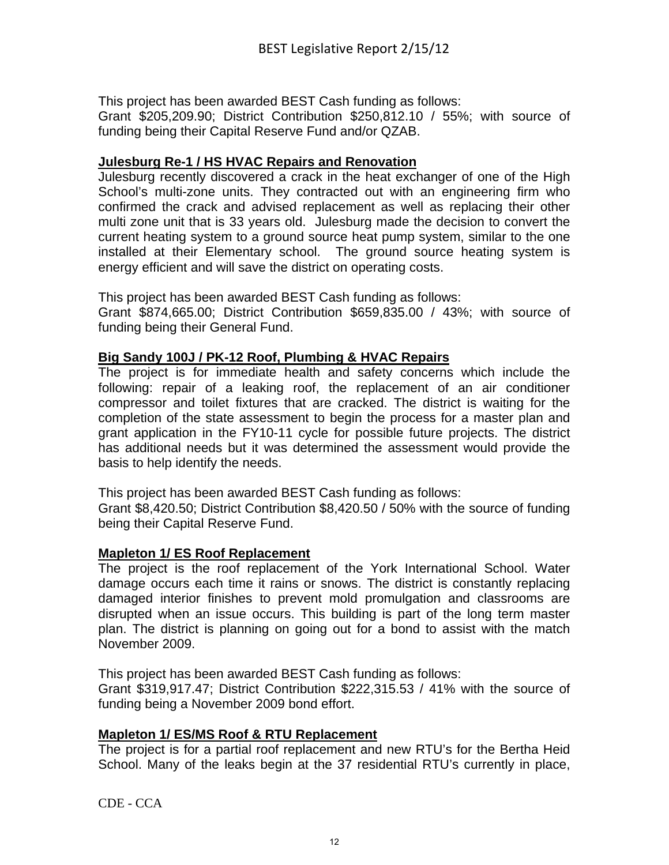This project has been awarded BEST Cash funding as follows:

Grant \$205,209.90; District Contribution \$250,812.10 / 55%; with source of funding being their Capital Reserve Fund and/or QZAB.

#### **Julesburg Re-1 / HS HVAC Repairs and Renovation**

Julesburg recently discovered a crack in the heat exchanger of one of the High School's multi-zone units. They contracted out with an engineering firm who confirmed the crack and advised replacement as well as replacing their other multi zone unit that is 33 years old. Julesburg made the decision to convert the current heating system to a ground source heat pump system, similar to the one installed at their Elementary school. The ground source heating system is energy efficient and will save the district on operating costs.

This project has been awarded BEST Cash funding as follows:

Grant \$874,665.00; District Contribution \$659,835.00 / 43%; with source of funding being their General Fund.

#### **Big Sandy 100J / PK-12 Roof, Plumbing & HVAC Repairs**

The project is for immediate health and safety concerns which include the following: repair of a leaking roof, the replacement of an air conditioner compressor and toilet fixtures that are cracked. The district is waiting for the completion of the state assessment to begin the process for a master plan and grant application in the FY10-11 cycle for possible future projects. The district has additional needs but it was determined the assessment would provide the basis to help identify the needs.

This project has been awarded BEST Cash funding as follows:

Grant \$8,420.50; District Contribution \$8,420.50 / 50% with the source of funding being their Capital Reserve Fund.

#### **Mapleton 1/ ES Roof Replacement**

The project is the roof replacement of the York International School. Water damage occurs each time it rains or snows. The district is constantly replacing damaged interior finishes to prevent mold promulgation and classrooms are disrupted when an issue occurs. This building is part of the long term master plan. The district is planning on going out for a bond to assist with the match November 2009.

This project has been awarded BEST Cash funding as follows:

Grant \$319,917.47; District Contribution \$222,315.53 / 41% with the source of funding being a November 2009 bond effort.

#### **Mapleton 1/ ES/MS Roof & RTU Replacement**

The project is for a partial roof replacement and new RTU's for the Bertha Heid School. Many of the leaks begin at the 37 residential RTU's currently in place,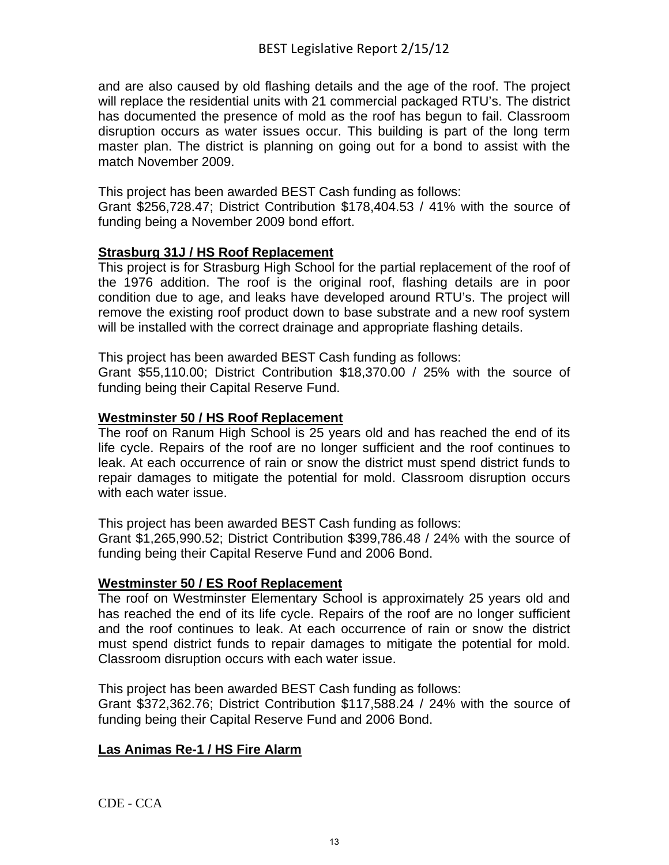and are also caused by old flashing details and the age of the roof. The project will replace the residential units with 21 commercial packaged RTU's. The district has documented the presence of mold as the roof has begun to fail. Classroom disruption occurs as water issues occur. This building is part of the long term master plan. The district is planning on going out for a bond to assist with the match November 2009.

This project has been awarded BEST Cash funding as follows:

Grant \$256,728.47; District Contribution \$178,404.53 / 41% with the source of funding being a November 2009 bond effort.

## **Strasburg 31J / HS Roof Replacement**

This project is for Strasburg High School for the partial replacement of the roof of the 1976 addition. The roof is the original roof, flashing details are in poor condition due to age, and leaks have developed around RTU's. The project will remove the existing roof product down to base substrate and a new roof system will be installed with the correct drainage and appropriate flashing details.

This project has been awarded BEST Cash funding as follows:

Grant \$55,110.00; District Contribution \$18,370.00 / 25% with the source of funding being their Capital Reserve Fund.

## **Westminster 50 / HS Roof Replacement**

The roof on Ranum High School is 25 years old and has reached the end of its life cycle. Repairs of the roof are no longer sufficient and the roof continues to leak. At each occurrence of rain or snow the district must spend district funds to repair damages to mitigate the potential for mold. Classroom disruption occurs with each water issue.

This project has been awarded BEST Cash funding as follows:

Grant \$1,265,990.52; District Contribution \$399,786.48 / 24% with the source of funding being their Capital Reserve Fund and 2006 Bond.

## **Westminster 50 / ES Roof Replacement**

The roof on Westminster Elementary School is approximately 25 years old and has reached the end of its life cycle. Repairs of the roof are no longer sufficient and the roof continues to leak. At each occurrence of rain or snow the district must spend district funds to repair damages to mitigate the potential for mold. Classroom disruption occurs with each water issue.

This project has been awarded BEST Cash funding as follows:

Grant \$372,362.76; District Contribution \$117,588.24 / 24% with the source of funding being their Capital Reserve Fund and 2006 Bond.

## **Las Animas Re-1 / HS Fire Alarm**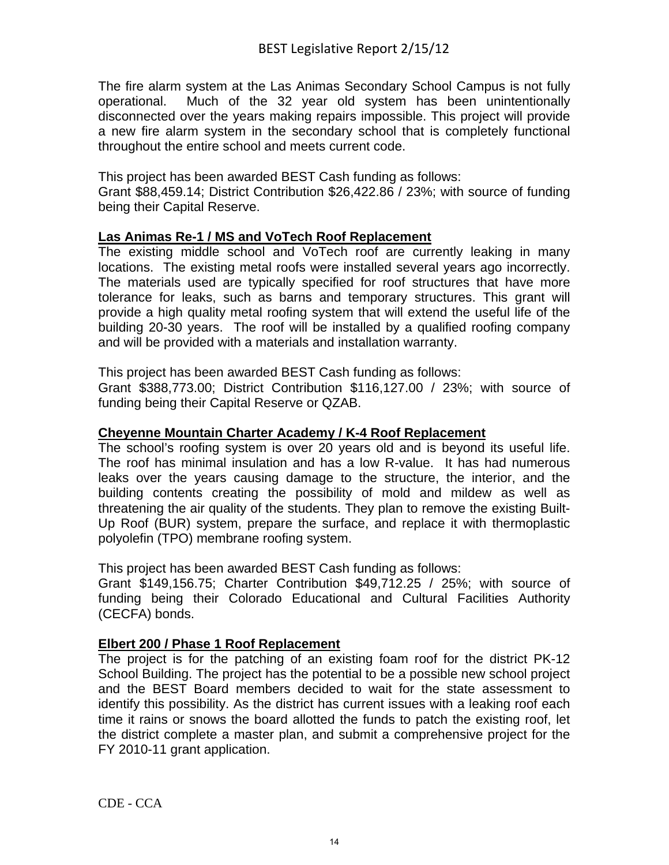The fire alarm system at the Las Animas Secondary School Campus is not fully operational. Much of the 32 year old system has been unintentionally disconnected over the years making repairs impossible. This project will provide a new fire alarm system in the secondary school that is completely functional throughout the entire school and meets current code.

This project has been awarded BEST Cash funding as follows:

Grant \$88,459.14; District Contribution \$26,422.86 / 23%; with source of funding being their Capital Reserve.

#### **Las Animas Re-1 / MS and VoTech Roof Replacement**

The existing middle school and VoTech roof are currently leaking in many locations. The existing metal roofs were installed several years ago incorrectly. The materials used are typically specified for roof structures that have more tolerance for leaks, such as barns and temporary structures. This grant will provide a high quality metal roofing system that will extend the useful life of the building 20-30 years. The roof will be installed by a qualified roofing company and will be provided with a materials and installation warranty.

This project has been awarded BEST Cash funding as follows:

Grant \$388,773.00; District Contribution \$116,127.00 / 23%; with source of funding being their Capital Reserve or QZAB.

#### **Cheyenne Mountain Charter Academy / K-4 Roof Replacement**

The school's roofing system is over 20 years old and is beyond its useful life. The roof has minimal insulation and has a low R-value. It has had numerous leaks over the years causing damage to the structure, the interior, and the building contents creating the possibility of mold and mildew as well as threatening the air quality of the students. They plan to remove the existing Built-Up Roof (BUR) system, prepare the surface, and replace it with thermoplastic polyolefin (TPO) membrane roofing system.

This project has been awarded BEST Cash funding as follows:

Grant \$149,156.75; Charter Contribution \$49,712.25 / 25%; with source of funding being their Colorado Educational and Cultural Facilities Authority (CECFA) bonds.

#### **Elbert 200 / Phase 1 Roof Replacement**

The project is for the patching of an existing foam roof for the district PK-12 School Building. The project has the potential to be a possible new school project and the BEST Board members decided to wait for the state assessment to identify this possibility. As the district has current issues with a leaking roof each time it rains or snows the board allotted the funds to patch the existing roof, let the district complete a master plan, and submit a comprehensive project for the FY 2010-11 grant application.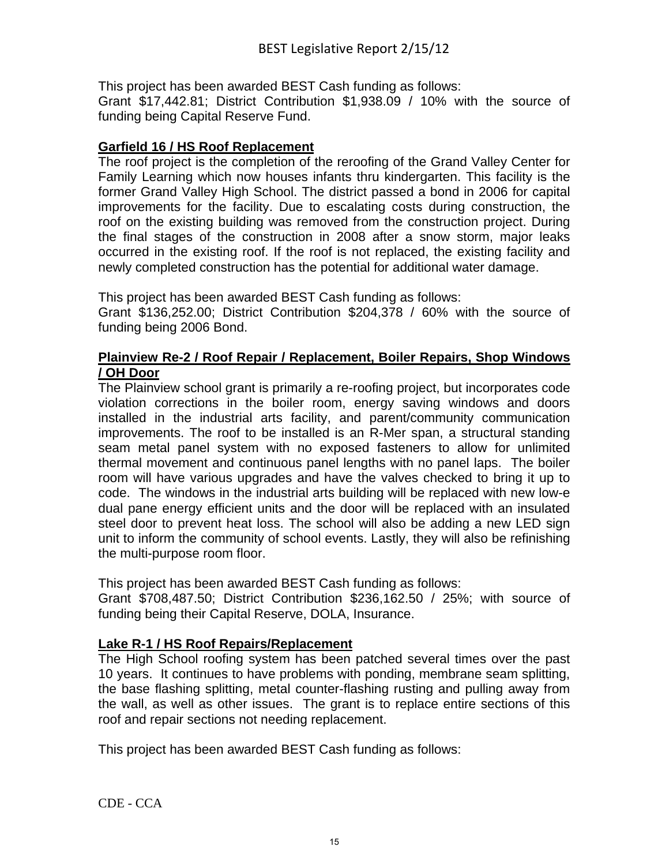This project has been awarded BEST Cash funding as follows:

Grant \$17,442.81; District Contribution \$1,938.09 / 10% with the source of funding being Capital Reserve Fund.

#### **Garfield 16 / HS Roof Replacement**

The roof project is the completion of the reroofing of the Grand Valley Center for Family Learning which now houses infants thru kindergarten. This facility is the former Grand Valley High School. The district passed a bond in 2006 for capital improvements for the facility. Due to escalating costs during construction, the roof on the existing building was removed from the construction project. During the final stages of the construction in 2008 after a snow storm, major leaks occurred in the existing roof. If the roof is not replaced, the existing facility and newly completed construction has the potential for additional water damage.

This project has been awarded BEST Cash funding as follows:

Grant \$136,252.00; District Contribution \$204,378 / 60% with the source of funding being 2006 Bond.

#### **Plainview Re-2 / Roof Repair / Replacement, Boiler Repairs, Shop Windows / OH Door**

The Plainview school grant is primarily a re-roofing project, but incorporates code violation corrections in the boiler room, energy saving windows and doors installed in the industrial arts facility, and parent/community communication improvements. The roof to be installed is an R-Mer span, a structural standing seam metal panel system with no exposed fasteners to allow for unlimited thermal movement and continuous panel lengths with no panel laps. The boiler room will have various upgrades and have the valves checked to bring it up to code. The windows in the industrial arts building will be replaced with new low-e dual pane energy efficient units and the door will be replaced with an insulated steel door to prevent heat loss. The school will also be adding a new LED sign unit to inform the community of school events. Lastly, they will also be refinishing the multi-purpose room floor.

This project has been awarded BEST Cash funding as follows:

Grant \$708,487.50; District Contribution \$236,162.50 / 25%; with source of funding being their Capital Reserve, DOLA, Insurance.

## **Lake R-1 / HS Roof Repairs/Replacement**

The High School roofing system has been patched several times over the past 10 years. It continues to have problems with ponding, membrane seam splitting, the base flashing splitting, metal counter-flashing rusting and pulling away from the wall, as well as other issues. The grant is to replace entire sections of this roof and repair sections not needing replacement.

This project has been awarded BEST Cash funding as follows: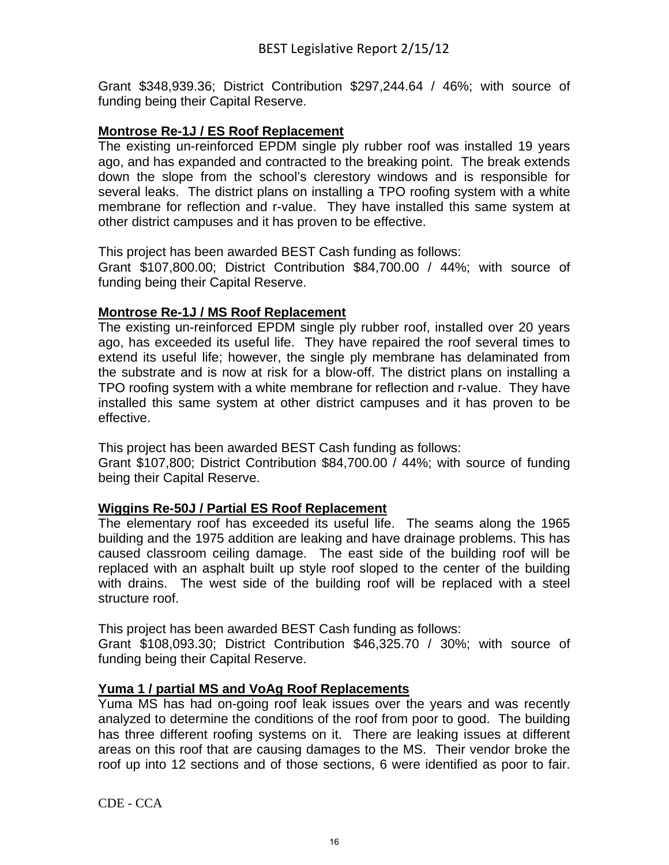Grant \$348,939.36; District Contribution \$297,244.64 / 46%; with source of funding being their Capital Reserve.

#### **Montrose Re-1J / ES Roof Replacement**

The existing un-reinforced EPDM single ply rubber roof was installed 19 years ago, and has expanded and contracted to the breaking point. The break extends down the slope from the school's clerestory windows and is responsible for several leaks. The district plans on installing a TPO roofing system with a white membrane for reflection and r-value. They have installed this same system at other district campuses and it has proven to be effective.

This project has been awarded BEST Cash funding as follows:

Grant \$107,800.00; District Contribution \$84,700.00 / 44%; with source of funding being their Capital Reserve.

#### **Montrose Re-1J / MS Roof Replacement**

The existing un-reinforced EPDM single ply rubber roof, installed over 20 years ago, has exceeded its useful life. They have repaired the roof several times to extend its useful life; however, the single ply membrane has delaminated from the substrate and is now at risk for a blow-off. The district plans on installing a TPO roofing system with a white membrane for reflection and r-value. They have installed this same system at other district campuses and it has proven to be effective.

This project has been awarded BEST Cash funding as follows:

Grant \$107,800; District Contribution \$84,700.00 / 44%; with source of funding being their Capital Reserve.

#### **Wiggins Re-50J / Partial ES Roof Replacement**

The elementary roof has exceeded its useful life. The seams along the 1965 building and the 1975 addition are leaking and have drainage problems. This has caused classroom ceiling damage. The east side of the building roof will be replaced with an asphalt built up style roof sloped to the center of the building with drains. The west side of the building roof will be replaced with a steel structure roof.

This project has been awarded BEST Cash funding as follows:

Grant \$108,093.30; District Contribution \$46,325.70 / 30%; with source of funding being their Capital Reserve.

#### **Yuma 1 / partial MS and VoAg Roof Replacements**

Yuma MS has had on-going roof leak issues over the years and was recently analyzed to determine the conditions of the roof from poor to good. The building has three different roofing systems on it. There are leaking issues at different areas on this roof that are causing damages to the MS. Their vendor broke the roof up into 12 sections and of those sections, 6 were identified as poor to fair.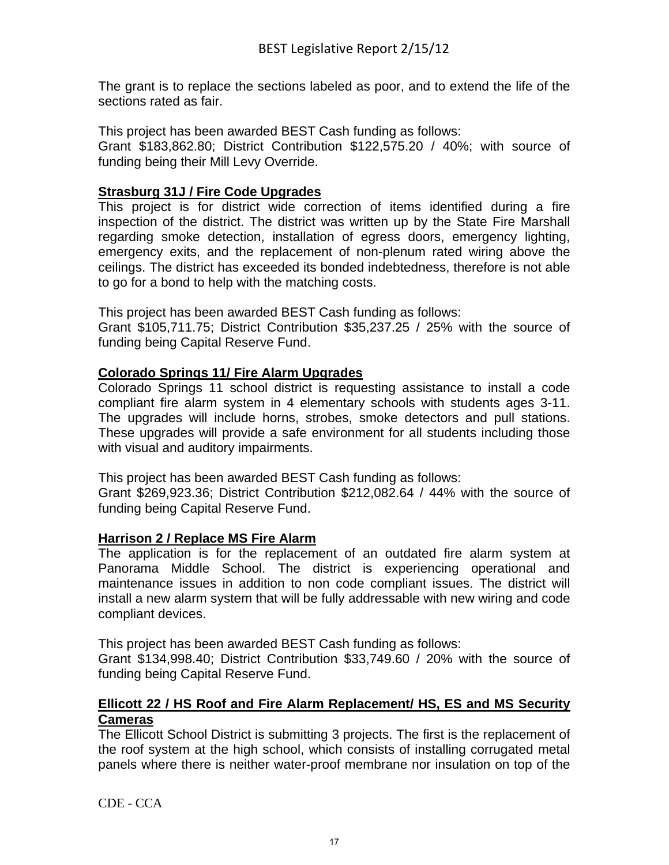The grant is to replace the sections labeled as poor, and to extend the life of the sections rated as fair.

This project has been awarded BEST Cash funding as follows:

Grant \$183,862.80; District Contribution \$122,575.20 / 40%; with source of funding being their Mill Levy Override.

## **Strasburg 31J / Fire Code Upgrades**

This project is for district wide correction of items identified during a fire inspection of the district. The district was written up by the State Fire Marshall regarding smoke detection, installation of egress doors, emergency lighting, emergency exits, and the replacement of non-plenum rated wiring above the ceilings. The district has exceeded its bonded indebtedness, therefore is not able to go for a bond to help with the matching costs.

This project has been awarded BEST Cash funding as follows:

Grant \$105,711.75; District Contribution \$35,237.25 / 25% with the source of funding being Capital Reserve Fund.

## **Colorado Springs 11/ Fire Alarm Upgrades**

Colorado Springs 11 school district is requesting assistance to install a code compliant fire alarm system in 4 elementary schools with students ages 3-11. The upgrades will include horns, strobes, smoke detectors and pull stations. These upgrades will provide a safe environment for all students including those with visual and auditory impairments.

This project has been awarded BEST Cash funding as follows:

Grant \$269,923.36; District Contribution \$212,082.64 / 44% with the source of funding being Capital Reserve Fund.

#### **Harrison 2 / Replace MS Fire Alarm**

The application is for the replacement of an outdated fire alarm system at Panorama Middle School. The district is experiencing operational and maintenance issues in addition to non code compliant issues. The district will install a new alarm system that will be fully addressable with new wiring and code compliant devices.

This project has been awarded BEST Cash funding as follows:

Grant \$134,998.40; District Contribution \$33,749.60 / 20% with the source of funding being Capital Reserve Fund.

## **Ellicott 22 / HS Roof and Fire Alarm Replacement/ HS, ES and MS Security Cameras**

The Ellicott School District is submitting 3 projects. The first is the replacement of the roof system at the high school, which consists of installing corrugated metal panels where there is neither water-proof membrane nor insulation on top of the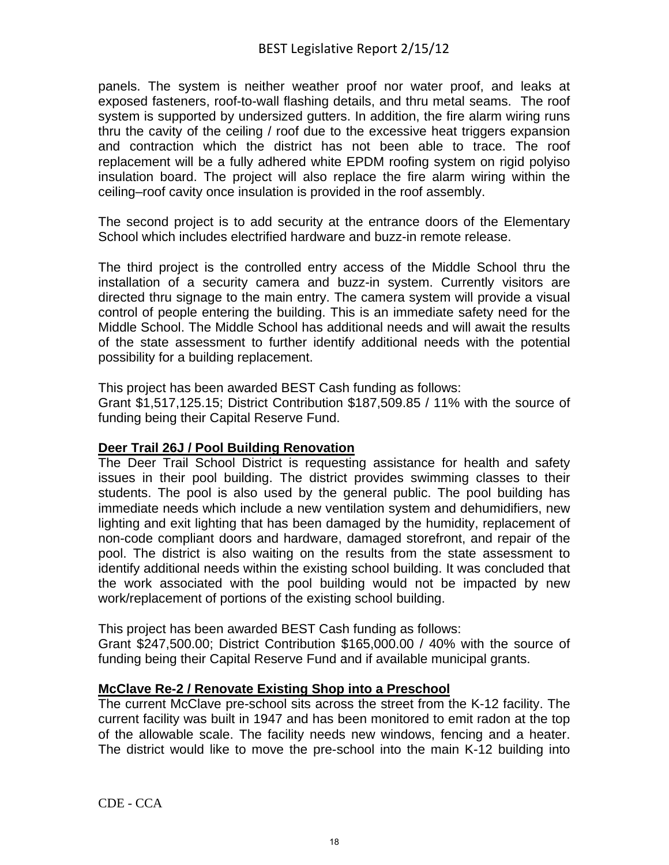panels. The system is neither weather proof nor water proof, and leaks at exposed fasteners, roof-to-wall flashing details, and thru metal seams. The roof system is supported by undersized gutters. In addition, the fire alarm wiring runs thru the cavity of the ceiling / roof due to the excessive heat triggers expansion and contraction which the district has not been able to trace. The roof replacement will be a fully adhered white EPDM roofing system on rigid polyiso insulation board. The project will also replace the fire alarm wiring within the ceiling–roof cavity once insulation is provided in the roof assembly.

The second project is to add security at the entrance doors of the Elementary School which includes electrified hardware and buzz-in remote release.

The third project is the controlled entry access of the Middle School thru the installation of a security camera and buzz-in system. Currently visitors are directed thru signage to the main entry. The camera system will provide a visual control of people entering the building. This is an immediate safety need for the Middle School. The Middle School has additional needs and will await the results of the state assessment to further identify additional needs with the potential possibility for a building replacement.

This project has been awarded BEST Cash funding as follows:

Grant \$1,517,125.15; District Contribution \$187,509.85 / 11% with the source of funding being their Capital Reserve Fund.

#### **Deer Trail 26J / Pool Building Renovation**

The Deer Trail School District is requesting assistance for health and safety issues in their pool building. The district provides swimming classes to their students. The pool is also used by the general public. The pool building has immediate needs which include a new ventilation system and dehumidifiers, new lighting and exit lighting that has been damaged by the humidity, replacement of non-code compliant doors and hardware, damaged storefront, and repair of the pool. The district is also waiting on the results from the state assessment to identify additional needs within the existing school building. It was concluded that the work associated with the pool building would not be impacted by new work/replacement of portions of the existing school building.

This project has been awarded BEST Cash funding as follows:

Grant \$247,500.00; District Contribution \$165,000.00 / 40% with the source of funding being their Capital Reserve Fund and if available municipal grants.

## **McClave Re-2 / Renovate Existing Shop into a Preschool**

The current McClave pre-school sits across the street from the K-12 facility. The current facility was built in 1947 and has been monitored to emit radon at the top of the allowable scale. The facility needs new windows, fencing and a heater. The district would like to move the pre-school into the main K-12 building into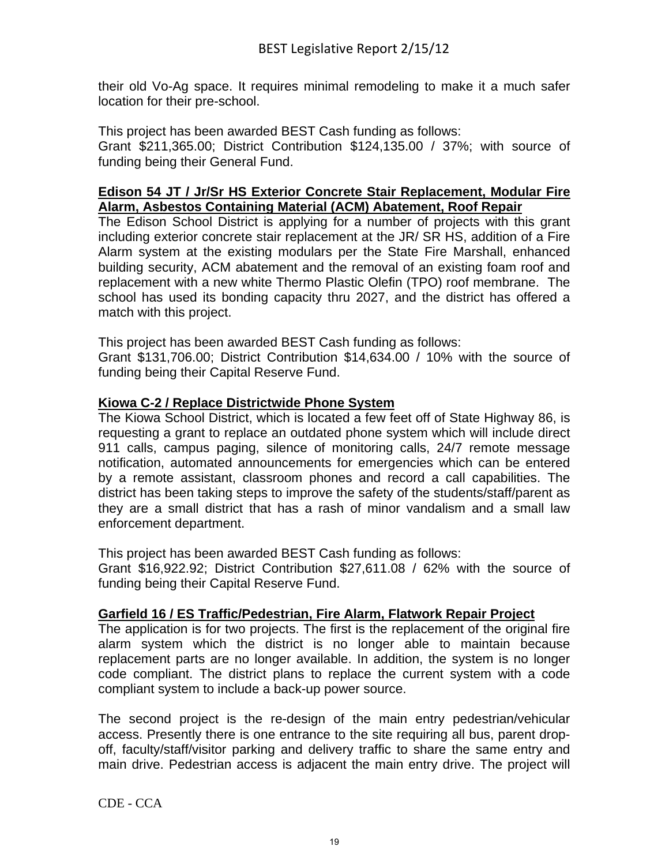their old Vo-Ag space. It requires minimal remodeling to make it a much safer location for their pre-school.

This project has been awarded BEST Cash funding as follows: Grant \$211,365.00; District Contribution \$124,135.00 / 37%; with source of funding being their General Fund.

#### **Edison 54 JT / Jr/Sr HS Exterior Concrete Stair Replacement, Modular Fire Alarm, Asbestos Containing Material (ACM) Abatement, Roof Repair**

The Edison School District is applying for a number of projects with this grant including exterior concrete stair replacement at the JR/ SR HS, addition of a Fire Alarm system at the existing modulars per the State Fire Marshall, enhanced building security, ACM abatement and the removal of an existing foam roof and replacement with a new white Thermo Plastic Olefin (TPO) roof membrane. The school has used its bonding capacity thru 2027, and the district has offered a match with this project.

This project has been awarded BEST Cash funding as follows:

Grant \$131,706.00; District Contribution \$14,634.00 / 10% with the source of funding being their Capital Reserve Fund.

#### **Kiowa C-2 / Replace Districtwide Phone System**

The Kiowa School District, which is located a few feet off of State Highway 86, is requesting a grant to replace an outdated phone system which will include direct 911 calls, campus paging, silence of monitoring calls, 24/7 remote message notification, automated announcements for emergencies which can be entered by a remote assistant, classroom phones and record a call capabilities. The district has been taking steps to improve the safety of the students/staff/parent as they are a small district that has a rash of minor vandalism and a small law enforcement department.

This project has been awarded BEST Cash funding as follows:

Grant \$16,922.92; District Contribution \$27,611.08 / 62% with the source of funding being their Capital Reserve Fund.

## **Garfield 16 / ES Traffic/Pedestrian, Fire Alarm, Flatwork Repair Project**

The application is for two projects. The first is the replacement of the original fire alarm system which the district is no longer able to maintain because replacement parts are no longer available. In addition, the system is no longer code compliant. The district plans to replace the current system with a code compliant system to include a back-up power source.

The second project is the re-design of the main entry pedestrian/vehicular access. Presently there is one entrance to the site requiring all bus, parent dropoff, faculty/staff/visitor parking and delivery traffic to share the same entry and main drive. Pedestrian access is adjacent the main entry drive. The project will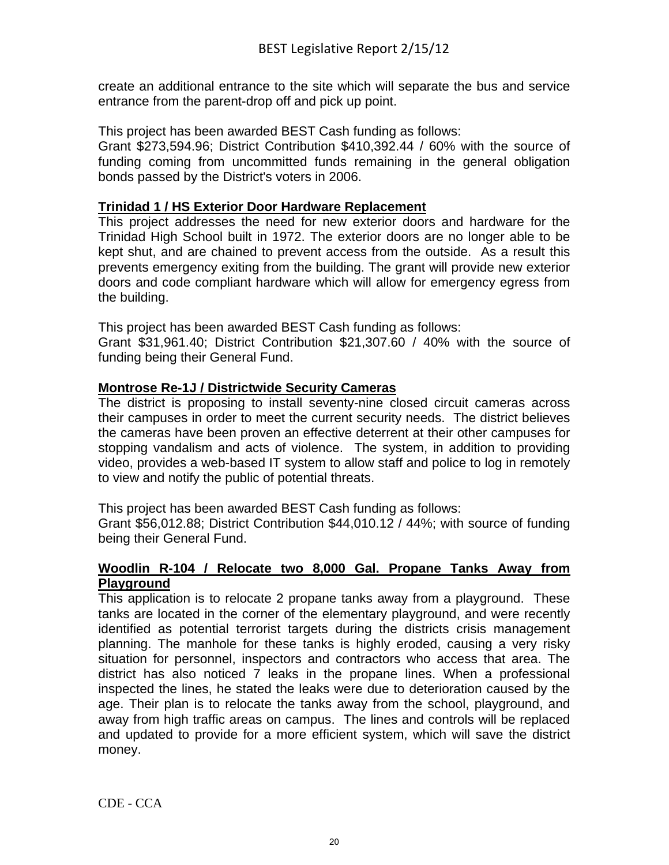create an additional entrance to the site which will separate the bus and service entrance from the parent-drop off and pick up point.

This project has been awarded BEST Cash funding as follows:

Grant \$273,594.96; District Contribution \$410,392.44 / 60% with the source of funding coming from uncommitted funds remaining in the general obligation bonds passed by the District's voters in 2006.

#### **Trinidad 1 / HS Exterior Door Hardware Replacement**

This project addresses the need for new exterior doors and hardware for the Trinidad High School built in 1972. The exterior doors are no longer able to be kept shut, and are chained to prevent access from the outside. As a result this prevents emergency exiting from the building. The grant will provide new exterior doors and code compliant hardware which will allow for emergency egress from the building.

This project has been awarded BEST Cash funding as follows:

Grant \$31,961.40; District Contribution \$21,307.60 / 40% with the source of funding being their General Fund.

#### **Montrose Re-1J / Districtwide Security Cameras**

The district is proposing to install seventy-nine closed circuit cameras across their campuses in order to meet the current security needs. The district believes the cameras have been proven an effective deterrent at their other campuses for stopping vandalism and acts of violence. The system, in addition to providing video, provides a web-based IT system to allow staff and police to log in remotely to view and notify the public of potential threats.

This project has been awarded BEST Cash funding as follows:

Grant \$56,012.88; District Contribution \$44,010.12 / 44%; with source of funding being their General Fund.

#### **Woodlin R-104 / Relocate two 8,000 Gal. Propane Tanks Away from Playground**

This application is to relocate 2 propane tanks away from a playground. These tanks are located in the corner of the elementary playground, and were recently identified as potential terrorist targets during the districts crisis management planning. The manhole for these tanks is highly eroded, causing a very risky situation for personnel, inspectors and contractors who access that area. The district has also noticed 7 leaks in the propane lines. When a professional inspected the lines, he stated the leaks were due to deterioration caused by the age. Their plan is to relocate the tanks away from the school, playground, and away from high traffic areas on campus. The lines and controls will be replaced and updated to provide for a more efficient system, which will save the district money.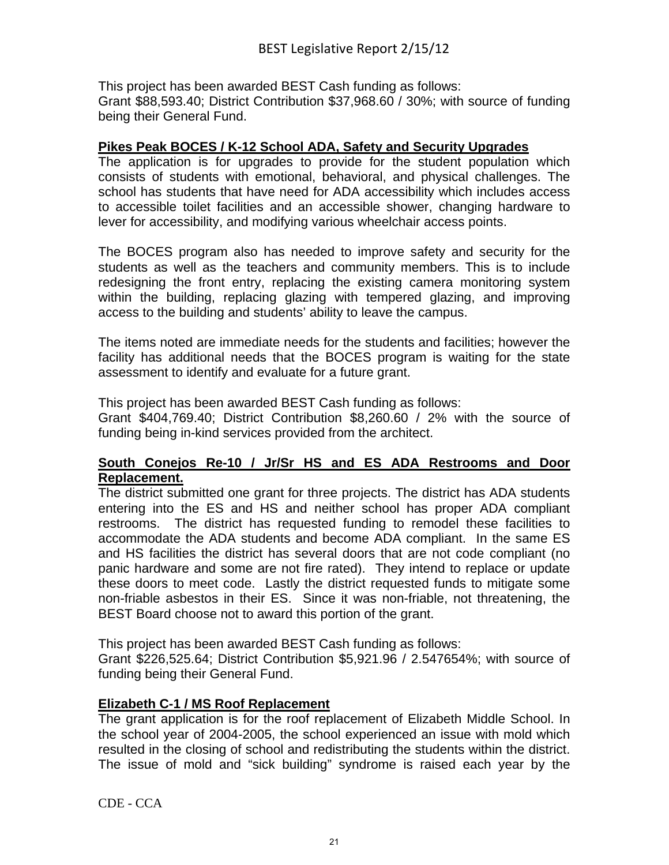This project has been awarded BEST Cash funding as follows: Grant \$88,593.40; District Contribution \$37,968.60 / 30%; with source of funding being their General Fund.

#### **Pikes Peak BOCES / K-12 School ADA, Safety and Security Upgrades**

The application is for upgrades to provide for the student population which consists of students with emotional, behavioral, and physical challenges. The school has students that have need for ADA accessibility which includes access to accessible toilet facilities and an accessible shower, changing hardware to lever for accessibility, and modifying various wheelchair access points.

The BOCES program also has needed to improve safety and security for the students as well as the teachers and community members. This is to include redesigning the front entry, replacing the existing camera monitoring system within the building, replacing glazing with tempered glazing, and improving access to the building and students' ability to leave the campus.

The items noted are immediate needs for the students and facilities; however the facility has additional needs that the BOCES program is waiting for the state assessment to identify and evaluate for a future grant.

This project has been awarded BEST Cash funding as follows:

Grant \$404,769.40; District Contribution \$8,260.60 / 2% with the source of funding being in-kind services provided from the architect.

#### **South Conejos Re-10 / Jr/Sr HS and ES ADA Restrooms and Door Replacement.**

The district submitted one grant for three projects. The district has ADA students entering into the ES and HS and neither school has proper ADA compliant restrooms. The district has requested funding to remodel these facilities to accommodate the ADA students and become ADA compliant. In the same ES and HS facilities the district has several doors that are not code compliant (no panic hardware and some are not fire rated). They intend to replace or update these doors to meet code. Lastly the district requested funds to mitigate some non-friable asbestos in their ES. Since it was non-friable, not threatening, the BEST Board choose not to award this portion of the grant.

This project has been awarded BEST Cash funding as follows:

Grant \$226,525.64; District Contribution \$5,921.96 / 2.547654%; with source of funding being their General Fund.

#### **Elizabeth C-1 / MS Roof Replacement**

The grant application is for the roof replacement of Elizabeth Middle School. In the school year of 2004-2005, the school experienced an issue with mold which resulted in the closing of school and redistributing the students within the district. The issue of mold and "sick building" syndrome is raised each year by the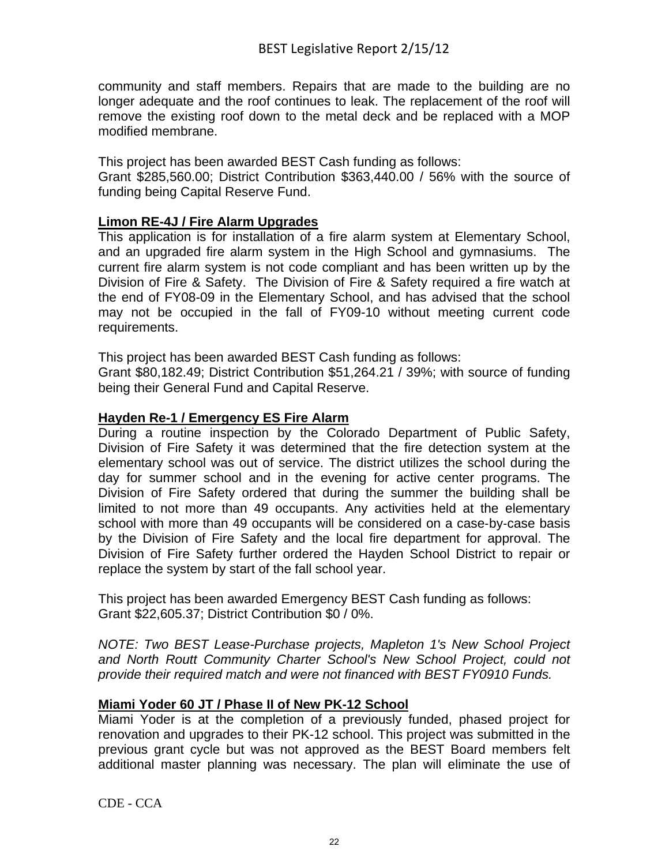community and staff members. Repairs that are made to the building are no longer adequate and the roof continues to leak. The replacement of the roof will remove the existing roof down to the metal deck and be replaced with a MOP modified membrane.

This project has been awarded BEST Cash funding as follows:

Grant \$285,560.00; District Contribution \$363,440.00 / 56% with the source of funding being Capital Reserve Fund.

## **Limon RE-4J / Fire Alarm Upgrades**

This application is for installation of a fire alarm system at Elementary School, and an upgraded fire alarm system in the High School and gymnasiums. The current fire alarm system is not code compliant and has been written up by the Division of Fire & Safety. The Division of Fire & Safety required a fire watch at the end of FY08-09 in the Elementary School, and has advised that the school may not be occupied in the fall of FY09-10 without meeting current code requirements.

This project has been awarded BEST Cash funding as follows:

Grant \$80,182.49; District Contribution \$51,264.21 / 39%; with source of funding being their General Fund and Capital Reserve.

#### **Hayden Re-1 / Emergency ES Fire Alarm**

During a routine inspection by the Colorado Department of Public Safety, Division of Fire Safety it was determined that the fire detection system at the elementary school was out of service. The district utilizes the school during the day for summer school and in the evening for active center programs. The Division of Fire Safety ordered that during the summer the building shall be limited to not more than 49 occupants. Any activities held at the elementary school with more than 49 occupants will be considered on a case‐by‐case basis by the Division of Fire Safety and the local fire department for approval. The Division of Fire Safety further ordered the Hayden School District to repair or replace the system by start of the fall school year.

This project has been awarded Emergency BEST Cash funding as follows: Grant \$22,605.37; District Contribution \$0 / 0%.

*NOTE: Two BEST Lease-Purchase projects, Mapleton 1's New School Project and North Routt Community Charter School's New School Project, could not provide their required match and were not financed with BEST FY0910 Funds.* 

## **Miami Yoder 60 JT / Phase II of New PK-12 School**

Miami Yoder is at the completion of a previously funded, phased project for renovation and upgrades to their PK-12 school. This project was submitted in the previous grant cycle but was not approved as the BEST Board members felt additional master planning was necessary. The plan will eliminate the use of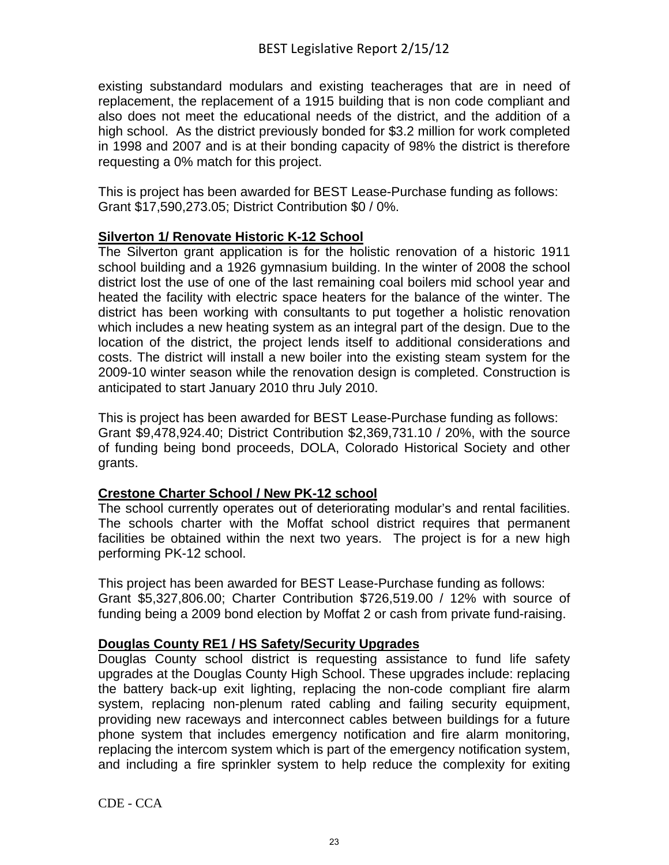existing substandard modulars and existing teacherages that are in need of replacement, the replacement of a 1915 building that is non code compliant and also does not meet the educational needs of the district, and the addition of a high school. As the district previously bonded for \$3.2 million for work completed in 1998 and 2007 and is at their bonding capacity of 98% the district is therefore requesting a 0% match for this project.

This is project has been awarded for BEST Lease-Purchase funding as follows: Grant \$17,590,273.05; District Contribution \$0 / 0%.

## **Silverton 1/ Renovate Historic K-12 School**

The Silverton grant application is for the holistic renovation of a historic 1911 school building and a 1926 gymnasium building. In the winter of 2008 the school district lost the use of one of the last remaining coal boilers mid school year and heated the facility with electric space heaters for the balance of the winter. The district has been working with consultants to put together a holistic renovation which includes a new heating system as an integral part of the design. Due to the location of the district, the project lends itself to additional considerations and costs. The district will install a new boiler into the existing steam system for the 2009-10 winter season while the renovation design is completed. Construction is anticipated to start January 2010 thru July 2010.

This is project has been awarded for BEST Lease-Purchase funding as follows: Grant \$9,478,924.40; District Contribution \$2,369,731.10 / 20%, with the source of funding being bond proceeds, DOLA, Colorado Historical Society and other grants.

## **Crestone Charter School / New PK-12 school**

The school currently operates out of deteriorating modular's and rental facilities. The schools charter with the Moffat school district requires that permanent facilities be obtained within the next two years. The project is for a new high performing PK-12 school.

This project has been awarded for BEST Lease-Purchase funding as follows: Grant \$5,327,806.00; Charter Contribution \$726,519.00 / 12% with source of funding being a 2009 bond election by Moffat 2 or cash from private fund-raising.

## **Douglas County RE1 / HS Safety/Security Upgrades**

Douglas County school district is requesting assistance to fund life safety upgrades at the Douglas County High School. These upgrades include: replacing the battery back-up exit lighting, replacing the non-code compliant fire alarm system, replacing non-plenum rated cabling and failing security equipment, providing new raceways and interconnect cables between buildings for a future phone system that includes emergency notification and fire alarm monitoring, replacing the intercom system which is part of the emergency notification system, and including a fire sprinkler system to help reduce the complexity for exiting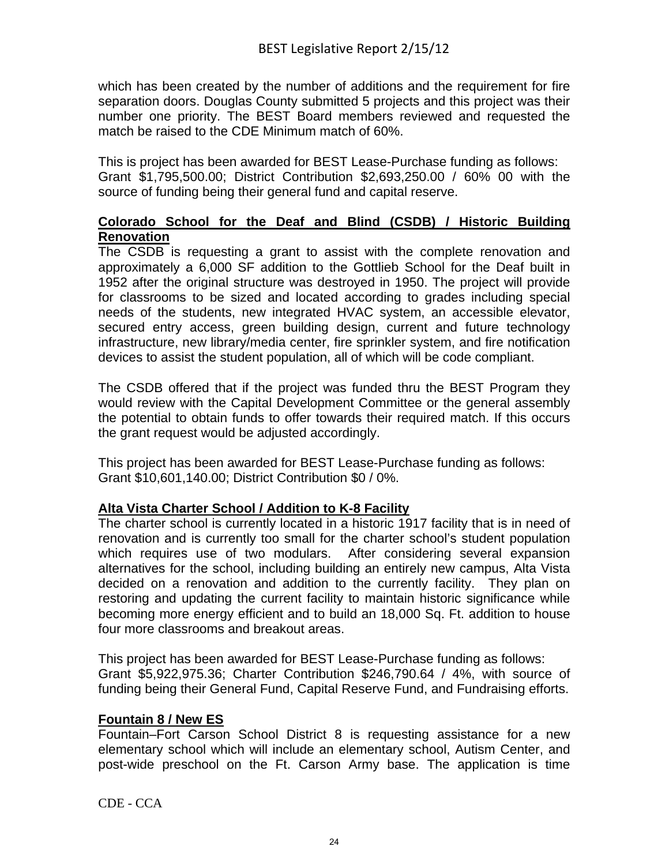which has been created by the number of additions and the requirement for fire separation doors. Douglas County submitted 5 projects and this project was their number one priority. The BEST Board members reviewed and requested the match be raised to the CDE Minimum match of 60%.

This is project has been awarded for BEST Lease-Purchase funding as follows: Grant \$1,795,500.00; District Contribution \$2,693,250.00 / 60% 00 with the source of funding being their general fund and capital reserve.

#### **Colorado School for the Deaf and Blind (CSDB) / Historic Building Renovation**

The CSDB is requesting a grant to assist with the complete renovation and approximately a 6,000 SF addition to the Gottlieb School for the Deaf built in 1952 after the original structure was destroyed in 1950. The project will provide for classrooms to be sized and located according to grades including special needs of the students, new integrated HVAC system, an accessible elevator, secured entry access, green building design, current and future technology infrastructure, new library/media center, fire sprinkler system, and fire notification devices to assist the student population, all of which will be code compliant.

The CSDB offered that if the project was funded thru the BEST Program they would review with the Capital Development Committee or the general assembly the potential to obtain funds to offer towards their required match. If this occurs the grant request would be adjusted accordingly.

This project has been awarded for BEST Lease-Purchase funding as follows: Grant \$10,601,140.00; District Contribution \$0 / 0%.

## **Alta Vista Charter School / Addition to K-8 Facility**

The charter school is currently located in a historic 1917 facility that is in need of renovation and is currently too small for the charter school's student population which requires use of two modulars. After considering several expansion alternatives for the school, including building an entirely new campus, Alta Vista decided on a renovation and addition to the currently facility. They plan on restoring and updating the current facility to maintain historic significance while becoming more energy efficient and to build an 18,000 Sq. Ft. addition to house four more classrooms and breakout areas.

This project has been awarded for BEST Lease-Purchase funding as follows: Grant \$5,922,975.36; Charter Contribution \$246,790.64 / 4%, with source of funding being their General Fund, Capital Reserve Fund, and Fundraising efforts.

#### **Fountain 8 / New ES**

Fountain–Fort Carson School District 8 is requesting assistance for a new elementary school which will include an elementary school, Autism Center, and post-wide preschool on the Ft. Carson Army base. The application is time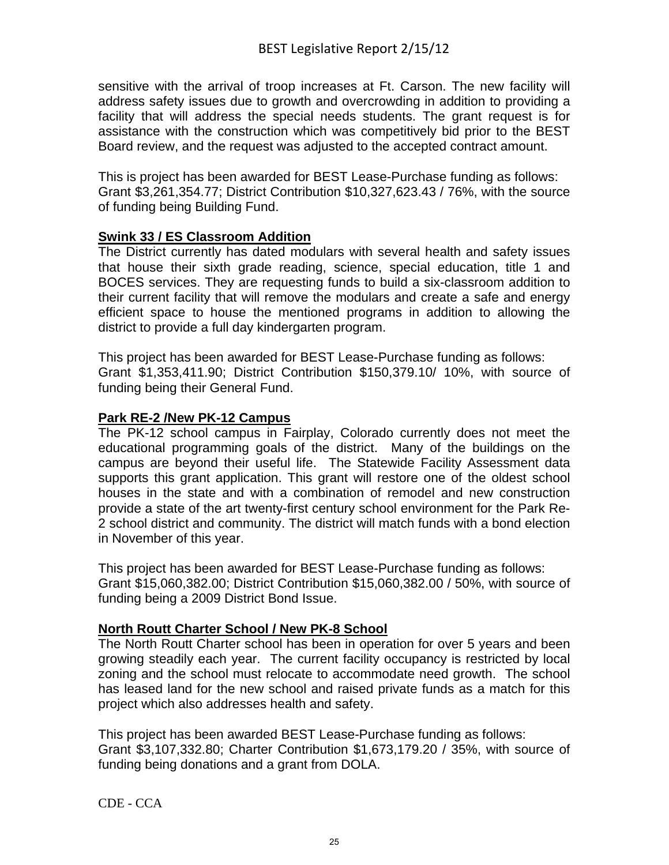sensitive with the arrival of troop increases at Ft. Carson. The new facility will address safety issues due to growth and overcrowding in addition to providing a facility that will address the special needs students. The grant request is for assistance with the construction which was competitively bid prior to the BEST Board review, and the request was adjusted to the accepted contract amount.

This is project has been awarded for BEST Lease-Purchase funding as follows: Grant \$3,261,354.77; District Contribution \$10,327,623.43 / 76%, with the source of funding being Building Fund.

## **Swink 33 / ES Classroom Addition**

The District currently has dated modulars with several health and safety issues that house their sixth grade reading, science, special education, title 1 and BOCES services. They are requesting funds to build a six-classroom addition to their current facility that will remove the modulars and create a safe and energy efficient space to house the mentioned programs in addition to allowing the district to provide a full day kindergarten program.

This project has been awarded for BEST Lease-Purchase funding as follows: Grant \$1,353,411.90; District Contribution \$150,379.10/ 10%, with source of funding being their General Fund.

#### **Park RE-2 /New PK-12 Campus**

The PK-12 school campus in Fairplay, Colorado currently does not meet the educational programming goals of the district. Many of the buildings on the campus are beyond their useful life. The Statewide Facility Assessment data supports this grant application. This grant will restore one of the oldest school houses in the state and with a combination of remodel and new construction provide a state of the art twenty-first century school environment for the Park Re-2 school district and community. The district will match funds with a bond election in November of this year.

This project has been awarded for BEST Lease-Purchase funding as follows: Grant \$15,060,382.00; District Contribution \$15,060,382.00 / 50%, with source of funding being a 2009 District Bond Issue.

## **North Routt Charter School / New PK-8 School**

The North Routt Charter school has been in operation for over 5 years and been growing steadily each year. The current facility occupancy is restricted by local zoning and the school must relocate to accommodate need growth. The school has leased land for the new school and raised private funds as a match for this project which also addresses health and safety.

This project has been awarded BEST Lease-Purchase funding as follows: Grant \$3,107,332.80; Charter Contribution \$1,673,179.20 / 35%, with source of funding being donations and a grant from DOLA.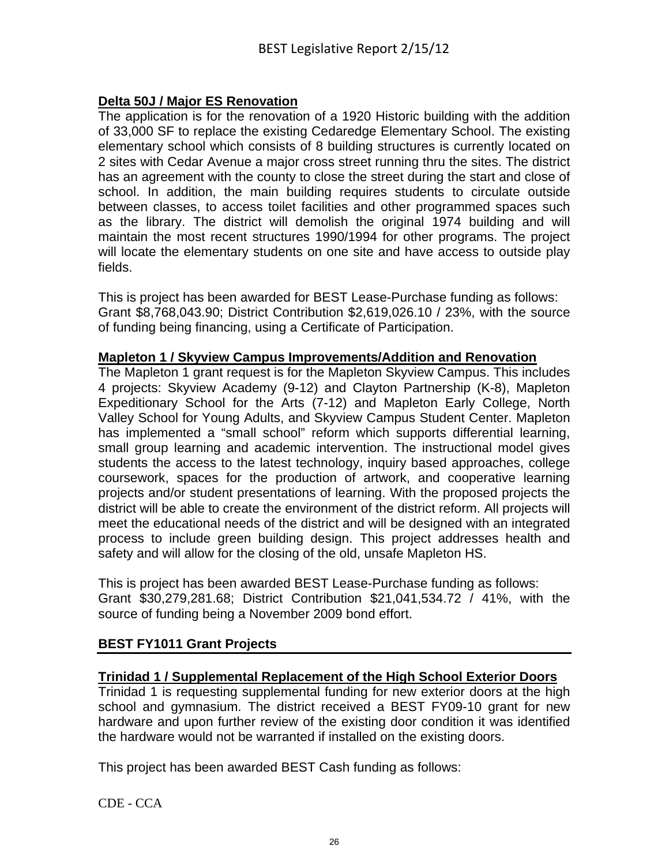## **Delta 50J / Major ES Renovation**

The application is for the renovation of a 1920 Historic building with the addition of 33,000 SF to replace the existing Cedaredge Elementary School. The existing elementary school which consists of 8 building structures is currently located on 2 sites with Cedar Avenue a major cross street running thru the sites. The district has an agreement with the county to close the street during the start and close of school. In addition, the main building requires students to circulate outside between classes, to access toilet facilities and other programmed spaces such as the library. The district will demolish the original 1974 building and will maintain the most recent structures 1990/1994 for other programs. The project will locate the elementary students on one site and have access to outside play fields.

This is project has been awarded for BEST Lease-Purchase funding as follows: Grant \$8,768,043.90; District Contribution \$2,619,026.10 / 23%, with the source of funding being financing, using a Certificate of Participation.

#### **Mapleton 1 / Skyview Campus Improvements/Addition and Renovation**

The Mapleton 1 grant request is for the Mapleton Skyview Campus. This includes 4 projects: Skyview Academy (9-12) and Clayton Partnership (K-8), Mapleton Expeditionary School for the Arts (7-12) and Mapleton Early College, North Valley School for Young Adults, and Skyview Campus Student Center. Mapleton has implemented a "small school" reform which supports differential learning, small group learning and academic intervention. The instructional model gives students the access to the latest technology, inquiry based approaches, college coursework, spaces for the production of artwork, and cooperative learning projects and/or student presentations of learning. With the proposed projects the district will be able to create the environment of the district reform. All projects will meet the educational needs of the district and will be designed with an integrated process to include green building design. This project addresses health and safety and will allow for the closing of the old, unsafe Mapleton HS.

This is project has been awarded BEST Lease-Purchase funding as follows: Grant \$30,279,281.68; District Contribution \$21,041,534.72 / 41%, with the source of funding being a November 2009 bond effort.

## **BEST FY1011 Grant Projects**

#### **Trinidad 1 / Supplemental Replacement of the High School Exterior Doors**

Trinidad 1 is requesting supplemental funding for new exterior doors at the high school and gymnasium. The district received a BEST FY09-10 grant for new hardware and upon further review of the existing door condition it was identified the hardware would not be warranted if installed on the existing doors.

This project has been awarded BEST Cash funding as follows: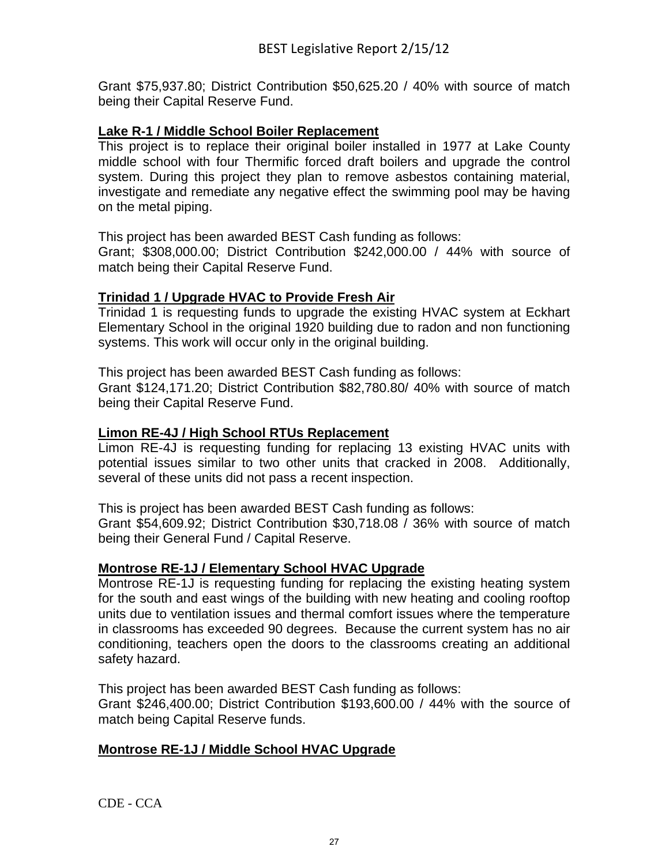Grant \$75,937.80; District Contribution \$50,625.20 / 40% with source of match being their Capital Reserve Fund.

#### **Lake R-1 / Middle School Boiler Replacement**

This project is to replace their original boiler installed in 1977 at Lake County middle school with four Thermific forced draft boilers and upgrade the control system. During this project they plan to remove asbestos containing material, investigate and remediate any negative effect the swimming pool may be having on the metal piping.

This project has been awarded BEST Cash funding as follows:

Grant; \$308,000.00; District Contribution \$242,000.00 / 44% with source of match being their Capital Reserve Fund.

## **Trinidad 1 / Upgrade HVAC to Provide Fresh Air**

Trinidad 1 is requesting funds to upgrade the existing HVAC system at Eckhart Elementary School in the original 1920 building due to radon and non functioning systems. This work will occur only in the original building.

This project has been awarded BEST Cash funding as follows:

Grant \$124,171.20; District Contribution \$82,780.80/ 40% with source of match being their Capital Reserve Fund.

#### **Limon RE-4J / High School RTUs Replacement**

Limon RE-4J is requesting funding for replacing 13 existing HVAC units with potential issues similar to two other units that cracked in 2008. Additionally, several of these units did not pass a recent inspection.

This is project has been awarded BEST Cash funding as follows:

Grant \$54,609.92; District Contribution \$30,718.08 / 36% with source of match being their General Fund / Capital Reserve.

#### **Montrose RE-1J / Elementary School HVAC Upgrade**

Montrose RE-1J is requesting funding for replacing the existing heating system for the south and east wings of the building with new heating and cooling rooftop units due to ventilation issues and thermal comfort issues where the temperature in classrooms has exceeded 90 degrees. Because the current system has no air conditioning, teachers open the doors to the classrooms creating an additional safety hazard.

This project has been awarded BEST Cash funding as follows:

Grant \$246,400.00; District Contribution \$193,600.00 / 44% with the source of match being Capital Reserve funds.

## **Montrose RE-1J / Middle School HVAC Upgrade**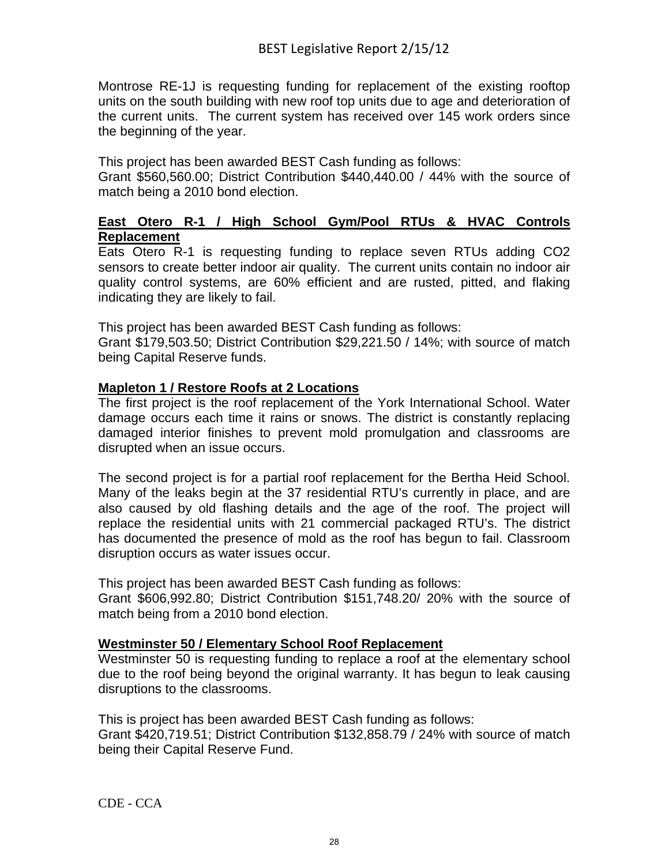Montrose RE-1J is requesting funding for replacement of the existing rooftop units on the south building with new roof top units due to age and deterioration of the current units. The current system has received over 145 work orders since the beginning of the year.

This project has been awarded BEST Cash funding as follows:

Grant \$560,560.00; District Contribution \$440,440.00 / 44% with the source of match being a 2010 bond election.

#### **East Otero R-1 / High School Gym/Pool RTUs & HVAC Controls Replacement**

Eats Otero R-1 is requesting funding to replace seven RTUs adding CO2 sensors to create better indoor air quality. The current units contain no indoor air quality control systems, are 60% efficient and are rusted, pitted, and flaking indicating they are likely to fail.

This project has been awarded BEST Cash funding as follows:

Grant \$179,503.50; District Contribution \$29,221.50 / 14%; with source of match being Capital Reserve funds.

#### **Mapleton 1 / Restore Roofs at 2 Locations**

The first project is the roof replacement of the York International School. Water damage occurs each time it rains or snows. The district is constantly replacing damaged interior finishes to prevent mold promulgation and classrooms are disrupted when an issue occurs.

The second project is for a partial roof replacement for the Bertha Heid School. Many of the leaks begin at the 37 residential RTU's currently in place, and are also caused by old flashing details and the age of the roof. The project will replace the residential units with 21 commercial packaged RTU's. The district has documented the presence of mold as the roof has begun to fail. Classroom disruption occurs as water issues occur.

This project has been awarded BEST Cash funding as follows: Grant \$606,992.80; District Contribution \$151,748.20/ 20% with the source of match being from a 2010 bond election.

## **Westminster 50 / Elementary School Roof Replacement**

Westminster 50 is requesting funding to replace a roof at the elementary school due to the roof being beyond the original warranty. It has begun to leak causing disruptions to the classrooms.

This is project has been awarded BEST Cash funding as follows: Grant \$420,719.51; District Contribution \$132,858.79 / 24% with source of match being their Capital Reserve Fund.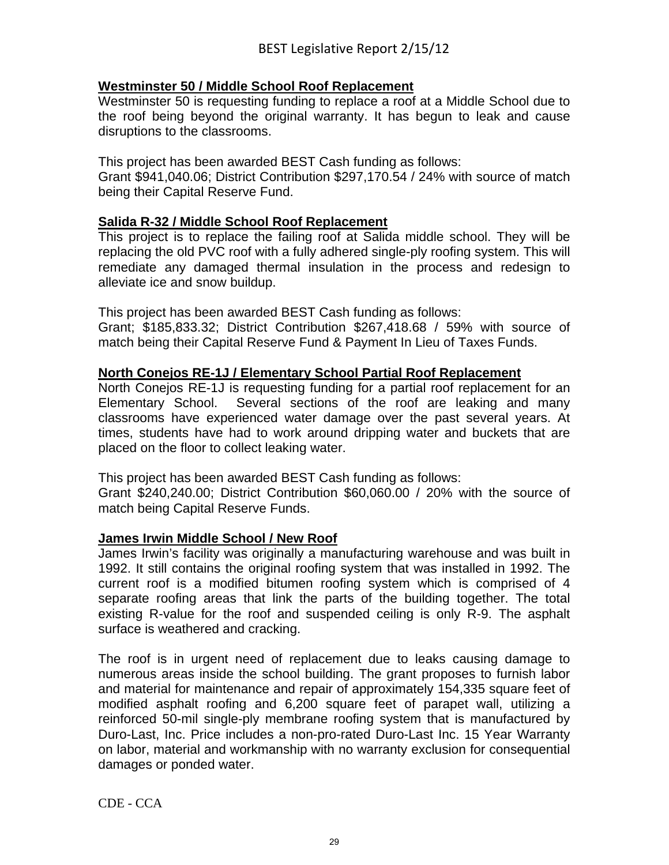#### **Westminster 50 / Middle School Roof Replacement**

Westminster 50 is requesting funding to replace a roof at a Middle School due to the roof being beyond the original warranty. It has begun to leak and cause disruptions to the classrooms.

This project has been awarded BEST Cash funding as follows:

Grant \$941,040.06; District Contribution \$297,170.54 / 24% with source of match being their Capital Reserve Fund.

#### **Salida R-32 / Middle School Roof Replacement**

This project is to replace the failing roof at Salida middle school. They will be replacing the old PVC roof with a fully adhered single-ply roofing system. This will remediate any damaged thermal insulation in the process and redesign to alleviate ice and snow buildup.

This project has been awarded BEST Cash funding as follows:

Grant; \$185,833.32; District Contribution \$267,418.68 / 59% with source of match being their Capital Reserve Fund & Payment In Lieu of Taxes Funds.

#### **North Conejos RE-1J / Elementary School Partial Roof Replacement**

North Conejos RE-1J is requesting funding for a partial roof replacement for an Elementary School. Several sections of the roof are leaking and many classrooms have experienced water damage over the past several years. At times, students have had to work around dripping water and buckets that are placed on the floor to collect leaking water.

This project has been awarded BEST Cash funding as follows:

Grant \$240,240.00; District Contribution \$60,060.00 / 20% with the source of match being Capital Reserve Funds.

#### **James Irwin Middle School / New Roof**

James Irwin's facility was originally a manufacturing warehouse and was built in 1992. It still contains the original roofing system that was installed in 1992. The current roof is a modified bitumen roofing system which is comprised of 4 separate roofing areas that link the parts of the building together. The total existing R-value for the roof and suspended ceiling is only R-9. The asphalt surface is weathered and cracking.

The roof is in urgent need of replacement due to leaks causing damage to numerous areas inside the school building. The grant proposes to furnish labor and material for maintenance and repair of approximately 154,335 square feet of modified asphalt roofing and 6,200 square feet of parapet wall, utilizing a reinforced 50-mil single-ply membrane roofing system that is manufactured by Duro-Last, Inc. Price includes a non-pro-rated Duro-Last Inc. 15 Year Warranty on labor, material and workmanship with no warranty exclusion for consequential damages or ponded water.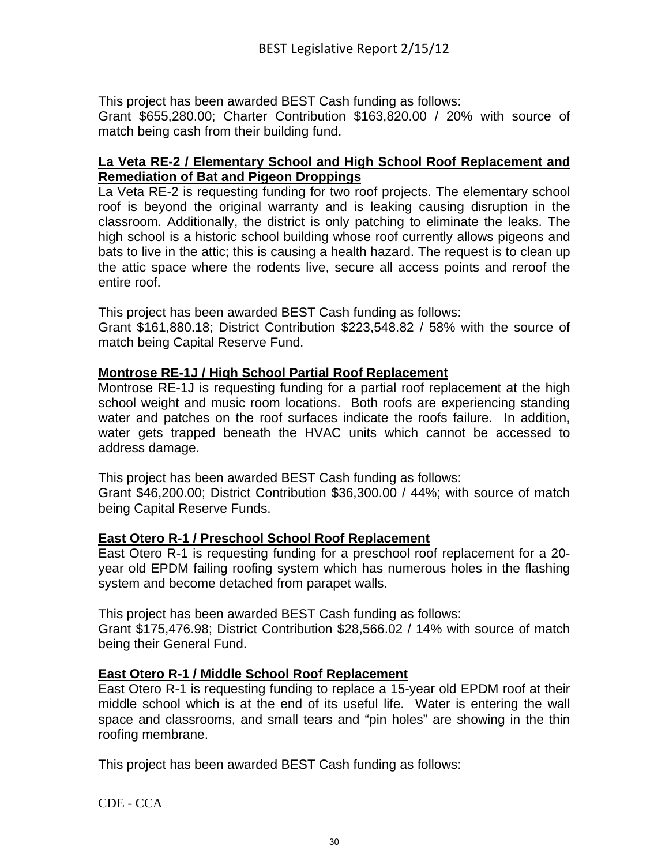This project has been awarded BEST Cash funding as follows:

Grant \$655,280.00; Charter Contribution \$163,820.00 / 20% with source of match being cash from their building fund.

#### **La Veta RE-2 / Elementary School and High School Roof Replacement and Remediation of Bat and Pigeon Droppings**

La Veta RE-2 is requesting funding for two roof projects. The elementary school roof is beyond the original warranty and is leaking causing disruption in the classroom. Additionally, the district is only patching to eliminate the leaks. The high school is a historic school building whose roof currently allows pigeons and bats to live in the attic; this is causing a health hazard. The request is to clean up the attic space where the rodents live, secure all access points and reroof the entire roof.

This project has been awarded BEST Cash funding as follows:

Grant \$161,880.18; District Contribution \$223,548.82 / 58% with the source of match being Capital Reserve Fund.

## **Montrose RE-1J / High School Partial Roof Replacement**

Montrose RE-1J is requesting funding for a partial roof replacement at the high school weight and music room locations. Both roofs are experiencing standing water and patches on the roof surfaces indicate the roofs failure. In addition, water gets trapped beneath the HVAC units which cannot be accessed to address damage.

This project has been awarded BEST Cash funding as follows: Grant \$46,200.00; District Contribution \$36,300.00 / 44%; with source of match being Capital Reserve Funds.

## **East Otero R-1 / Preschool School Roof Replacement**

East Otero R-1 is requesting funding for a preschool roof replacement for a 20 year old EPDM failing roofing system which has numerous holes in the flashing system and become detached from parapet walls.

This project has been awarded BEST Cash funding as follows:

Grant \$175,476.98; District Contribution \$28,566.02 / 14% with source of match being their General Fund.

#### **East Otero R-1 / Middle School Roof Replacement**

East Otero R-1 is requesting funding to replace a 15-year old EPDM roof at their middle school which is at the end of its useful life. Water is entering the wall space and classrooms, and small tears and "pin holes" are showing in the thin roofing membrane.

This project has been awarded BEST Cash funding as follows: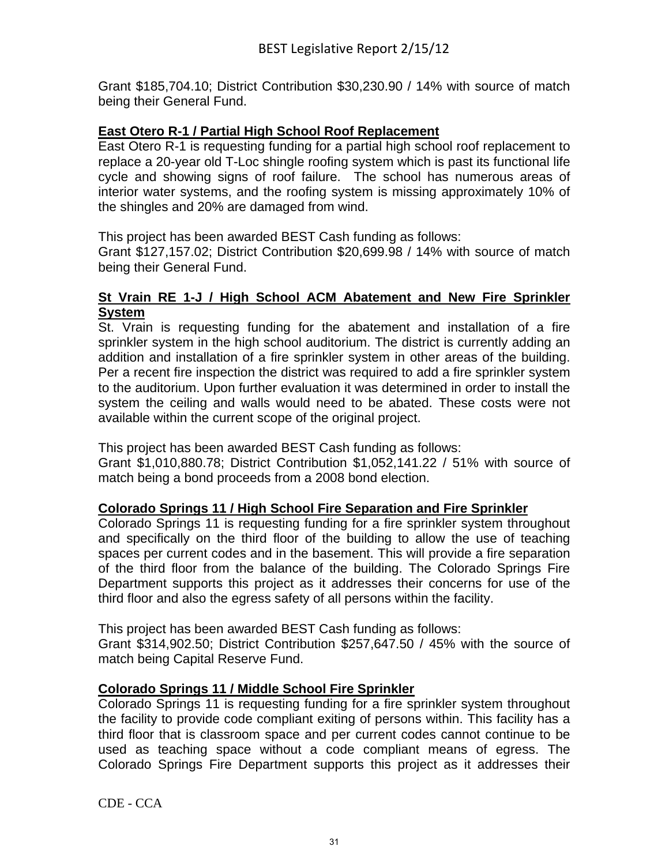Grant \$185,704.10; District Contribution \$30,230.90 / 14% with source of match being their General Fund.

#### **East Otero R-1 / Partial High School Roof Replacement**

East Otero R-1 is requesting funding for a partial high school roof replacement to replace a 20-year old T-Loc shingle roofing system which is past its functional life cycle and showing signs of roof failure. The school has numerous areas of interior water systems, and the roofing system is missing approximately 10% of the shingles and 20% are damaged from wind.

This project has been awarded BEST Cash funding as follows:

Grant \$127,157.02; District Contribution \$20,699.98 / 14% with source of match being their General Fund.

#### **St Vrain RE 1-J / High School ACM Abatement and New Fire Sprinkler System**

St. Vrain is requesting funding for the abatement and installation of a fire sprinkler system in the high school auditorium. The district is currently adding an addition and installation of a fire sprinkler system in other areas of the building. Per a recent fire inspection the district was required to add a fire sprinkler system to the auditorium. Upon further evaluation it was determined in order to install the system the ceiling and walls would need to be abated. These costs were not available within the current scope of the original project.

This project has been awarded BEST Cash funding as follows:

Grant \$1,010,880.78; District Contribution \$1,052,141.22 / 51% with source of match being a bond proceeds from a 2008 bond election.

#### **Colorado Springs 11 / High School Fire Separation and Fire Sprinkler**

Colorado Springs 11 is requesting funding for a fire sprinkler system throughout and specifically on the third floor of the building to allow the use of teaching spaces per current codes and in the basement. This will provide a fire separation of the third floor from the balance of the building. The Colorado Springs Fire Department supports this project as it addresses their concerns for use of the third floor and also the egress safety of all persons within the facility.

This project has been awarded BEST Cash funding as follows:

Grant \$314,902.50; District Contribution \$257,647.50 / 45% with the source of match being Capital Reserve Fund.

## **Colorado Springs 11 / Middle School Fire Sprinkler**

Colorado Springs 11 is requesting funding for a fire sprinkler system throughout the facility to provide code compliant exiting of persons within. This facility has a third floor that is classroom space and per current codes cannot continue to be used as teaching space without a code compliant means of egress. The Colorado Springs Fire Department supports this project as it addresses their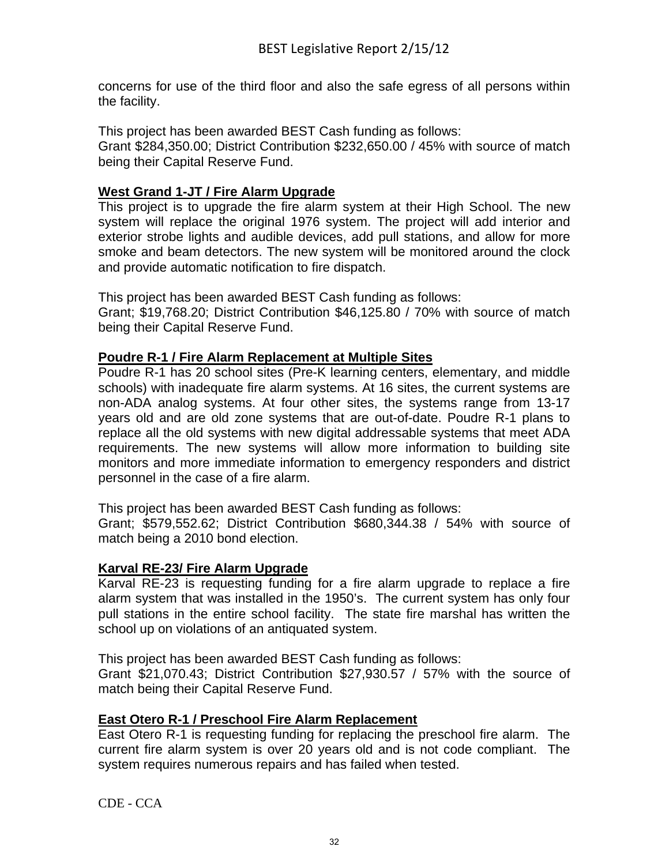concerns for use of the third floor and also the safe egress of all persons within the facility.

This project has been awarded BEST Cash funding as follows: Grant \$284,350.00; District Contribution \$232,650.00 / 45% with source of match being their Capital Reserve Fund.

## **West Grand 1-JT / Fire Alarm Upgrade**

This project is to upgrade the fire alarm system at their High School. The new system will replace the original 1976 system. The project will add interior and exterior strobe lights and audible devices, add pull stations, and allow for more smoke and beam detectors. The new system will be monitored around the clock and provide automatic notification to fire dispatch.

This project has been awarded BEST Cash funding as follows: Grant; \$19,768.20; District Contribution \$46,125.80 / 70% with source of match being their Capital Reserve Fund.

#### **Poudre R-1 / Fire Alarm Replacement at Multiple Sites**

Poudre R-1 has 20 school sites (Pre-K learning centers, elementary, and middle schools) with inadequate fire alarm systems. At 16 sites, the current systems are non-ADA analog systems. At four other sites, the systems range from 13-17 years old and are old zone systems that are out-of-date. Poudre R-1 plans to replace all the old systems with new digital addressable systems that meet ADA requirements. The new systems will allow more information to building site monitors and more immediate information to emergency responders and district personnel in the case of a fire alarm.

This project has been awarded BEST Cash funding as follows:

Grant; \$579,552.62; District Contribution \$680,344.38 / 54% with source of match being a 2010 bond election.

#### **Karval RE-23/ Fire Alarm Upgrade**

Karval RE-23 is requesting funding for a fire alarm upgrade to replace a fire alarm system that was installed in the 1950's. The current system has only four pull stations in the entire school facility. The state fire marshal has written the school up on violations of an antiquated system.

This project has been awarded BEST Cash funding as follows:

Grant \$21,070.43; District Contribution \$27,930.57 / 57% with the source of match being their Capital Reserve Fund.

#### **East Otero R-1 / Preschool Fire Alarm Replacement**

East Otero R-1 is requesting funding for replacing the preschool fire alarm. The current fire alarm system is over 20 years old and is not code compliant. The system requires numerous repairs and has failed when tested.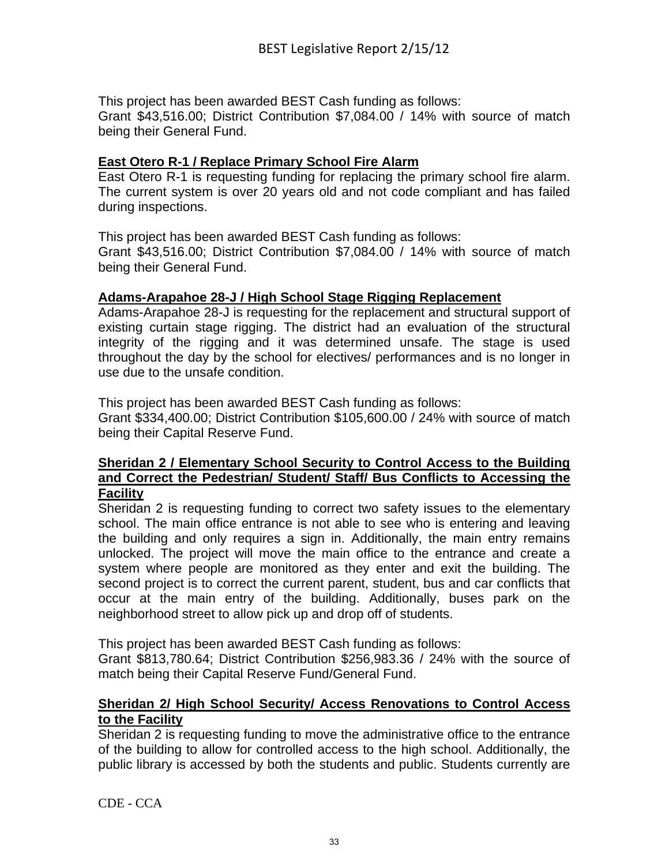This project has been awarded BEST Cash funding as follows:

Grant \$43,516.00; District Contribution \$7,084.00 / 14% with source of match being their General Fund.

#### **East Otero R-1 / Replace Primary School Fire Alarm**

East Otero R-1 is requesting funding for replacing the primary school fire alarm. The current system is over 20 years old and not code compliant and has failed during inspections.

This project has been awarded BEST Cash funding as follows:

Grant \$43,516.00; District Contribution \$7,084.00 / 14% with source of match being their General Fund.

#### **Adams-Arapahoe 28-J / High School Stage Rigging Replacement**

Adams-Arapahoe 28-J is requesting for the replacement and structural support of existing curtain stage rigging. The district had an evaluation of the structural integrity of the rigging and it was determined unsafe. The stage is used throughout the day by the school for electives/ performances and is no longer in use due to the unsafe condition.

This project has been awarded BEST Cash funding as follows:

Grant \$334,400.00; District Contribution \$105,600.00 / 24% with source of match being their Capital Reserve Fund.

#### **Sheridan 2 / Elementary School Security to Control Access to the Building and Correct the Pedestrian/ Student/ Staff/ Bus Conflicts to Accessing the Facility**

Sheridan 2 is requesting funding to correct two safety issues to the elementary school. The main office entrance is not able to see who is entering and leaving the building and only requires a sign in. Additionally, the main entry remains unlocked. The project will move the main office to the entrance and create a system where people are monitored as they enter and exit the building. The second project is to correct the current parent, student, bus and car conflicts that occur at the main entry of the building. Additionally, buses park on the neighborhood street to allow pick up and drop off of students.

This project has been awarded BEST Cash funding as follows:

Grant \$813,780.64; District Contribution \$256,983.36 / 24% with the source of match being their Capital Reserve Fund/General Fund.

## **Sheridan 2/ High School Security/ Access Renovations to Control Access to the Facility**

Sheridan 2 is requesting funding to move the administrative office to the entrance of the building to allow for controlled access to the high school. Additionally, the public library is accessed by both the students and public. Students currently are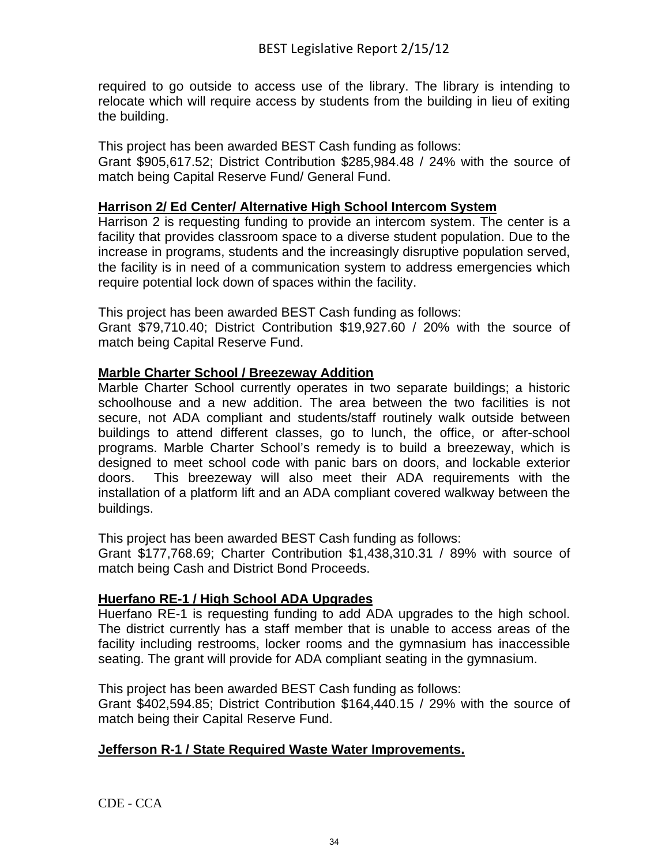required to go outside to access use of the library. The library is intending to relocate which will require access by students from the building in lieu of exiting the building.

This project has been awarded BEST Cash funding as follows: Grant \$905,617.52; District Contribution \$285,984.48 / 24% with the source of match being Capital Reserve Fund/ General Fund.

#### **Harrison 2/ Ed Center/ Alternative High School Intercom System**

Harrison 2 is requesting funding to provide an intercom system. The center is a facility that provides classroom space to a diverse student population. Due to the increase in programs, students and the increasingly disruptive population served, the facility is in need of a communication system to address emergencies which require potential lock down of spaces within the facility.

This project has been awarded BEST Cash funding as follows: Grant \$79,710.40; District Contribution \$19,927.60 / 20% with the source of match being Capital Reserve Fund.

#### **Marble Charter School / Breezeway Addition**

Marble Charter School currently operates in two separate buildings; a historic schoolhouse and a new addition. The area between the two facilities is not secure, not ADA compliant and students/staff routinely walk outside between buildings to attend different classes, go to lunch, the office, or after-school programs. Marble Charter School's remedy is to build a breezeway, which is designed to meet school code with panic bars on doors, and lockable exterior doors. This breezeway will also meet their ADA requirements with the installation of a platform lift and an ADA compliant covered walkway between the buildings.

This project has been awarded BEST Cash funding as follows:

Grant \$177,768.69; Charter Contribution \$1,438,310.31 / 89% with source of match being Cash and District Bond Proceeds.

## **Huerfano RE-1 / High School ADA Upgrades**

Huerfano RE-1 is requesting funding to add ADA upgrades to the high school. The district currently has a staff member that is unable to access areas of the facility including restrooms, locker rooms and the gymnasium has inaccessible seating. The grant will provide for ADA compliant seating in the gymnasium.

This project has been awarded BEST Cash funding as follows:

Grant \$402,594.85; District Contribution \$164,440.15 / 29% with the source of match being their Capital Reserve Fund.

#### **Jefferson R-1 / State Required Waste Water Improvements.**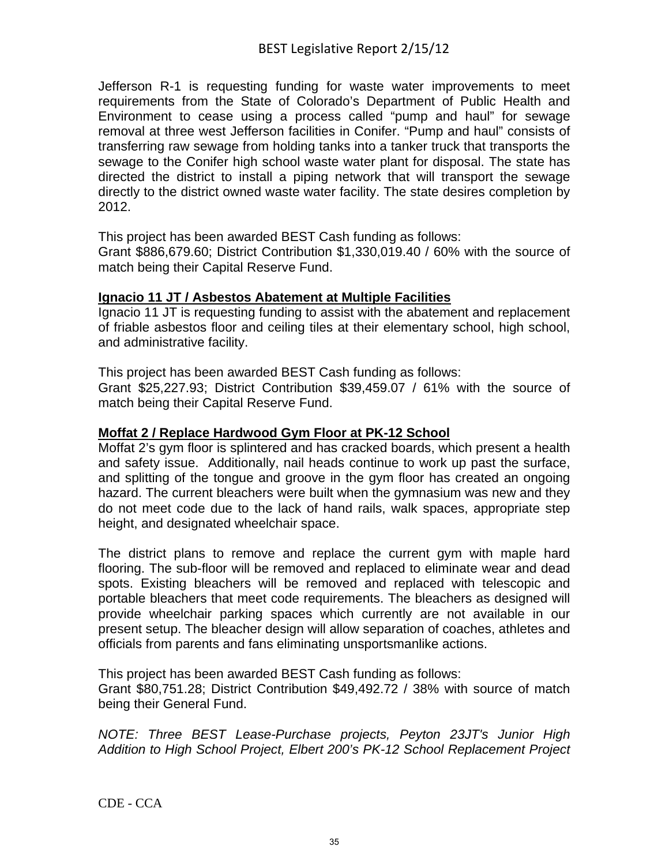Jefferson R-1 is requesting funding for waste water improvements to meet requirements from the State of Colorado's Department of Public Health and Environment to cease using a process called "pump and haul" for sewage removal at three west Jefferson facilities in Conifer. "Pump and haul" consists of transferring raw sewage from holding tanks into a tanker truck that transports the sewage to the Conifer high school waste water plant for disposal. The state has directed the district to install a piping network that will transport the sewage directly to the district owned waste water facility. The state desires completion by 2012.

This project has been awarded BEST Cash funding as follows:

Grant \$886,679.60; District Contribution \$1,330,019.40 / 60% with the source of match being their Capital Reserve Fund.

## **Ignacio 11 JT / Asbestos Abatement at Multiple Facilities**

Ignacio 11 JT is requesting funding to assist with the abatement and replacement of friable asbestos floor and ceiling tiles at their elementary school, high school, and administrative facility.

This project has been awarded BEST Cash funding as follows:

Grant \$25,227.93; District Contribution \$39,459.07 / 61% with the source of match being their Capital Reserve Fund.

## **Moffat 2 / Replace Hardwood Gym Floor at PK-12 School**

Moffat 2's gym floor is splintered and has cracked boards, which present a health and safety issue. Additionally, nail heads continue to work up past the surface, and splitting of the tongue and groove in the gym floor has created an ongoing hazard. The current bleachers were built when the gymnasium was new and they do not meet code due to the lack of hand rails, walk spaces, appropriate step height, and designated wheelchair space.

The district plans to remove and replace the current gym with maple hard flooring. The sub-floor will be removed and replaced to eliminate wear and dead spots. Existing bleachers will be removed and replaced with telescopic and portable bleachers that meet code requirements. The bleachers as designed will provide wheelchair parking spaces which currently are not available in our present setup. The bleacher design will allow separation of coaches, athletes and officials from parents and fans eliminating unsportsmanlike actions.

This project has been awarded BEST Cash funding as follows:

Grant \$80,751.28; District Contribution \$49,492.72 / 38% with source of match being their General Fund.

*NOTE: Three BEST Lease-Purchase projects, Peyton 23JT's Junior High Addition to High School Project, Elbert 200's PK-12 School Replacement Project*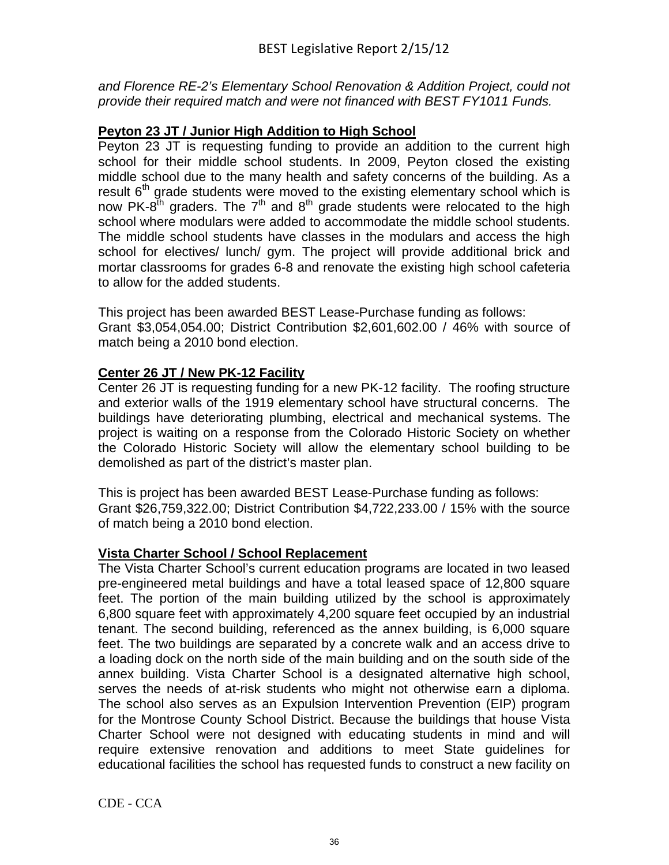*and Florence RE-2's Elementary School Renovation & Addition Project, could not provide their required match and were not financed with BEST FY1011 Funds.*

## **Peyton 23 JT / Junior High Addition to High School**

Peyton 23 JT is requesting funding to provide an addition to the current high school for their middle school students. In 2009, Peyton closed the existing middle school due to the many health and safety concerns of the building. As a result 6<sup>th</sup> grade students were moved to the existing elementary school which is now PK-8<sup>th</sup> graders. The 7<sup>th</sup> and 8<sup>th</sup> grade students were relocated to the high school where modulars were added to accommodate the middle school students. The middle school students have classes in the modulars and access the high school for electives/ lunch/ gym. The project will provide additional brick and mortar classrooms for grades 6-8 and renovate the existing high school cafeteria to allow for the added students.

This project has been awarded BEST Lease-Purchase funding as follows: Grant \$3,054,054.00; District Contribution \$2,601,602.00 / 46% with source of match being a 2010 bond election.

## **Center 26 JT / New PK-12 Facility**

Center 26 JT is requesting funding for a new PK-12 facility. The roofing structure and exterior walls of the 1919 elementary school have structural concerns. The buildings have deteriorating plumbing, electrical and mechanical systems. The project is waiting on a response from the Colorado Historic Society on whether the Colorado Historic Society will allow the elementary school building to be demolished as part of the district's master plan.

This is project has been awarded BEST Lease-Purchase funding as follows: Grant \$26,759,322.00; District Contribution \$4,722,233.00 / 15% with the source of match being a 2010 bond election.

## **Vista Charter School / School Replacement**

The Vista Charter School's current education programs are located in two leased pre-engineered metal buildings and have a total leased space of 12,800 square feet. The portion of the main building utilized by the school is approximately 6,800 square feet with approximately 4,200 square feet occupied by an industrial tenant. The second building, referenced as the annex building, is 6,000 square feet. The two buildings are separated by a concrete walk and an access drive to a loading dock on the north side of the main building and on the south side of the annex building. Vista Charter School is a designated alternative high school, serves the needs of at-risk students who might not otherwise earn a diploma. The school also serves as an Expulsion Intervention Prevention (EIP) program for the Montrose County School District. Because the buildings that house Vista Charter School were not designed with educating students in mind and will require extensive renovation and additions to meet State guidelines for educational facilities the school has requested funds to construct a new facility on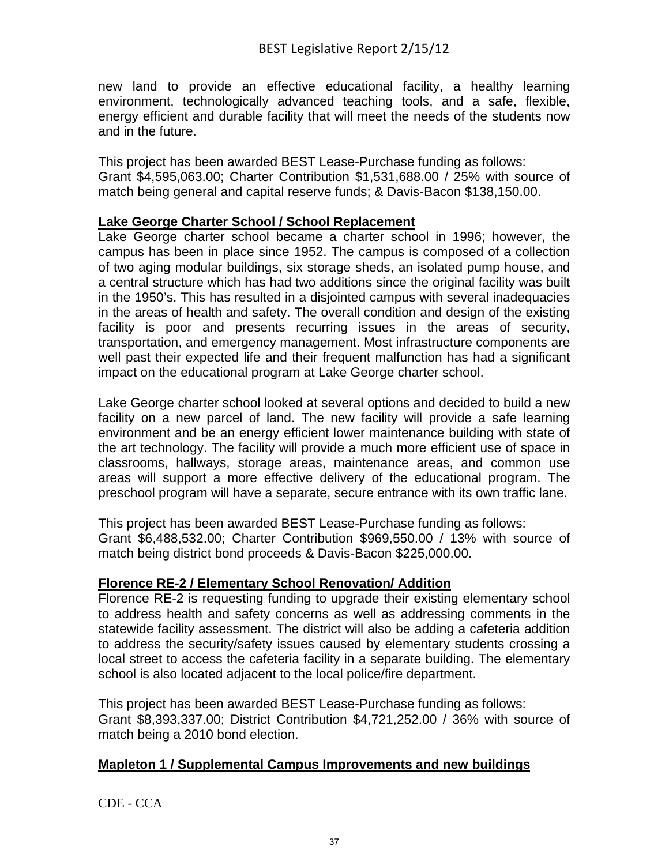new land to provide an effective educational facility, a healthy learning environment, technologically advanced teaching tools, and a safe, flexible, energy efficient and durable facility that will meet the needs of the students now and in the future.

This project has been awarded BEST Lease-Purchase funding as follows: Grant \$4,595,063.00; Charter Contribution \$1,531,688.00 / 25% with source of match being general and capital reserve funds; & Davis-Bacon \$138,150.00.

#### **Lake George Charter School / School Replacement**

Lake George charter school became a charter school in 1996; however, the campus has been in place since 1952. The campus is composed of a collection of two aging modular buildings, six storage sheds, an isolated pump house, and a central structure which has had two additions since the original facility was built in the 1950's. This has resulted in a disjointed campus with several inadequacies in the areas of health and safety. The overall condition and design of the existing facility is poor and presents recurring issues in the areas of security, transportation, and emergency management. Most infrastructure components are well past their expected life and their frequent malfunction has had a significant impact on the educational program at Lake George charter school.

Lake George charter school looked at several options and decided to build a new facility on a new parcel of land. The new facility will provide a safe learning environment and be an energy efficient lower maintenance building with state of the art technology. The facility will provide a much more efficient use of space in classrooms, hallways, storage areas, maintenance areas, and common use areas will support a more effective delivery of the educational program. The preschool program will have a separate, secure entrance with its own traffic lane.

This project has been awarded BEST Lease-Purchase funding as follows: Grant \$6,488,532.00; Charter Contribution \$969,550.00 / 13% with source of match being district bond proceeds & Davis-Bacon \$225,000.00.

#### **Florence RE-2 / Elementary School Renovation/ Addition**

Florence RE-2 is requesting funding to upgrade their existing elementary school to address health and safety concerns as well as addressing comments in the statewide facility assessment. The district will also be adding a cafeteria addition to address the security/safety issues caused by elementary students crossing a local street to access the cafeteria facility in a separate building. The elementary school is also located adjacent to the local police/fire department.

This project has been awarded BEST Lease-Purchase funding as follows: Grant \$8,393,337.00; District Contribution \$4,721,252.00 / 36% with source of match being a 2010 bond election.

## **Mapleton 1 / Supplemental Campus Improvements and new buildings**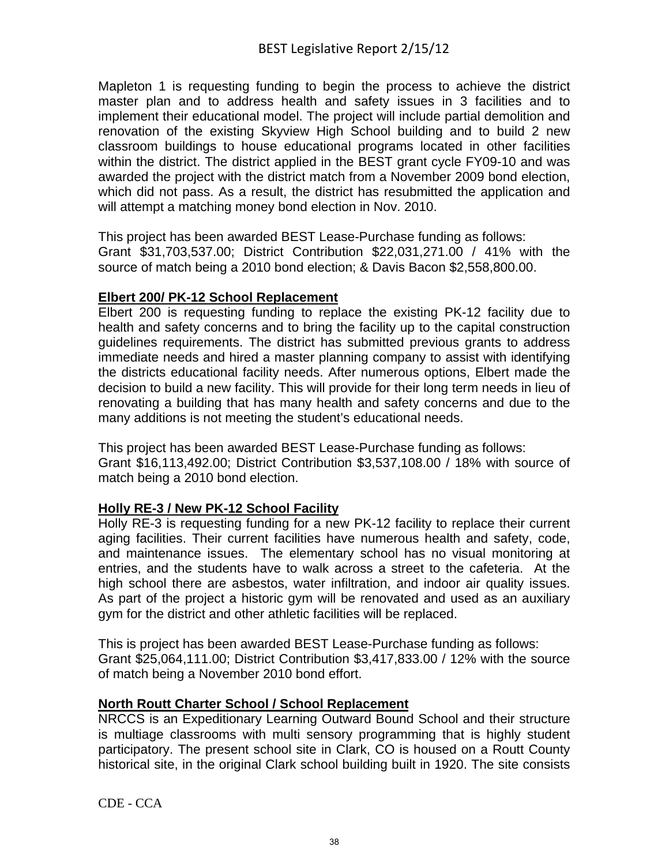Mapleton 1 is requesting funding to begin the process to achieve the district master plan and to address health and safety issues in 3 facilities and to implement their educational model. The project will include partial demolition and renovation of the existing Skyview High School building and to build 2 new classroom buildings to house educational programs located in other facilities within the district. The district applied in the BEST grant cycle FY09-10 and was awarded the project with the district match from a November 2009 bond election, which did not pass. As a result, the district has resubmitted the application and will attempt a matching money bond election in Nov. 2010.

This project has been awarded BEST Lease-Purchase funding as follows: Grant \$31,703,537.00; District Contribution \$22,031,271.00 / 41% with the source of match being a 2010 bond election; & Davis Bacon \$2,558,800.00.

## **Elbert 200/ PK-12 School Replacement**

Elbert 200 is requesting funding to replace the existing PK-12 facility due to health and safety concerns and to bring the facility up to the capital construction guidelines requirements. The district has submitted previous grants to address immediate needs and hired a master planning company to assist with identifying the districts educational facility needs. After numerous options, Elbert made the decision to build a new facility. This will provide for their long term needs in lieu of renovating a building that has many health and safety concerns and due to the many additions is not meeting the student's educational needs.

This project has been awarded BEST Lease-Purchase funding as follows: Grant \$16,113,492.00; District Contribution \$3,537,108.00 / 18% with source of match being a 2010 bond election.

## **Holly RE-3 / New PK-12 School Facility**

Holly RE-3 is requesting funding for a new PK-12 facility to replace their current aging facilities. Their current facilities have numerous health and safety, code, and maintenance issues. The elementary school has no visual monitoring at entries, and the students have to walk across a street to the cafeteria. At the high school there are asbestos, water infiltration, and indoor air quality issues. As part of the project a historic gym will be renovated and used as an auxiliary gym for the district and other athletic facilities will be replaced.

This is project has been awarded BEST Lease-Purchase funding as follows: Grant \$25,064,111.00; District Contribution \$3,417,833.00 / 12% with the source of match being a November 2010 bond effort.

## **North Routt Charter School / School Replacement**

NRCCS is an Expeditionary Learning Outward Bound School and their structure is multiage classrooms with multi sensory programming that is highly student participatory. The present school site in Clark, CO is housed on a Routt County historical site, in the original Clark school building built in 1920. The site consists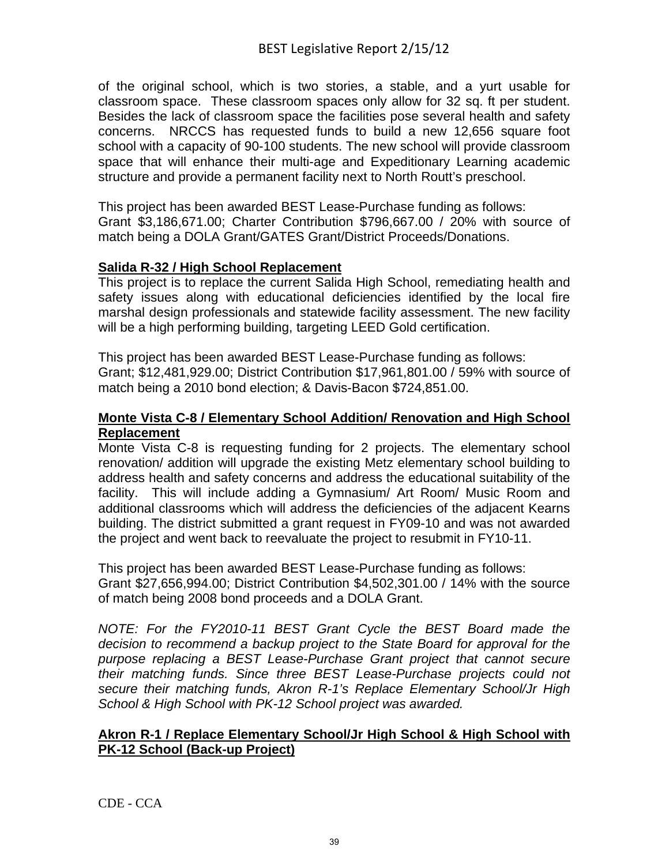of the original school, which is two stories, a stable, and a yurt usable for classroom space. These classroom spaces only allow for 32 sq. ft per student. Besides the lack of classroom space the facilities pose several health and safety concerns. NRCCS has requested funds to build a new 12,656 square foot school with a capacity of 90-100 students. The new school will provide classroom space that will enhance their multi-age and Expeditionary Learning academic structure and provide a permanent facility next to North Routt's preschool.

This project has been awarded BEST Lease-Purchase funding as follows: Grant \$3,186,671.00; Charter Contribution \$796,667.00 / 20% with source of match being a DOLA Grant/GATES Grant/District Proceeds/Donations.

#### **Salida R-32 / High School Replacement**

This project is to replace the current Salida High School, remediating health and safety issues along with educational deficiencies identified by the local fire marshal design professionals and statewide facility assessment. The new facility will be a high performing building, targeting LEED Gold certification.

This project has been awarded BEST Lease-Purchase funding as follows: Grant; \$12,481,929.00; District Contribution \$17,961,801.00 / 59% with source of match being a 2010 bond election; & Davis-Bacon \$724,851.00.

#### **Monte Vista C-8 / Elementary School Addition/ Renovation and High School Replacement**

Monte Vista C-8 is requesting funding for 2 projects. The elementary school renovation/ addition will upgrade the existing Metz elementary school building to address health and safety concerns and address the educational suitability of the facility. This will include adding a Gymnasium/ Art Room/ Music Room and additional classrooms which will address the deficiencies of the adjacent Kearns building. The district submitted a grant request in FY09-10 and was not awarded the project and went back to reevaluate the project to resubmit in FY10-11.

This project has been awarded BEST Lease-Purchase funding as follows: Grant \$27,656,994.00; District Contribution \$4,502,301.00 / 14% with the source of match being 2008 bond proceeds and a DOLA Grant.

*NOTE: For the FY2010-11 BEST Grant Cycle the BEST Board made the decision to recommend a backup project to the State Board for approval for the purpose replacing a BEST Lease-Purchase Grant project that cannot secure their matching funds. Since three BEST Lease-Purchase projects could not secure their matching funds, Akron R-1's Replace Elementary School/Jr High School & High School with PK-12 School project was awarded.* 

#### **Akron R-1 / Replace Elementary School/Jr High School & High School with PK-12 School (Back-up Project)**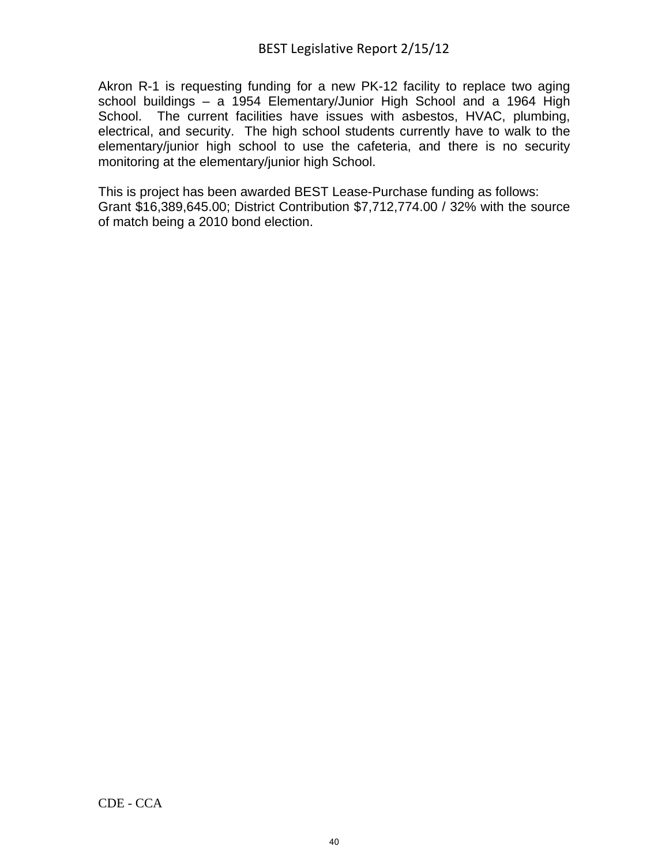Akron R-1 is requesting funding for a new PK-12 facility to replace two aging school buildings – a 1954 Elementary/Junior High School and a 1964 High School. The current facilities have issues with asbestos, HVAC, plumbing, electrical, and security. The high school students currently have to walk to the elementary/junior high school to use the cafeteria, and there is no security monitoring at the elementary/junior high School.

This is project has been awarded BEST Lease-Purchase funding as follows: Grant \$16,389,645.00; District Contribution \$7,712,774.00 / 32% with the source of match being a 2010 bond election.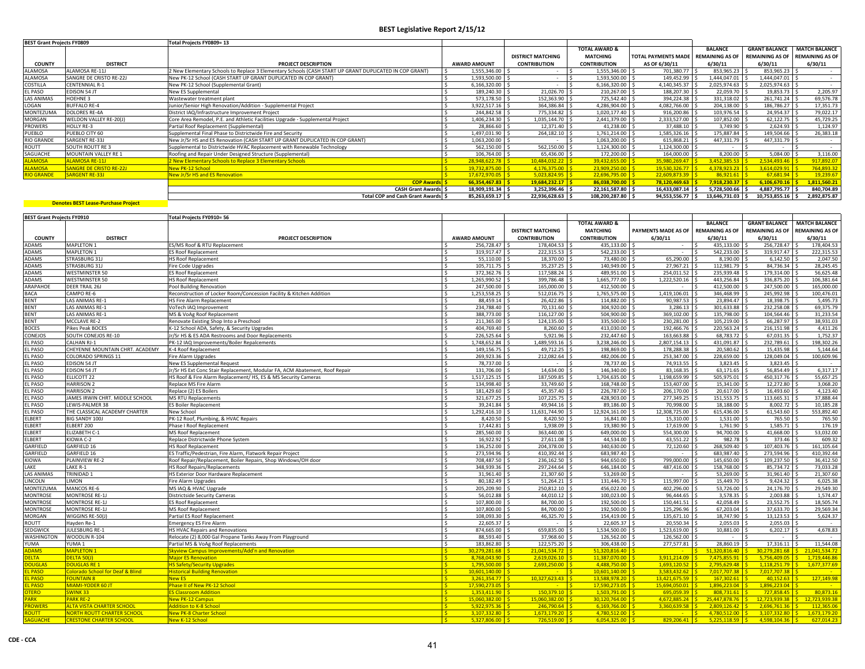| <b>BEST Grant Projects FY0809</b> |                                | Total Projects FY0809= 13                                                                              |                     |                          |                          |                                     |                  |                      |                                        |
|-----------------------------------|--------------------------------|--------------------------------------------------------------------------------------------------------|---------------------|--------------------------|--------------------------|-------------------------------------|------------------|----------------------|----------------------------------------|
|                                   |                                |                                                                                                        |                     |                          | <b>TOTAL AWARD &amp;</b> |                                     | <b>BALANCE</b>   | <b>GRANT BALANCE</b> | <b>MATCH BALANCE</b>                   |
|                                   |                                |                                                                                                        |                     | <b>DISTRICT MATCHING</b> | <b>MATCHING</b>          | TOTAL PAYMENTS MADE REMAINING AS OF |                  |                      | <b>REMAINING AS OF REMAINING AS OF</b> |
| <b>COUNTY</b>                     | <b>DISTRICT</b>                | <b>PROJECT DESCRIPTION</b>                                                                             | <b>AWARD AMOUNT</b> | <b>CONTRIBUTION</b>      | <b>CONTRIBUTION</b>      | AS OF 6/30/11                       | 6/30/11          | 6/30/11              | 6/30/11                                |
| <b>ALAMOSA</b>                    | ALAMOSA RE-11J                 | 2 New Elementary Schools to Replace 3 Elementary Schools (CASH START UP GRANT DUPLICATED IN COP GRANT) | 1.555.346.00        |                          | 1,555,346.00 \$          | 701,380.77 \$                       | 853,965.23 \$    | 853,965.23           |                                        |
| <b>ALAMOSA</b>                    | SANGRE DE CRISTO RE-22J        | New PK-12 School (CASH START UP GRANT DUPLICATED IN COP GRANT)                                         | 1,593,500.00 \$     |                          | 1,593,500.00 \$          | 149,452.99                          | 1,444,047.01 \$  | 1,444,047.01 \$      |                                        |
| COSTILLA                          | <b>CENTENNIAL R-1</b>          | New PK-12 School (Supplemental Grant)                                                                  | 6,166,320.00 \$     |                          | 6,166,320.00 \$          | 4,140,345.37                        | 2,025,974.63     | 2,025,974.63 \$      |                                        |
| <b>EL PASO</b>                    | <b>EDISON 54 JT</b>            | New ES Supplemental                                                                                    | 189,240,30          | 21,026.70 \$             | $210,267.00$ \$          | 188,207.30 \$                       | 22,059.70 \$     | 19,853.73 \$         | 2,205.97                               |
| LAS ANIMAS                        | <b>HOEHNE 3</b>                | Wastewater treatment plant                                                                             | 573,178.50 \$       | 152,363.90 \$            | 725,542.40 \$            | 394,224.38                          | 331,318.02 \$    | 261,741.24           | 69,576.78                              |
| LOGAN                             | <b>BUFFALO RE-4</b>            | Junior/Senior High Renovation/Addition - Supplemental Project                                          | 3.922.517.16 S      | 364,386.84 \$            | 4,286,904.00 \$          | 4,082,766.00                        | 204,138.00       | 186,786.27           | 17,351.73                              |
| MONTEZUMA                         | <b>DOLORES RE-4A</b>           | District IAQ/Infrastructure Improvement Project                                                        | 244,842.58 \$       | 775,334.82 \$            | 1,020,177.40 \$          | 916,200.86 \$                       | 103,976.54 \$    | 24,954.37 \$         | 79,022.17                              |
| MORGAN                            | WELDON VALLEY RE-20(J)         | Core Area Remodel, P.E. and Athletic Facilities Upgrade - Supplemental Project                         | 1,406,234.30 \$     | 1,035,144.70 \$          | 2,441,379.00 \$          | 2,333,527.00 \$                     | 107,852.00 \$    | 62,122.75            | 45,729.25                              |
| <b>PROWERS</b>                    | <b>HOLLY RE-3</b>              | Partial Roof Replacement (Supplemental)                                                                | 28,866.60 \$        | 12,371.40 \$             | 41,238.00 \$             | 37,488.10 \$                        | 3,749.90 \$      | 2,624.93 \$          | 1,124.97                               |
| PUEBLO                            | PUEBLO CITY 60                 | Supplemental Final Phase to Districtwide Fire and Security                                             | 1.497.031.90        | 264.182.10 \$            | $.761.214.00$ S          | 1.585.326.16 \$                     | 175.887.84 S     | 149.504.66           | 26,383.18                              |
| <b>RIO GRANDE</b>                 | SARGENT RE-33J                 | New Jr/Sr HS and ES Renovation (CASH START UP GRANT DUPLICATED IN COP GRANT)                           | 1.063.200.00 \$     |                          | 1,063,200.00 \$          | 615.868.21                          | 447.331.79 S     | 447.331.79 \$        |                                        |
| ROUTT                             | <b>SOUTH ROUTT RE 3</b>        | Supplemental to Districtwide HVAC Replacement with Renewable Technology                                | 562,150.00          | 562,150.00 \$            | 1,124,300.00 \$          | 1,124,300.00 \$                     |                  |                      | <b>COL</b>                             |
| SAGUACHE                          | <b>MOUNTAIN VALLEY RE 1</b>    | Roofing and Repair Under Designed Structure (Supplemental)                                             | 106,764.00 \$       | 65,436.00 \$             | 172,200.00 \$            | 164,000.00 \$                       | 8,200.00 \$      | 5,084.00 \$          | 3,116.00                               |
| <b>ALAMOSA</b>                    | <b>ALAMOSA RE-11J</b>          | 2 New Elementary Schools to Replace 3 Elementary Schools                                               | 28,948,622.78 \$    | 10,484,032.22 \$         | 39,432,655.00 \$         | 35,980,269.47                       | 3,452,385.53     | 2.534.493.46         | 917,892.07                             |
| <b>ALAMOSA</b>                    | <b>SANGRE DE CRISTO RE-22J</b> | <b>New PK-12 School</b>                                                                                | 19.732.875.00       | $4,176,375.00$ \$        | $23,909,250.00$ \$       | 19.530.326.77                       | $4.378.923.23$ S |                      | 764,893.32                             |
| <b>RIO GRANDE</b>                 | <b>SARGENT RE-33J</b>          | New Jr/Sr HS and ES Renovation                                                                         | 17,672,970.05 \$    | $5,023,824.95$ \$        | $22,696,795.00$ \$       | $22.609.873.39$ S                   | $86.921.61$ S    | 67,681.94            | 19,239.67                              |
|                                   |                                | <b>COP Awards</b>                                                                                      | 66,354,467.83       | $19,684,232.17$ \$       | 86.038.700.00 S          | $78.120.469.63$ S                   | 7,918,230.37     | 6,106,670.16         | 1,811,560.21                           |
|                                   |                                | <b>CASH Grant Awards S</b>                                                                             | 18,909,191.34 \$    | 3,252,396.46 \$          | 22,161,587.80 \$         | 16,433,087.14 \$                    | 5,728,500.66 \$  | 4,887,795.77 \$      | 840,704.89                             |
|                                   |                                | Total COP and Cash Grant Awards S                                                                      | 85,263,659.17 \$    | 22.936.628.63 \$         | 108,200,287.80 \$        | 94.553.556.77 \$                    | 13.646.731.03 \$ | 10.753.855.16 \$     | 2,892,875.87                           |

| <b>BEST Grant Projects FY0910</b> |                                   | Total Projects FY0910= 56                                                   |                     |                          |                          |                                      |                          |                        |                             |
|-----------------------------------|-----------------------------------|-----------------------------------------------------------------------------|---------------------|--------------------------|--------------------------|--------------------------------------|--------------------------|------------------------|-----------------------------|
|                                   |                                   |                                                                             |                     |                          | <b>TOTAL AWARD &amp;</b> |                                      | <b>BALANCE</b>           | <b>GRANT BALANCE</b>   | <b>MATCH BALANCE</b>        |
|                                   |                                   |                                                                             |                     | <b>DISTRICT MATCHING</b> | <b>MATCHING</b>          | PAYMENTS MADE AS OF                  | <b>REMAINING AS OF</b>   | <b>REMAINING AS OF</b> | <b>REMAINING AS OF</b>      |
| <b>COUNTY</b>                     | <b>DISTRICT</b>                   | PROJECT DESCRIPTION                                                         | <b>AWARD AMOUNT</b> | <b>CONTRIBUTION</b>      | <b>CONTRIBUTION</b>      | 6/30/11                              | 6/30/11                  | 6/30/11                | 6/30/11                     |
| <b>ADAMS</b>                      | <b>MAPLETON 1</b>                 | S/MS Roof & RTU Replacement                                                 | 256.728.47          | 178,404.53 \$            | 435.133.00               | $\sim$                               | 435,133.00               | 256.728.47             | 178,404.53                  |
| <b>ADAMS</b>                      | <b>MAPLETON 1</b>                 | S Roof Replacement                                                          | 319.917.47          | 222,315.53 \$            | 542.233.00               | $\sim$                               | 542,233.00               | 319,917.47             | 222,315.53                  |
| <b>ADAMS</b>                      | <b>STRASBURG 31J</b>              | <b>HS Roof Replacement</b>                                                  | 55,110.00           | 18.370.00                | 73,480.00                | 65.290.00                            | 8.190.00                 | 6.142.50               | 2.047.50                    |
| <b>ADAMS</b>                      | STRASBURG 31J                     | Fire Code Upgrades                                                          | 105.711.75          | 35.237.25                | 140.949.00               | 27.967.21                            | 112.981.79               | 84.736.34              | 28.245.45                   |
| <b>ADAMS</b>                      | <b>WESTMINSTER 50</b>             | <b>ES Roof Replacement</b>                                                  | 372.362.76          | 117.588.24               | 489.951.00               | 254.011.52                           | 235.939.48               | 179.314.00             | 56,625.48                   |
| <b>ADAMS</b>                      | <b>WESTMINSTER 50</b>             | <b>IS Roof Replacement</b>                                                  | 1,265,990.52        | 399,786.48               | 1,665,777.00             | 1,222,520.16 \$                      | 443,256.84               | 336,875.20             | 106.381.64                  |
| <b>ARAPAHOE</b>                   | DEER TRAIL 26J                    | Pool Building Renovation                                                    | 247.500.00          | 165,000.00               | 412,500.00               | $\sim$                               | 412,500.00               | 247,500.00             | 165,000.00                  |
| <b>BACA</b>                       | CAMPO RE-6                        | Reconstruction of Locker Room/Concession Facility & Kitchen Addition        | 1,253,558.25        | 512,016.75 \$            | 1,765,575.00             | 1,419,106.01 \$<br>$\hat{\varsigma}$ | 346,468.99               | 245,992.98             | 100,476.01                  |
| <b>BENT</b>                       | <b>LAS ANIMAS RE-1</b>            | <b>HS Fire Alarm Replacement</b>                                            | 88.459.14           | 26.422.86                | 114,882.00               | 90,987.53                            | 23.894.47                | 18.398.75              | 5,495.73                    |
| <b>BENT</b>                       | <b>LAS ANIMAS RE-1</b>            | VoTech IAQ Improvement                                                      | 234,788.40          | 70,131.60 \$             | 304,920.00               | $3,286.13$ \$                        | 301,633.88               | 232,258.08             | 69,375.79                   |
| <b>BENT</b>                       | LAS ANIMAS RE-1                   | MS & VoAg Roof Replacement                                                  | 388,773.00          | 116,127.00               | 504,900.00               | 369,102.00 \$                        | 135,798.00               | 104,564.46             | 31,233.54                   |
| <b>BENT</b>                       | <b>MCCLAVE RE-2</b>               | Renovate Existing Shop Into a Preschool                                     | 211.365.00          | 124.135.00               | 335,500.00               | 230.281.00 S                         | 105.219.00               | 66,287.97              | 38.931.03                   |
| <b>BOCES</b>                      | Pikes Peak BOCES                  | <-12 School ADA, Safety, & Security Upgrades                                | 404,769.40          | 8,260.60                 | 413.030.00               | 192.466.76 \$                        | 220,563.24               | 216,151.98             | 4,411.26                    |
| <b>CONEJOS</b>                    | SOUTH CONEJOS RE-10               | Ir/Sr HS & ES ADA Restrooms and Door Replacements                           | 226.525.64          | $5,921.96$ \$            | 232.447.60               | 163,663,88 \$                        | 68,783.72                | 67.031.35              | 1.752.37                    |
| EL PASO                           | <b>CALHAN RJ-1</b>                | PK-12 IAQ Improvements/Boiler Repalcements                                  | 1.748.652.84        | 1.489.593.16             | 3,238,246.00             | 2,807,154.13 \$                      | 431.091.87               | 232,789.61             | 198,302.26                  |
| EL PASO                           | CHEYENNE MOUNTAIN CHRT. ACADEMY   | K-4 Roof Replacement                                                        | 149.156.75          | 49,712.25                | 198.869.00               | 178.288.38                           | 20,580.62                | 15,435.98              | 5.144.64                    |
| EL PASO                           | COLORADO SPRINGS 11               | Fire Alarm Upgrades                                                         | 269,923.36          | 212.082.64               | 482.006.00               | 253,347.00                           | 228,659.00               | 128,049.04             | 100,609.96                  |
| EL PASO                           | <b>EDISON 54 JT</b>               | New ES Supplemental Request                                                 | 78,737.00           |                          | 78,737.00                | 74,913.55                            | 3,823.45                 | 3,823.45               | $\sim$                      |
| EL PASO                           | <b>EDISON 54 JT</b>               | Ir/Sr HS Ext Conc Stair Replacement, Modular FA, ACM Abatement, Roof Repair | 131,706.00          | 14,634.00                | 146,340.00               | 83,168.35 \$                         | 63,171.65                | 56,854.49              | 6,317.17                    |
| EL PASO                           | ELLICOTT 22                       | HS Roof & Fire Alarm Replacement/ HS, ES & MS Security Cameras              | 1,517,125.15        | 187,509.85               | 1,704,635.00             | 1,198,659.99                         | 505,975.01               | 450,317.76             | 55,657.25                   |
| EL PASO                           | <b>HARRISON 2</b>                 | Replace MS Fire Alarm                                                       | 134,998.40          | 33,749.60 \$             | 168,748.00               | 153,407.00                           | 15,341.00                | 12,272.80              | 3,068.20                    |
| EL PASO                           | <b>HARRISON 2</b>                 | Replace (2) ES Boilers                                                      | 181.429.60          | 45.357.40 \$             | 226,787.00               | 206.170.00 S                         | 20.617.00                | 16.493.60              | 4.123.40                    |
| <b>EL PASO</b>                    | JAMES IRWIN CHRT. MIDDLE SCHOOL   | MS RTU Replacements                                                         | 321,677.25          | 107,225.75 \$            | 428.903.00               | 277.349.25 \$                        | 151,553.75               | 113,665.31             | 37,888,44                   |
| EL PASO                           | LEWIS-PALMER 38                   | <b>ES Boiler Replacement</b>                                                | 39.241.84           | 49,944.16                | 89,186.00                | 70,998.00                            | 18,188.00                | 8,002.72               | 10.185.28                   |
| EL PASO                           | THE CLASSICAL ACADEMY CHARTER     | New School                                                                  | 1,292,416.10        | 11,631,744.90            | 12,924,161.00            | 12,308,725.00                        | 615,436.00               | 61,543.60              | 553,892.40                  |
| ELBERT                            | <b>BIG SANDY 100J</b>             | PK-12 Roof, Plumbing, & HVAC Repairs                                        | 8,420.50            | 8,420.50                 | 16,841.00                | 15,310.00                            | 1,531.00                 | 765.50                 | 765.50                      |
| ELBERT                            | ELBERT 200                        | Phase I Roof Replacement                                                    | 17,442.81           | 1,938.09                 | 19,380.90                | 17,619.00                            | 1,761.90                 | 1,585.71               | 176.19                      |
| ELBERT                            | ELIZABETH C-1                     | MS Roof Replacement                                                         | 285,560.00          | 363,440.00               | 649,000.00               | 554,300.00                           | 94,700.00                | 41,668.00              | 53,032.00                   |
| ELBERT                            | KIOWA C-2                         | Replace Districtwide Phone System                                           | 16,922.92           | 27,611.08                | 44,534.00                | 43,551.22                            | 982.78                   | 373.46                 | 609.32                      |
| GARFIELD                          | GARFIELD 16                       | <b>IS Roof Replacement</b>                                                  | 136.252.00          | 204.378.00               | 340.630.00               | 72.120.60                            | 268.509.40               | 107.403.76             | 161.105.64                  |
| GARFIELD                          | GARFIELD 16                       | ES Traffic/Pedestrian, Fire Alarm, Flatwork Repair Project                  | 273.594.96          | 410.392.44               | 683.987.40               |                                      | 683.987.40               | 273.594.96             | 410,392.44                  |
| KIOWA                             | <b>PLAINVIEW RE-2</b>             | Roof Repair/Replacement, Boiler Repairs, Shop Windows/OH door               | 708.487.50          | 236,162.50               | 944.650.00               | 799,000.00                           | 145,650.00               | 109.237.50             | 36,412.50                   |
| LAKE                              | LAKE R-1                          | <b>HS Roof Repairs/Replacements</b>                                         | 348.939.36          | 297,244.64               | 646,184.00               | 487,416.00                           | 158,768.00               | 85,734.72              | 73,033.28                   |
| <b>LAS ANIMAS</b>                 | TRINIDAD 1                        | <b>HS Exterior Door Hardware Replacement</b>                                | 31,961.40           | 21,307.60                | 53,269.00                | $\sim$                               | 53,269.00                | 31,961.40              | 21,307.60                   |
| LINCOLN                           | LIMON                             | ire Alarm Upgrades                                                          | 80.182.49           | 51,264.21                | 131,446.70               | 115,997.00                           | 15,449.70                | 9,424.32               | 6,025.38                    |
| MONTEZUMA                         | MANCOS RE-6                       | MS IAQ & HVAC Upgrade                                                       | 205,209.90          | 250,812.10               | 456,022.00               | 402,296.00                           | 53,726.00                | 24,176.70              | 29,549.30                   |
| <b>MONTROSE</b>                   | <b>MONTROSE RE-1J</b>             | Districtside Security Cameras                                               | 56,012.88           | 44,010.12                | 100,023.00               | 96,444.65                            | 3,578.35                 | 2,003.88               | 1,574.47                    |
| <b>MONTROSE</b>                   | <b>MONTROSE RE-1J</b>             | <b>S Roof Replacement</b>                                                   | 107,800.00          | 84,700.00 \$             | 192,500.00               | 150,441.51 \$                        | 42,058.49                | 23,552.75              | 18,505.74                   |
| <b>MONTROSE</b>                   | <b>MONTROSE RE-1J</b>             | <b>MS Roof Replacement</b>                                                  | 107.800.00          | 84,700.00 \$             | 192.500.00               | 125.296.96 \$                        | 67.203.04                | 37.633.70              | 29.569.34                   |
| <b>MORGAN</b>                     | WIGGINS RE-50(J)                  | Partial ES Roof Replacement                                                 | 108.093.30          | 46.325.70                | 154,419.00               | 135,671.10                           | 18,747.90                | 13.123.53              | 5.624.37                    |
| ROUTT                             | Havden Re-1                       | mergency ES Fire Alarm                                                      | 22.605.37           |                          | 22.605.37                | 20.550.34                            | 2.055.03                 | 2.055.03               |                             |
| SEDGWICK                          | <b>JULESBURG RE-1</b>             | <b>IS HVAC Repairs and Renovations</b>                                      | 874.665.00          | 659.835.00 S             | 1.534.500.00             | 1.523.619.00                         | 10.881.00                | 6.202.17               | 4.678.83                    |
| WASHINGTON                        | WOODLIN R-104                     | Relocate (2) 8,000 Gal Propane Tanks Away From Playground                   | 88.593.40           | 37,968.60                | 126.562.00               | 126.562.00                           |                          |                        |                             |
| YUMA                              | YUMA <sub>1</sub>                 | Partial MS & VoAg Roof Replacements                                         | 183.862.80          | 122,575.20               | 306,438.00               | 277.577.81                           | 28,860.19                | 17,316.11              | 11.544.08                   |
| <b>ADAMS</b>                      | MAPLETON 1                        | kyview Campus Improvements/Add'n and Renovation                             | 30.279.281.68       | $21,041,534.72$ \$       | 51,320,816.40            |                                      | 51.320.816.40            | 30.279.281.68          | $\frac{1}{2}$ 21.041.534.72 |
| <b>DELTA</b>                      | <b>DELTA 50(J)</b>                | <b>Major ES Renovation</b>                                                  | 8.768.043.90        | $2.619.026.10$ S         | 11.387.070.00            | 3.911.214.09                         | 7.475.855.91             | 5.756.409.05           | 1.719.446.86                |
| <b>DOUGLAS</b>                    | DOUGLAS RE 1                      | <b>IS Safety/Security Upgrades</b>                                          | 1,795,500.00        | $2.693.250.00$ S         | 4,488,750.00             | 1.693.120.52                         | 2.795.629.48             | 1.118.251.79           | 1,677,377.69                |
| <b>EL PASO</b>                    | Colorado School for Deaf & Blind  | <b>Historical Building Renovation</b>                                       | 10,601,140.00       | $\sim$ $\sim$ $\sim$     | 10,601,140.00            | 3.583.432.62                         | $7.017.707.38$ S         | 7.017.707.38           |                             |
| <b>EL PASO</b>                    | <b>FOUNTAIN 8</b>                 | <b>New ES</b>                                                               | $3.261.354.77$ S    | $10.327.623.43$ S        | 13.588.978.20            | 13.421.675.59                        | $167.302.61$ S           | $40.152.63$ S          | 127.149.98                  |
| <b>EL PASO</b>                    | MIAMI-YODER 60 JT                 | Phase II of New PK-12 School                                                | 17.590.273.05       | $\sim$ 15                | 17.590.273.05            | 15.694.050.01                        | $1.896.223.04$ S         | 1.896.223.04           | <b>Carlos</b>               |
| <b>OTERO</b>                      | <b>SWINK33</b>                    | <b>S Classroom Addition</b>                                                 | $1.353.411.90$ S    | $150.379.10$ S           | 1.503.791.00             | 695.059.39                           | $808.731.61$ S           | 727.858.45             | 80.873.16                   |
| <b>PARK</b>                       | <b>PARK RE-2</b>                  | <b>New PK-12 Campus</b>                                                     | 15.060.382.00       | 15.060.382.00 \$         | 30.120.764.00            | 4.672.885.24                         | $25.447.878.76$ S        | 12.723.939.38          | 12.723.939.38               |
| <b>PROWERS</b>                    | ALTA VISTA CHARTER SCHOOL         | ddition to K-8 School                                                       | $5.922.975.36$ S    | $246.790.64$ S           | 6.169.766.00             | 3.360.639.58                         | $2.809.126.42$ S         | 2.696.761.36           | 112.365.06                  |
| <b>ROUTT</b>                      | <b>NORTH ROUTT CHARTER SCHOOL</b> | <b>New PK-8 Charter School</b>                                              | $3.107.332.80$ S    | $1.673.179.20$ S         | 4.780.512.00             | <b>Carlos</b>                        | $4.780.512.00$ S<br>I S. | $3.107.332.80$ S       | 1.673.179.20                |
| <b>SAGUACHE</b>                   | <b>CRESTONE CHARTER SCHOOL</b>    | New K-12 School                                                             | $5,327,806.00$ \$   | $726,519.00$ \$          | $6,054,325.00$ \$        | $829,206.41$ \$                      | $5,225,118.59$ \$        | $4,598,104.36$ \$      | 627,014.23                  |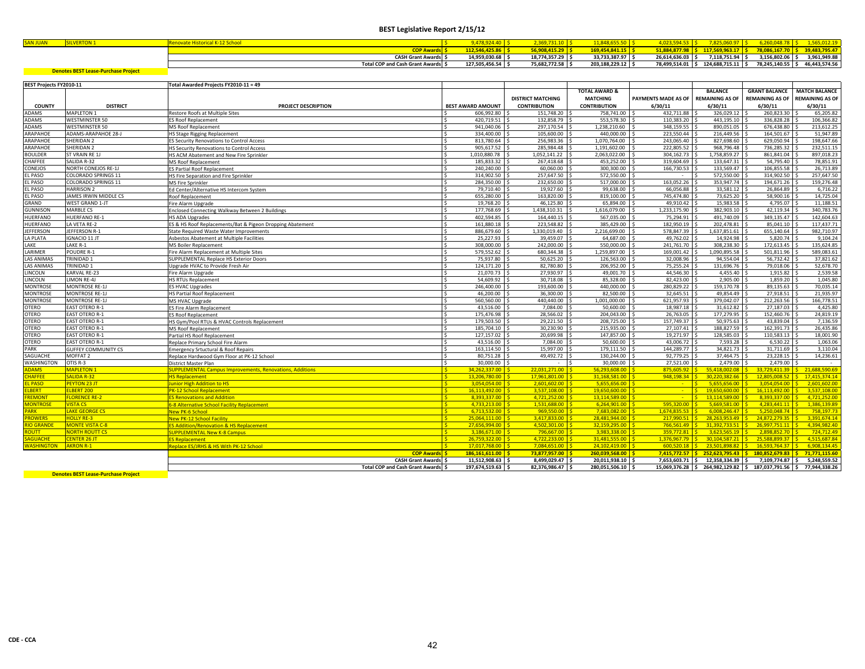| <b>CAMERIANE</b> |                                        |                |               |                   |               |                |               |               |
|------------------|----------------------------------------|----------------|---------------|-------------------|---------------|----------------|---------------|---------------|
|                  |                                        |                |               |                   |               |                |               |               |
|                  | <b>CASH Grant Awards</b><br>. .        | 14.959.030.68  | 18.774.357.29 | $33,733,387.97$ . | 26.614.636.03 | 7.118.751.94   | 3.156.802.06  | 3.961.949.88  |
|                  | <b>Total COP and Cash Grant Awards</b> | 127.505.456.54 | 75,682,772.58 | 203.188.229.12    | 78.499.514.01 | 124.688.715.11 | 78.245.140.55 | 46.443.574.56 |

| <b>BEST Projects FY2010-11</b> |                            | Total Awarded Projects FY2010-11 = 49                           |                          |                          |                          |                               |                                                    |                        |                        |
|--------------------------------|----------------------------|-----------------------------------------------------------------|--------------------------|--------------------------|--------------------------|-------------------------------|----------------------------------------------------|------------------------|------------------------|
|                                |                            |                                                                 |                          |                          | <b>TOTAL AWARD &amp;</b> |                               | <b>BALANCE</b>                                     | <b>GRANT BALANCE</b>   | <b>MATCH BALANCE</b>   |
|                                |                            |                                                                 |                          | <b>DISTRICT MATCHING</b> | <b>MATCHING</b>          | PAYMENTS MADE AS OF           | <b>REMAINING AS OF</b>                             | <b>REMAINING AS OF</b> | <b>REMAINING AS OF</b> |
| <b>COUNTY</b>                  | <b>DISTRICT</b>            | <b>PROJECT DESCRIPTION</b>                                      | <b>BEST AWARD AMOUNT</b> | <b>CONTRIBUTION</b>      | <b>CONTRIBUTION</b>      | 6/30/11                       | 6/30/11                                            | 6/30/11                | 6/30/11                |
| DAMS                           | <b>MAPLETON 1</b>          | Restore Roofs at Multiple Sites                                 | 606.992.80               | 151,748.20 \$            | 758.741.00               | 432.711.88 S                  | 326.029.12                                         | 260.823.30             | 65.205.82              |
| DAMS                           | <b>WESTMINSTER 50</b>      | ES Roof Replacement                                             | 420.719.51               | 132.858.79 \$            | 553.578.30               | 110.383.20                    | 443.195.10                                         | 336,828.28             | 106.366.82             |
| DAMS                           | <b>WESTMINSTER 50</b>      | <b>MS Roof Replacement</b>                                      | 941.040.06               | 297.170.54 S             | 1.238.210.60             | 348.159.55                    | 890.051.05                                         | 676.438.80             | 213,612.25             |
| ARAPAHOE                       | <b>ADAMS-ARAPAHOE 28-J</b> | <b>HS Stage Rigging Replacement</b>                             | 334.400.00               | 105,600,00 \$            | 440.000.00               | 223,550.44                    | 216,449.56                                         | 164,501.67             | 51.947.89              |
| ARAPAHOE                       | SHERIDAN <sub>2</sub>      | ES Security Renovations to Control Access                       | 813,780.64               | 256,983.36 \$            | 1,070,764.00             | 243,065.40                    | 827,698.60                                         | 629,050.94             | 198,647.66             |
| ARAPAHOE                       | SHERIDAN <sub>2</sub>      | <b>HS Security Renovations to Control Access</b>                | 905,617.52               | 285,984.48 \$            | 1,191,602.00             | 222,805.52                    | 968,796.48                                         | 736,285.32             | 232,511.15             |
| <b>SOULDER</b>                 | ST VRAIN RE 1J             | HS ACM Abatement and New Fire Sprinkler                         | 1.010.880.78             | 1.052.141.22 \$          | 2.063.022.00             | 304.162.73                    | 1.758.859.27 \$                                    | 861.841.04             | 897.018.23             |
| <b>HAFFEE</b>                  | SALIDA R-32                | <b>MS Roof Replacement</b>                                      | 185.833.32               | 267.418.68 \$            | 453.252.00               | 319,604.69                    | 133.647.31                                         | 54.795.40              | 78.851.91              |
| <b>ONEJOS</b>                  | <b>NORTH CONEJOS RE-1J</b> | ES Partial Roof Replacement                                     | 240.240.00               | 60.060.00 \$             | 300.300.00               | 166,730,53                    | 133.569.47                                         | 106.855.58             | 26,713.89              |
| L PASO                         | COLORADO SPRINGS 11        | HS Fire Separation and Fire Sprinkler                           | 314.902.50               | 257,647.50 \$            | 572,550.00               |                               | 572,550.00                                         | 314.902.50             | 257,647.50             |
| L PASO                         | <b>COLORADO SPRINGS 11</b> | <b>MS Fire Sprinkler</b>                                        | 284.350.00               | 232.650.00               | 517,000.00               | 163,052.26                    | 353,947.74                                         | 194.671.26             | 159,276.48             |
| PASO                           | <b>HARRISON 2</b>          | Ed Center/Alternative HS Intercom System                        | 79,710.40                | 19,927.60 \$             | 99,638.00                | 66,056.88                     | 33,581.12 \$                                       | 26,864.89              | 6,716.22               |
| L PASO                         | JAMES IRWIN MIDDLE CS      | Roof Replacement                                                | 655,280.00               | 163,820.00 \$            | 819,100.00               | 745,474.80                    | 73,625.20                                          | 58,900.16              | 14,725.04              |
| <b>GRAND</b>                   | <b>WEST GRAND 1-JT</b>     | Fire Alarm Upgrade                                              | 19.768.20                | 46.125.80                | 65.894.00                | 49.910.42                     | 15.983.58                                          | 4.795.07               | 11.188.51              |
| <b>SUNNISON</b>                | <b>MARBLE CS</b>           | Enclosed Connecting Walkway Between 2 Buildings                 | 177,768.69               | 1.438.310.31 \$          | 1,616,079.00             | 1,233,175.90                  | 382,903.10                                         | 42,119.34              | 340,783.76             |
| <b>IUERFANO</b>                | <b>HUERFANO RE-1</b>       | <b>HS ADA Upgrades</b>                                          | 402.594.85               | 164,440.15 \$            | 567,035.00               | 75,294.91                     | 491,740.09                                         | 349.135.47             | 142,604.63             |
| HUERFANO                       | LA VETA RE-2               | ES & HS Roof Replacements/Bat & Pigeon Dropping Abatement       | 161.880.18               | 223.548.82 S             | 385.429.00               | 182.950.19                    | 202,478.81                                         | 85.041.10              | 117,437.71             |
| EFFERSON                       | JEFFERSON R-1              | State Required Waste Water Improvements                         | 886,679.60               | 1,330,019.40 \$          | 2,216,699.00             | 578,847.39 \$                 | 1,637,851.61                                       | 655,140.64             | 982,710.97             |
| A PLATA                        | <b>IGNACIO 11 JT</b>       | Asbestos Abatement at Multiple Facilities                       | 25,227.93                | 39,459.07                | 64,687.00                | 49,762.02                     | 14,924.98                                          | 5,820.74               | 9,104.24               |
| AKE                            | LAKE R-1                   | <b>MS Boiler Replacement</b>                                    | 308,000,00               | 242,000.00 S             | 550,000,00               | 241.761.70                    | 308.238.30                                         | 172,613.45             | 135.624.85             |
| ARIMER                         | POUDRE R-1                 | Fire Alarm Replacement at Multiple Sites                        | 579.552.62               | 680.344.38 \$            | 1.259.897.00             | 169.001.42                    | 1,090,895.58                                       | 501,811.96             | 589.083.61             |
| AS ANIMAS                      | TRINIDAD 1                 | <b>SUPPLEMENTAL Replace HS Exterior Doors</b>                   | 75,937.80                | 50,625.20 \$             | 126,563.00               | 32.008.96                     | 94,554.04                                          | 56.732.42              | 37,821.62              |
| AS ANIMAS                      | TRINIDAD <sub>1</sub>      | Upgrade HVAC to Provide Fresh Air                               | 124,171.20               | 82,780.80 \$             | 206,952.00               | 75,255.24                     | 131,696.76                                         | 79,018.06              | 52,678.70              |
| <b>NCOLN</b>                   | <b>KARVAL RE-23</b>        | Fire Alarm Upgrade                                              | 21.070.73                | 27,930.97 \$             | 49.001.70                | 44.546.30                     | 4,455.40 \$                                        | 1,915.82               | 2,539.58               |
| <b>INCOLN</b>                  | LIMON RE-4J                | <b>HS RTUs Replacement</b>                                      | 54.609.92                | 30,718.08                | 85.328.00                | 82,423.00                     | 2.905.00                                           | 1,859.20               | 1,045.80               |
| <b><i>AONTROSE</i></b>         | <b>MONTROSE RE-1J</b>      | ES HVAC Upgrades                                                | 246,400.00               | 193,600,00 \$            | 440,000,00               | 280.829.22                    | 159,170,78                                         | 89.135.63              | 70.035.14              |
| <b>JONTROSE</b>                | <b>MONTROSE RE-1J</b>      | <b>HS Partial Roof Replacement</b>                              | 46.200.00                | 36,300.00                | 82,500.00                | 32.645.51                     | 49.854.49                                          | 27.918.51              | 21,935.97              |
| <b>MONTROSE</b>                | <b>MONTROSE RE-1J</b>      | <b>MS HVAC Upgrade</b>                                          | 560.560.00               | 440.440.00               | 1.001.000.00             | 621.957.93                    | 379.042.07                                         | 212.263.56             | 166,778.51             |
| TERO                           | <b>EAST OTERO R-1</b>      | ES Fire Alarm Replacement                                       | 43,516.00                | 7.084.00                 | 50.600.00                | 18.987.18                     | 31.612.82                                          | 27.187.03              | 4.425.80               |
| <b>DTERO</b>                   | <b>EAST OTERO R-1</b>      | <b>ES Roof Replacement</b>                                      | 175,476.98               | 28,566.02                | 204,043.00               | 26,763.05                     | 177,279.95                                         | 152,460.76             | 24,819.19              |
| <b>JTERO</b>                   | <b>EAST OTERO R-1</b>      | HS Gym/Pool RTUs & HVAC Controls Replacement                    | 179.503.50               | 29,221.50 \$             | 208,725.00               | 157,749.37 \$                 | 50,975.63                                          | 43.839.04              | 7,136.59               |
| <b>OTERO</b>                   | <b>EAST OTERO R-1</b>      | <b>MS Roof Replacement</b>                                      | 185,704.10               | 30,230.90 \$             | 215,935.00               | 27.107.41 S                   | 188.827.59                                         | 162,391.73             | 26,435.86              |
| <b>DTERO</b>                   | <b>EAST OTERO R-1</b>      | Partial HS Roof Replacement                                     | 127,157.02               | 20,699.98<br>I۹          | 147,857.00               | 19,271.97                     | 128,585.03                                         | 110.583.13             | 18,001.90              |
| <b>TERO</b>                    | <b>EAST OTERO R-1</b>      | Replace Primary School Fire Alarm                               | 43.516.00                | 7.084.00 \$              | 50,600.00                | 43.006.72                     | 7.593.28                                           | 6.530.22               | 1.063.06               |
| PARK                           | <b>GUFFEY COMMUNITY CS</b> | <b>Emergency Srtuctural &amp; Roof Repairs</b>                  | 163.114.50               | 15,997.00 \$             | 179,111.50               | 144.289.77                    | 34.821.73                                          | 31.711.69              | 3.110.04               |
| SAGUACHE                       | MOFFAT <sub>2</sub>        | Replace Hardwood Gym Floor at PK-12 School                      | 80.751.28                | 49.492.72                | 130.244.00               | 92.779.25                     | 37.464.75                                          | 23.228.15              | 14.236.61              |
| VASHINGTON                     | OTIS R-3                   | District Master Plan                                            | 30,000,00                | I S                      | 30,000.00                | 27.521.00 S                   | 2,479.00 \$                                        | 2.479.00               | $\sim$                 |
| <b>DAMS</b>                    | <b>MAPLETON 1</b>          | <b>SUPPLEMENTAL Campus Improvements, Renovations, Additions</b> | 34.262.337.00            | 22.031.271.00            | 56.293.608.00            | 875.605.92                    | 55.418.002.08                                      | 33.729.411.39          | 21.688.590.69          |
| <b>IAFFEE</b>                  | <b>SALIDA R-32</b>         | <b>HS Replacement</b>                                           | 13.206.780.00            | 17,961,801.00            | 31.168.581.00            | 948.198.34                    | 30.220.382.66                                      | 12,805,008.52          | 17.415.374.14          |
| PASO                           | <b>PEYTON 23 JT</b>        | <b>Junior High Addition to HS</b>                               | 3.054.054.00             | 2.601.602.00             | 5.655.656.00             | $\mathcal{L}_{\mathcal{A}}$ . | $5.655.656.00$ S                                   | 3.054.054.00           | 2.601.602.00           |
| <b>BERT</b>                    | <b>ELBERT 200</b>          | <b>PK-12 School Replacement</b>                                 | 16.113.492.00            | 3.537.108.00             | 19.650.600.00            | <b>SALE</b>                   | 19.650.600.00                                      | 16.113.492.00          | 3.537.108.00           |
| <b>REMONT</b>                  | <b>LORENCE RE-2</b>        | <b>ES Renovations and Addition</b>                              | 8.393.337.00             | 4.721.252.00             | 13.114.589.00            | $\sim$                        | 13.114.589.00                                      | 8.393.337.00           | 4.721.252.00           |
| <b>ONTROSE</b>                 | <b>VISTA CS</b>            | 6-8 Alternative School Facility Replacement                     | 4.733.213.00             | 1.531.688.00             | 6.264.901.00             | 595.320.00                    | $5.669.581.00$ S                                   | 4.283.441.11           | 1.386.139.89           |
| ARK                            | LAKE GEORGE CS             | New PK-6 School                                                 | 6.713.532.00             | 969.550.00               | 7.683.082.00             | 1.674.835.53                  | 6.008.246.47                                       | 5 250 048 74           | 758.197.73             |
| <b>OWERS</b>                   | <b>HOLLY RE-3</b>          | <b>New PK-12 School Facility</b>                                | 25.064.111.00            | $3,417,833.00$ \$        | 28,481,944.00            | 217.990.51                    | $28.263.953.49$ S<br>Is.                           | 24.872.279.35          | 3.391.674.14           |
| <b>O GRANDE</b>                | <b>MONTE VISTA C-8</b>     | <b>ES Addition/Renovation &amp; HS Replacement</b>              | 27.656.994.00            | 4.502.301.00   \$        | 32.159.295.00            | 766.561.49                    | $31.392.733.51$ S                                  | 26.997.751.11          | 4.394.982.40           |
| 70T                            | <b>NORTH ROUTT CS</b>      | <b>SUPPLEMENTAL New K-8 Campus</b>                              | 3.186.671.00             | $796.667.00$ S           | 3.983.338.00             | 359.772.81                    | $3.623.565.19$ \$                                  | 289885270              | 724.712.49             |
| <b>GUACHE</b>                  | CENTER 26 JT               | <b>ES Replacement</b>                                           | 26.759.322.00            | 4.722.233.00             | 31.481.555.00            | $1.376.967.79$ S              | $30.104.587.21$ S                                  | 25.588.899.37 S        | 4.515.687.84           |
| <b>ASHINGTON</b>               | <b>AKRON R-1</b>           | Replace ES/JRHS & HS With PK-12 School                          | 17,017,768.00            | 7,084,651.00             | 24.102.419.00            | 600.520.18                    | $23.501.898.82$ S                                  | 16.593.764.37          | 6.908.134.49           |
|                                |                            | <b>COP Awards</b>                                               | 186.161.611.00           | 73.877.957.00 S          | 260.039.568.00           | 7.415.772.57                  | $252.623.795.43$ S<br><b>IS</b>                    | 180.852.679.83         | 71.771.115.60          |
|                                |                            | <b>CASH Grant Awards</b>                                        | 11,512,908.63            | 8,499,029.47 \$          | 20,011,938.10 \$         | 7,653,603.71 \$               | 12,358,334.39 \$                                   | 7.109.774.87           | 5.248.559.52           |
|                                |                            | <b>Total COP and Cash Grant Awards S</b>                        | 197,674,519.63           | 82.376.986.47 \$         | 280,051,506.10 \$        |                               | 15,069,376.28 \$264,982,129.82 \$187,037,791.56 \$ |                        | 77.944.338.26          |
|                                |                            |                                                                 |                          |                          |                          |                               |                                                    |                        |                        |

**Denotes BEST Lease‐Purchase Project**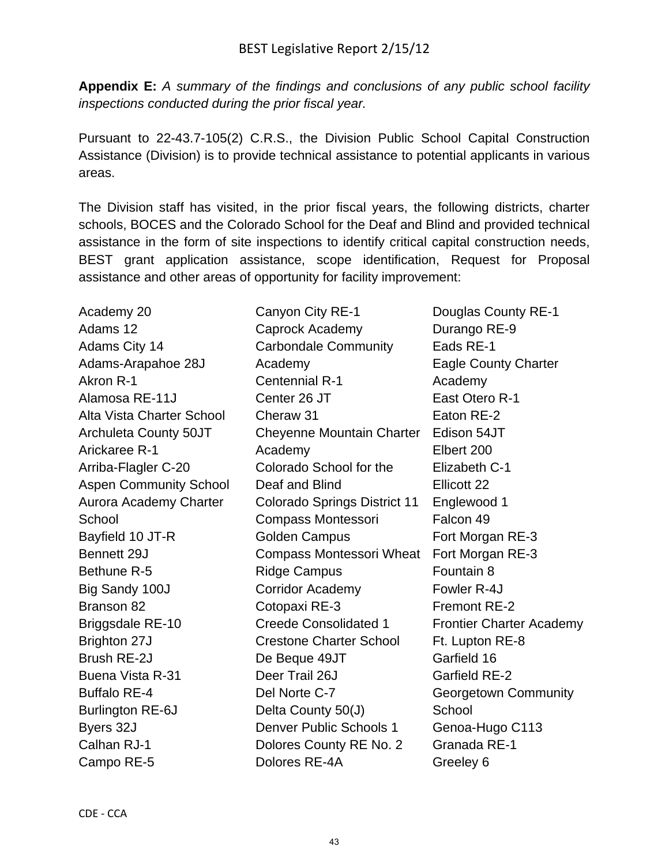**Appendix E:** *A summary of the findings and conclusions of any public school facility inspections conducted during the prior fiscal year.*

Pursuant to 22-43.7-105(2) C.R.S., the Division Public School Capital Construction Assistance (Division) is to provide technical assistance to potential applicants in various areas.

The Division staff has visited, in the prior fiscal years, the following districts, charter schools, BOCES and the Colorado School for the Deaf and Blind and provided technical assistance in the form of site inspections to identify critical capital construction needs, BEST grant application assistance, scope identification, Request for Proposal assistance and other areas of opportunity for facility improvement:

Academy 20 Adams 12 Adams City 14 Adams-Arapahoe 28J Akron R-1 Alamosa RE-11J Alta Vista Charter School Archuleta County 50JT Arickaree R-1 Arriba-Flagler C-20 Aspen Community School Aurora Academy Charter **School** Bayfield 10 JT-R Bennett 29J Bethune R-5 Big Sandy 100J Branson 82 Briggsdale RE-10 Brighton 27J Brush RE-2J Buena Vista R-31 Buffalo RE-4 Burlington RE-6J Byers 32J Calhan RJ-1 Campo RE-5

Canyon City RE-1 Caprock Academy Carbondale Community Academy Centennial R-1 Center 26 JT Cheraw 31 Cheyenne Mountain Charter Edison 54JT Academy Colorado School for the Deaf and Blind Colorado Springs District 11 Compass Montessori Golden Campus Compass Montessori Wheat Fort Morgan RE-3 Ridge Campus Corridor Academy Cotopaxi RE-3 Creede Consolidated 1 Crestone Charter School De Beque 49JT Deer Trail 26J Del Norte C-7 Delta County 50(J) Denver Public Schools 1 Dolores County RE No. 2 Dolores RE-4A

Douglas County RE-1 Durango RE-9 Eads RE-1 Eagle County Charter Academy East Otero R-1 Eaton RE-2 Elbert 200 Elizabeth C-1 Ellicott 22 Englewood 1 Falcon 49 Fort Morgan RE-3 Fountain 8 Fowler R-4J Fremont RE-2 Frontier Charter Academy Ft. Lupton RE-8 Garfield 16 Garfield RE-2 Georgetown Community **School** Genoa-Hugo C113 Granada RE-1 Greeley 6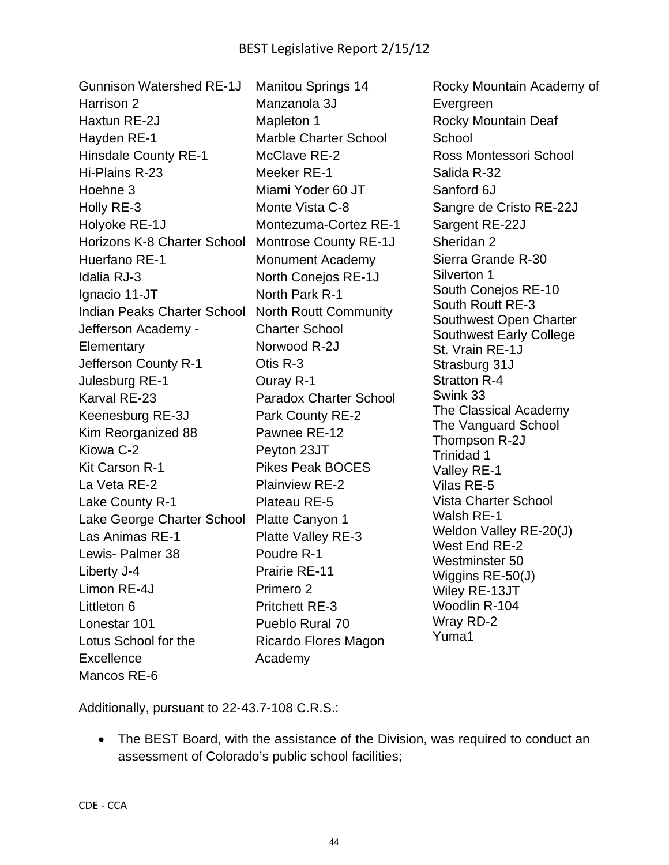| <b>Gunnison Watershed RE-1J</b> | <b>Manitou Springs 14</b>     | Rocky Mountain Academy of                                |
|---------------------------------|-------------------------------|----------------------------------------------------------|
| Harrison 2                      | Manzanola 3J                  | Evergreen                                                |
| Haxtun RE-2J                    | Mapleton 1                    | <b>Rocky Mountain Deaf</b>                               |
| Hayden RE-1                     | <b>Marble Charter School</b>  | School                                                   |
| <b>Hinsdale County RE-1</b>     | McClave RE-2                  | Ross Montessori School                                   |
| Hi-Plains R-23                  | Meeker RE-1                   | Salida R-32                                              |
| Hoehne 3                        | Miami Yoder 60 JT             | Sanford 6J                                               |
| Holly RE-3                      | Monte Vista C-8               | Sangre de Cristo RE-22J                                  |
| Holyoke RE-1J                   | Montezuma-Cortez RE-1         | Sargent RE-22J                                           |
| Horizons K-8 Charter School     | <b>Montrose County RE-1J</b>  | Sheridan 2                                               |
| Huerfano RE-1                   | <b>Monument Academy</b>       | Sierra Grande R-30                                       |
| Idalia RJ-3                     | North Conejos RE-1J           | Silverton 1                                              |
| Ignacio 11-JT                   | North Park R-1                | South Conejos RE-10                                      |
| Indian Peaks Charter School     | <b>North Routt Community</b>  | South Routt RE-3                                         |
| Jefferson Academy -             | <b>Charter School</b>         | Southwest Open Charter<br><b>Southwest Early College</b> |
| Elementary                      | Norwood R-2J                  | St. Vrain RE-1J                                          |
| Jefferson County R-1            | Otis R-3                      | Strasburg 31J                                            |
| Julesburg RE-1                  | Ouray R-1                     | <b>Stratton R-4</b>                                      |
| Karval RE-23                    | <b>Paradox Charter School</b> | Swink 33                                                 |
| Keenesburg RE-3J                | Park County RE-2              | The Classical Academy                                    |
| Kim Reorganized 88              | Pawnee RE-12                  | The Vanguard School<br>Thompson R-2J                     |
| Kiowa C-2                       | Peyton 23JT                   | Trinidad 1                                               |
| Kit Carson R-1                  | <b>Pikes Peak BOCES</b>       | Valley RE-1                                              |
| La Veta RE-2                    | <b>Plainview RE-2</b>         | Vilas RE-5                                               |
| Lake County R-1                 | Plateau RE-5                  | <b>Vista Charter School</b>                              |
| Lake George Charter School      | Platte Canyon 1               | Walsh RE-1                                               |
| Las Animas RE-1                 | Platte Valley RE-3            | Weldon Valley RE-20(J)<br>West End RE-2                  |
| Lewis- Palmer 38                | Poudre R-1                    | Westminster 50                                           |
| Liberty J-4                     | <b>Prairie RE-11</b>          | Wiggins RE-50(J)                                         |
| Limon RE-4J                     | Primero <sub>2</sub>          | Wiley RE-13JT                                            |
| Littleton 6                     | <b>Pritchett RE-3</b>         | Woodlin R-104                                            |
| Lonestar 101                    | Pueblo Rural 70               | Wray RD-2                                                |
| Lotus School for the            | Ricardo Flores Magon          | Yuma1                                                    |
| Excellence                      | Academy                       |                                                          |
| Mancos RE-6                     |                               |                                                          |

Additionally, pursuant to 22-43.7-108 C.R.S.:

 The BEST Board, with the assistance of the Division, was required to conduct an assessment of Colorado's public school facilities;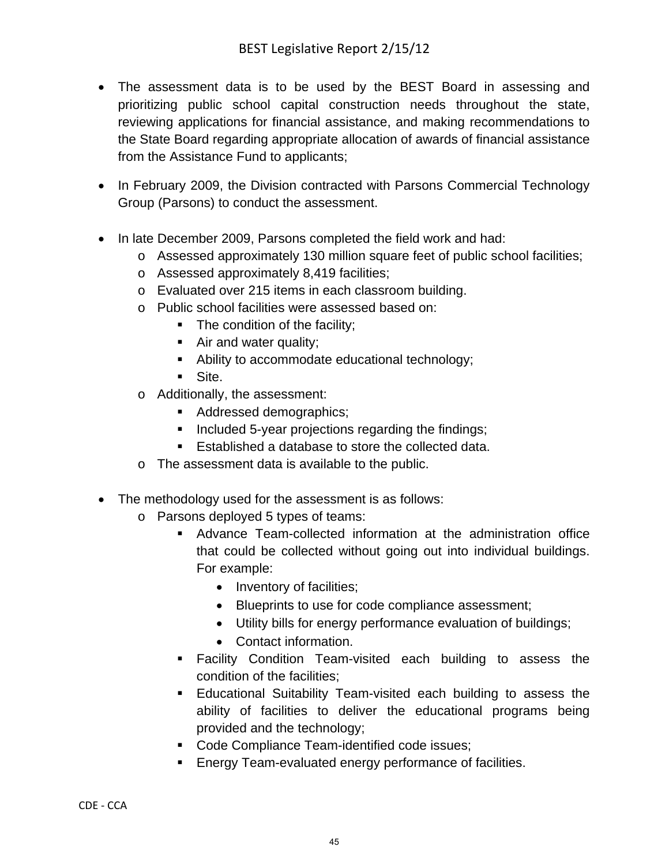- The assessment data is to be used by the BEST Board in assessing and prioritizing public school capital construction needs throughout the state, reviewing applications for financial assistance, and making recommendations to the State Board regarding appropriate allocation of awards of financial assistance from the Assistance Fund to applicants;
- In February 2009, the Division contracted with Parsons Commercial Technology Group (Parsons) to conduct the assessment.
- In late December 2009, Parsons completed the field work and had:
	- o Assessed approximately 130 million square feet of public school facilities;
	- o Assessed approximately 8,419 facilities;
	- o Evaluated over 215 items in each classroom building.
	- o Public school facilities were assessed based on:
		- The condition of the facility;
		- Air and water quality;
		- Ability to accommodate educational technology;
		- Site.
	- o Additionally, the assessment:
		- Addressed demographics;
		- Included 5-year projections regarding the findings;
		- Established a database to store the collected data.
	- o The assessment data is available to the public.
- The methodology used for the assessment is as follows:
	- o Parsons deployed 5 types of teams:
		- Advance Team-collected information at the administration office that could be collected without going out into individual buildings. For example:
			- Inventory of facilities;
			- Blueprints to use for code compliance assessment;
			- Utility bills for energy performance evaluation of buildings;
			- Contact information.
		- Facility Condition Team-visited each building to assess the condition of the facilities;
		- Educational Suitability Team-visited each building to assess the ability of facilities to deliver the educational programs being provided and the technology;
		- Code Compliance Team-identified code issues;
		- **Energy Team-evaluated energy performance of facilities.**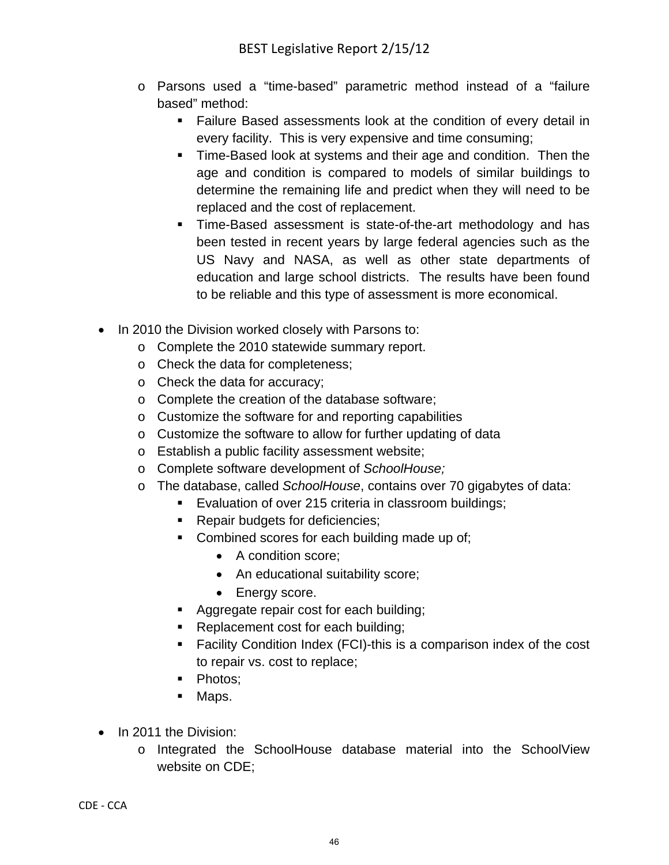- o Parsons used a "time-based" parametric method instead of a "failure based" method:
	- Failure Based assessments look at the condition of every detail in every facility. This is very expensive and time consuming;
	- Time-Based look at systems and their age and condition. Then the age and condition is compared to models of similar buildings to determine the remaining life and predict when they will need to be replaced and the cost of replacement.
	- **Time-Based assessment is state-of-the-art methodology and has** been tested in recent years by large federal agencies such as the US Navy and NASA, as well as other state departments of education and large school districts. The results have been found to be reliable and this type of assessment is more economical.
- In 2010 the Division worked closely with Parsons to:
	- o Complete the 2010 statewide summary report.
	- o Check the data for completeness;
	- o Check the data for accuracy;
	- o Complete the creation of the database software;
	- o Customize the software for and reporting capabilities
	- o Customize the software to allow for further updating of data
	- o Establish a public facility assessment website;
	- o Complete software development of *SchoolHouse;*
	- o The database, called *SchoolHouse*, contains over 70 gigabytes of data:
		- **Evaluation of over 215 criteria in classroom buildings;**
		- **Repair budgets for deficiencies;**
		- Combined scores for each building made up of;
			- A condition score:
			- An educational suitability score;
			- Energy score.
		- Aggregate repair cost for each building;
		- Replacement cost for each building;
		- Facility Condition Index (FCI)-this is a comparison index of the cost to repair vs. cost to replace;
		- Photos;
		- Maps.
- In 2011 the Division:
	- o Integrated the SchoolHouse database material into the SchoolView website on CDE;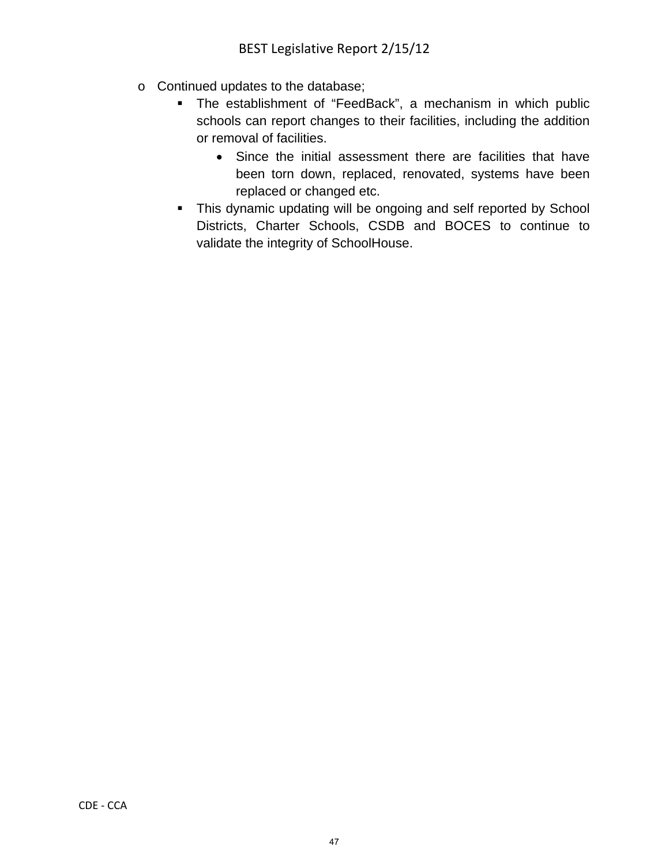- o Continued updates to the database;
	- The establishment of "FeedBack", a mechanism in which public schools can report changes to their facilities, including the addition or removal of facilities.
		- Since the initial assessment there are facilities that have been torn down, replaced, renovated, systems have been replaced or changed etc.
	- This dynamic updating will be ongoing and self reported by School Districts, Charter Schools, CSDB and BOCES to continue to validate the integrity of SchoolHouse.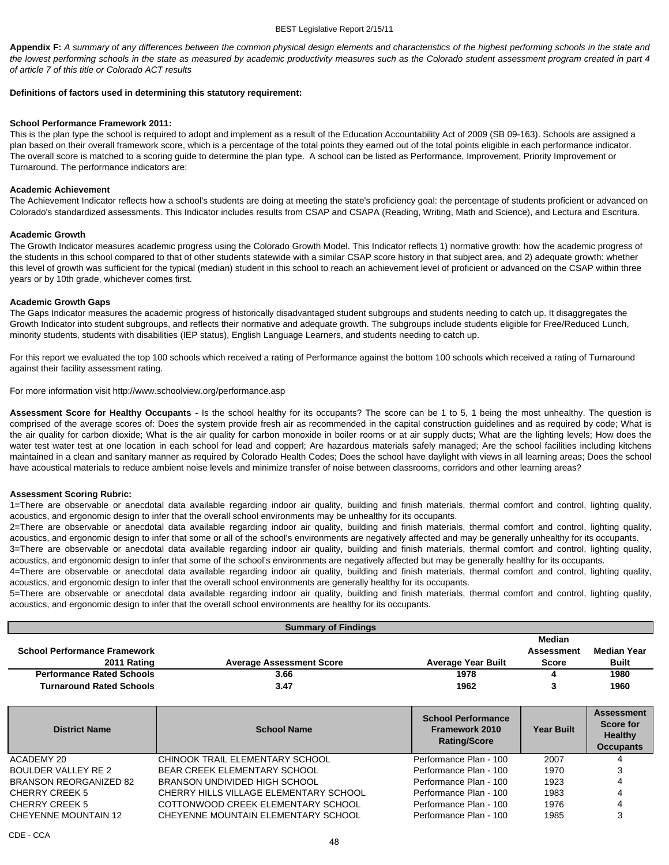**Appendix F:** *A summary of any differences between the common physical design elements and characteristics of the highest performing schools in the state and the lowest performing schools in the state as measured by academic productivity measures such as the Colorado student assessment program created in part 4 of article 7 of this title or Colorado ACT results*

#### **Definitions of factors used in determining this statutory requirement:**

#### **School Performance Framework 2011:**

This is the plan type the school is required to adopt and implement as a result of the Education Accountability Act of 2009 (SB 09-163). Schools are assigned a plan based on their overall framework score, which is a percentage of the total points they earned out of the total points eligible in each performance indicator. The overall score is matched to a scoring guide to determine the plan type. A school can be listed as Performance, Improvement, Priority Improvement or Turnaround. The performance indicators are:

#### **Academic Achievement**

The Achievement Indicator reflects how a school's students are doing at meeting the state's proficiency goal: the percentage of students proficient or advanced on Colorado's standardized assessments. This Indicator includes results from CSAP and CSAPA (Reading, Writing, Math and Science), and Lectura and Escritura.

#### **Academic Growth**

The Growth Indicator measures academic progress using the Colorado Growth Model. This Indicator reflects 1) normative growth: how the academic progress of the students in this school compared to that of other students statewide with a similar CSAP score history in that subject area, and 2) adequate growth: whether this level of growth was sufficient for the typical (median) student in this school to reach an achievement level of proficient or advanced on the CSAP within three years or by 10th grade, whichever comes first.

#### **Academic Growth Gaps**

The Gaps Indicator measures the academic progress of historically disadvantaged student subgroups and students needing to catch up. It disaggregates the Growth Indicator into student subgroups, and reflects their normative and adequate growth. The subgroups include students eligible for Free/Reduced Lunch, minority students, students with disabilities (IEP status), English Language Learners, and students needing to catch up.

For this report we evaluated the top 100 schools which received a rating of Performance against the bottom 100 schools which received a rating of Turnaround against their facility assessment rating.

For more information visit http://www.schoolview.org/performance.asp

**Assessment Score for Healthy Occupants -** Is the school healthy for its occupants? The score can be 1 to 5, 1 being the most unhealthy. The question is comprised of the average scores of: Does the system provide fresh air as recommended in the capital construction guidelines and as required by code; What is the air quality for carbon dioxide; What is the air quality for carbon monoxide in boiler rooms or at air supply ducts; What are the lighting levels; How does the water test water test at one location in each school for lead and copperl; Are hazardous materials safely managed; Are the school facilities including kitchens maintained in a clean and sanitary manner as required by Colorado Health Codes; Does the school have daylight with views in all learning areas; Does the school have acoustical materials to reduce ambient noise levels and minimize transfer of noise between classrooms, corridors and other learning areas?

#### **Assessment Scoring Rubric:**

1=There are observable or anecdotal data available regarding indoor air quality, building and finish materials, thermal comfort and control, lighting quality, acoustics, and ergonomic design to infer that the overall school environments may be unhealthy for its occupants.

2=There are observable or anecdotal data available regarding indoor air quality, building and finish materials, thermal comfort and control, lighting quality, acoustics, and ergonomic design to infer that some or all of the school's environments are negatively affected and may be generally unhealthy for its occupants.

3=There are observable or anecdotal data available regarding indoor air quality, building and finish materials, thermal comfort and control, lighting quality, acoustics, and ergonomic design to infer that some of the school's environments are negatively affected but may be generally healthy for its occupants.

4=There are observable or anecdotal data available regarding indoor air quality, building and finish materials, thermal comfort and control, lighting quality, acoustics, and ergonomic design to infer that the overall school environments are generally healthy for its occupants.

5=There are observable or anecdotal data available regarding indoor air quality, building and finish materials, thermal comfort and control, lighting quality, acoustics, and ergonomic design to infer that the overall school environments are healthy for its occupants.

|                                     | <b>Summary of Findings</b>             |                                                                    |                   |                                                                      |
|-------------------------------------|----------------------------------------|--------------------------------------------------------------------|-------------------|----------------------------------------------------------------------|
|                                     |                                        |                                                                    | <b>Median</b>     |                                                                      |
| <b>School Performance Framework</b> |                                        |                                                                    | <b>Assessment</b> | <b>Median Year</b>                                                   |
| 2011 Rating                         | <b>Average Assessment Score</b>        | <b>Average Year Built</b>                                          | <b>Score</b>      | <b>Built</b>                                                         |
| <b>Performance Rated Schools</b>    | 3.66                                   | 1978                                                               | 4                 | 1980                                                                 |
| <b>Turnaround Rated Schools</b>     | 3.47                                   | 1962                                                               | 3                 | 1960                                                                 |
|                                     |                                        |                                                                    |                   |                                                                      |
| <b>District Name</b>                | <b>School Name</b>                     | <b>School Performance</b><br>Framework 2010<br><b>Rating/Score</b> | <b>Year Built</b> | <b>Assessment</b><br>Score for<br><b>Healthy</b><br><b>Occupants</b> |
| ACADEMY 20                          | CHINOOK TRAIL ELEMENTARY SCHOOL        | Performance Plan - 100                                             | 2007              |                                                                      |
| <b>BOULDER VALLEY RE 2</b>          | BEAR CREEK ELEMENTARY SCHOOL           | Performance Plan - 100                                             | 1970              |                                                                      |
| <b>BRANSON REORGANIZED 82</b>       | BRANSON UNDIVIDED HIGH SCHOOL          | Performance Plan - 100                                             | 1923              |                                                                      |
| CHERRY CREEK 5                      | CHERRY HILLS VILLAGE ELEMENTARY SCHOOL | Performance Plan - 100                                             | 1983              |                                                                      |
| <b>CHERRY CREEK 5</b>               | COTTONWOOD CREEK ELEMENTARY SCHOOL     | Performance Plan - 100                                             | 1976              |                                                                      |
| <b>CHEYENNE MOUNTAIN 12</b>         | CHEYENNE MOUNTAIN ELEMENTARY SCHOOL    | Performance Plan - 100                                             | 1985              | 3                                                                    |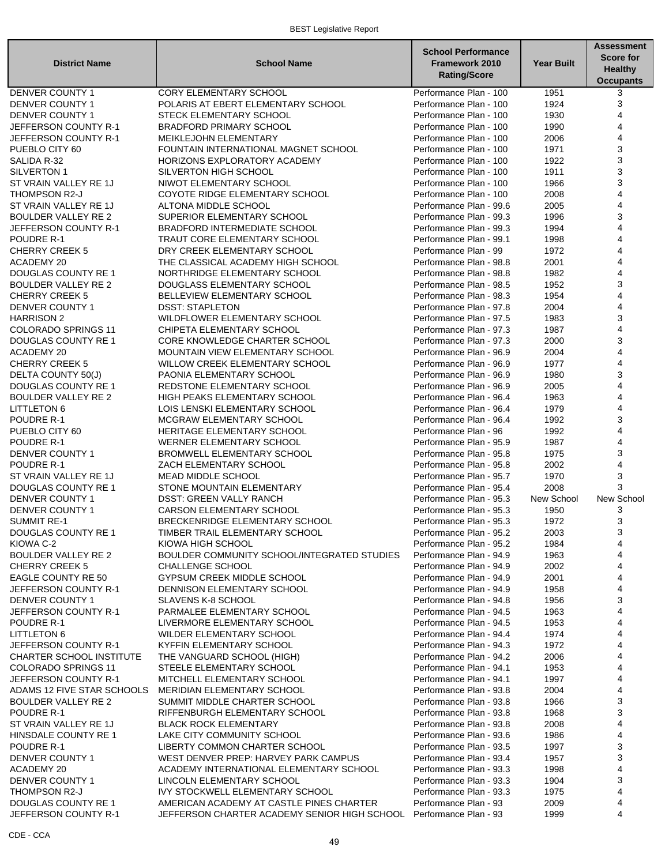#### BEST Legislative Report

| <b>District Name</b>                | <b>School Name</b>                                                 | <b>School Performance</b><br><b>Framework 2010</b><br><b>Rating/Score</b> | <b>Year Built</b> | <b>Assessment</b><br><b>Score for</b><br><b>Healthy</b><br><b>Occupants</b> |
|-------------------------------------|--------------------------------------------------------------------|---------------------------------------------------------------------------|-------------------|-----------------------------------------------------------------------------|
| <b>DENVER COUNTY 1</b>              | <b>CORY ELEMENTARY SCHOOL</b>                                      | Performance Plan - 100                                                    | 1951              | 3                                                                           |
| DENVER COUNTY 1                     | POLARIS AT EBERT ELEMENTARY SCHOOL                                 | Performance Plan - 100                                                    | 1924              | 3                                                                           |
| <b>DENVER COUNTY 1</b>              | <b>STECK ELEMENTARY SCHOOL</b>                                     | Performance Plan - 100                                                    | 1930              | 4                                                                           |
| JEFFERSON COUNTY R-1                | <b>BRADFORD PRIMARY SCHOOL</b>                                     | Performance Plan - 100                                                    | 1990              | 4                                                                           |
| JEFFERSON COUNTY R-1                | MEIKLEJOHN ELEMENTARY                                              | Performance Plan - 100                                                    | 2006              | 4                                                                           |
| PUEBLO CITY 60                      | FOUNTAIN INTERNATIONAL MAGNET SCHOOL                               | Performance Plan - 100                                                    | 1971              | 3                                                                           |
| SALIDA R-32                         | HORIZONS EXPLORATORY ACADEMY                                       | Performance Plan - 100                                                    | 1922              | 3                                                                           |
| SILVERTON 1                         | SILVERTON HIGH SCHOOL                                              | Performance Plan - 100                                                    | 1911              | 3                                                                           |
| ST VRAIN VALLEY RE 1J               | NIWOT ELEMENTARY SCHOOL                                            | Performance Plan - 100                                                    | 1966              | 3                                                                           |
| THOMPSON R2-J                       | COYOTE RIDGE ELEMENTARY SCHOOL                                     | Performance Plan - 100                                                    | 2008              | 4                                                                           |
| ST VRAIN VALLEY RE 1J               | ALTONA MIDDLE SCHOOL                                               | Performance Plan - 99.6                                                   | 2005              | 4                                                                           |
| <b>BOULDER VALLEY RE 2</b>          | SUPERIOR ELEMENTARY SCHOOL                                         | Performance Plan - 99.3                                                   | 1996              | 3<br>4                                                                      |
| JEFFERSON COUNTY R-1                | <b>BRADFORD INTERMEDIATE SCHOOL</b>                                | Performance Plan - 99.3                                                   | 1994              | 4                                                                           |
| POUDRE R-1<br><b>CHERRY CREEK 5</b> | TRAUT CORE ELEMENTARY SCHOOL                                       | Performance Plan - 99.1<br>Performance Plan - 99                          | 1998              | 4                                                                           |
|                                     | DRY CREEK ELEMENTARY SCHOOL                                        | Performance Plan - 98.8                                                   | 1972<br>2001      | 4                                                                           |
| ACADEMY 20<br>DOUGLAS COUNTY RE 1   | THE CLASSICAL ACADEMY HIGH SCHOOL<br>NORTHRIDGE ELEMENTARY SCHOOL  | Performance Plan - 98.8                                                   | 1982              | 4                                                                           |
| <b>BOULDER VALLEY RE 2</b>          | DOUGLASS ELEMENTARY SCHOOL                                         | Performance Plan - 98.5                                                   | 1952              | 3                                                                           |
| CHERRY CREEK 5                      | BELLEVIEW ELEMENTARY SCHOOL                                        | Performance Plan - 98.3                                                   | 1954              | 4                                                                           |
| <b>DENVER COUNTY 1</b>              | <b>DSST: STAPLETON</b>                                             | Performance Plan - 97.8                                                   | 2004              | 4                                                                           |
| <b>HARRISON 2</b>                   | WILDFLOWER ELEMENTARY SCHOOL                                       | Performance Plan - 97.5                                                   | 1983              | 3                                                                           |
| COLORADO SPRINGS 11                 | CHIPETA ELEMENTARY SCHOOL                                          | Performance Plan - 97.3                                                   | 1987              | 4                                                                           |
| DOUGLAS COUNTY RE 1                 | CORE KNOWLEDGE CHARTER SCHOOL                                      | Performance Plan - 97.3                                                   | 2000              | 3                                                                           |
| <b>ACADEMY 20</b>                   | <b>MOUNTAIN VIEW ELEMENTARY SCHOOL</b>                             | Performance Plan - 96.9                                                   | 2004              | 4                                                                           |
| <b>CHERRY CREEK 5</b>               | WILLOW CREEK ELEMENTARY SCHOOL                                     | Performance Plan - 96.9                                                   | 1977              | 4                                                                           |
| DELTA COUNTY 50(J)                  | PAONIA ELEMENTARY SCHOOL                                           | Performance Plan - 96.9                                                   | 1980              | 3                                                                           |
| <b>DOUGLAS COUNTY RE 1</b>          | REDSTONE ELEMENTARY SCHOOL                                         | Performance Plan - 96.9                                                   | 2005              | 4                                                                           |
| BOULDER VALLEY RE 2                 | <b>HIGH PEAKS ELEMENTARY SCHOOL</b>                                | Performance Plan - 96.4                                                   | 1963              | 4                                                                           |
| <b>LITTLETON 6</b>                  | LOIS LENSKI ELEMENTARY SCHOOL                                      | Performance Plan - 96.4                                                   | 1979              | 4                                                                           |
| POUDRE R-1                          | MCGRAW ELEMENTARY SCHOOL                                           | Performance Plan - 96.4                                                   | 1992              | 3                                                                           |
| PUEBLO CITY 60                      | HERITAGE ELEMENTARY SCHOOL                                         | Performance Plan - 96                                                     | 1992              | 4                                                                           |
| POUDRE R-1                          | <b>WERNER ELEMENTARY SCHOOL</b>                                    | Performance Plan - 95.9                                                   | 1987              | 4                                                                           |
| <b>DENVER COUNTY 1</b>              | <b>BROMWELL ELEMENTARY SCHOOL</b>                                  | Performance Plan - 95.8                                                   | 1975              | 3                                                                           |
| POUDRE R-1                          | ZACH ELEMENTARY SCHOOL                                             | Performance Plan - 95.8                                                   | 2002              | 4                                                                           |
| ST VRAIN VALLEY RE 1J               | <b>MEAD MIDDLE SCHOOL</b>                                          | Performance Plan - 95.7                                                   | 1970              | 3                                                                           |
| <b>DOUGLAS COUNTY RE 1</b>          | STONE MOUNTAIN ELEMENTARY                                          | Performance Plan - 95.4                                                   | 2008              | 3                                                                           |
| <b>DENVER COUNTY 1</b>              | <b>DSST: GREEN VALLY RANCH</b>                                     | Performance Plan - 95.3                                                   | New School        | New School                                                                  |
| DENVER COUNTY 1                     | <b>CARSON ELEMENTARY SCHOOL</b>                                    | Performance Plan - 95.3                                                   | 1950              | 3                                                                           |
| <b>SUMMIT RE-1</b>                  | BRECKENRIDGE ELEMENTARY SCHOOL                                     | Performance Plan - 95.3                                                   | 1972              | 3                                                                           |
| DOUGLAS COUNTY RE 1                 | TIMBER TRAIL ELEMENTARY SCHOOL                                     | Performance Plan - 95.2                                                   | 2003              | 3                                                                           |
| KIOWA C-2                           | KIOWA HIGH SCHOOL                                                  | Performance Plan - 95.2                                                   | 1984              | 4                                                                           |
| <b>BOULDER VALLEY RE 2</b>          | BOULDER COMMUNITY SCHOOL/INTEGRATED STUDIES                        | Performance Plan - 94.9                                                   | 1963              | 4                                                                           |
| <b>CHERRY CREEK 5</b>               | <b>CHALLENGE SCHOOL</b>                                            | Performance Plan - 94.9                                                   | 2002              | 4                                                                           |
| <b>EAGLE COUNTY RE 50</b>           | GYPSUM CREEK MIDDLE SCHOOL                                         | Performance Plan - 94.9                                                   | 2001              | 4                                                                           |
| JEFFERSON COUNTY R-1                | DENNISON ELEMENTARY SCHOOL                                         | Performance Plan - 94.9                                                   | 1958              | 4                                                                           |
| DENVER COUNTY 1                     | SLAVENS K-8 SCHOOL                                                 | Performance Plan - 94.8                                                   | 1956              | 3<br>4                                                                      |
| JEFFERSON COUNTY R-1<br>POUDRE R-1  | PARMALEE ELEMENTARY SCHOOL<br>LIVERMORE ELEMENTARY SCHOOL          | Performance Plan - 94.5<br>Performance Plan - 94.5                        | 1963<br>1953      | 4                                                                           |
| <b>LITTLETON 6</b>                  | WILDER ELEMENTARY SCHOOL                                           | Performance Plan - 94.4                                                   | 1974              | 4                                                                           |
| JEFFERSON COUNTY R-1                | KYFFIN ELEMENTARY SCHOOL                                           | Performance Plan - 94.3                                                   | 1972              | 4                                                                           |
| CHARTER SCHOOL INSTITUTE            | THE VANGUARD SCHOOL (HIGH)                                         | Performance Plan - 94.2                                                   | 2006              | 4                                                                           |
| <b>COLORADO SPRINGS 11</b>          | STEELE ELEMENTARY SCHOOL                                           | Performance Plan - 94.1                                                   | 1953              | 4                                                                           |
| JEFFERSON COUNTY R-1                | MITCHELL ELEMENTARY SCHOOL                                         | Performance Plan - 94.1                                                   | 1997              | 4                                                                           |
| ADAMS 12 FIVE STAR SCHOOLS          | MERIDIAN ELEMENTARY SCHOOL                                         | Performance Plan - 93.8                                                   | 2004              | 4                                                                           |
| BOULDER VALLEY RE 2                 | SUMMIT MIDDLE CHARTER SCHOOL                                       | Performance Plan - 93.8                                                   | 1966              | 3                                                                           |
| POUDRE R-1                          | RIFFENBURGH ELEMENTARY SCHOOL                                      | Performance Plan - 93.8                                                   | 1968              | 3                                                                           |
| ST VRAIN VALLEY RE 1J               | <b>BLACK ROCK ELEMENTARY</b>                                       | Performance Plan - 93.8                                                   | 2008              | 4                                                                           |
| HINSDALE COUNTY RE 1                | LAKE CITY COMMUNITY SCHOOL                                         | Performance Plan - 93.6                                                   | 1986              | 4                                                                           |
| POUDRE R-1                          | LIBERTY COMMON CHARTER SCHOOL                                      | Performance Plan - 93.5                                                   | 1997              | 3                                                                           |
| DENVER COUNTY 1                     | WEST DENVER PREP: HARVEY PARK CAMPUS                               | Performance Plan - 93.4                                                   | 1957              | 3                                                                           |
| ACADEMY 20                          | ACADEMY INTERNATIONAL ELEMENTARY SCHOOL                            | Performance Plan - 93.3                                                   | 1998              | 4                                                                           |
| DENVER COUNTY 1                     | LINCOLN ELEMENTARY SCHOOL                                          | Performance Plan - 93.3                                                   | 1904              | 3                                                                           |
| THOMPSON R2-J                       | <b>IVY STOCKWELL ELEMENTARY SCHOOL</b>                             | Performance Plan - 93.3                                                   | 1975              | 4                                                                           |
| <b>DOUGLAS COUNTY RE 1</b>          | AMERICAN ACADEMY AT CASTLE PINES CHARTER                           | Performance Plan - 93                                                     | 2009              | 4                                                                           |
| JEFFERSON COUNTY R-1                | JEFFERSON CHARTER ACADEMY SENIOR HIGH SCHOOL Performance Plan - 93 |                                                                           | 1999              | 4                                                                           |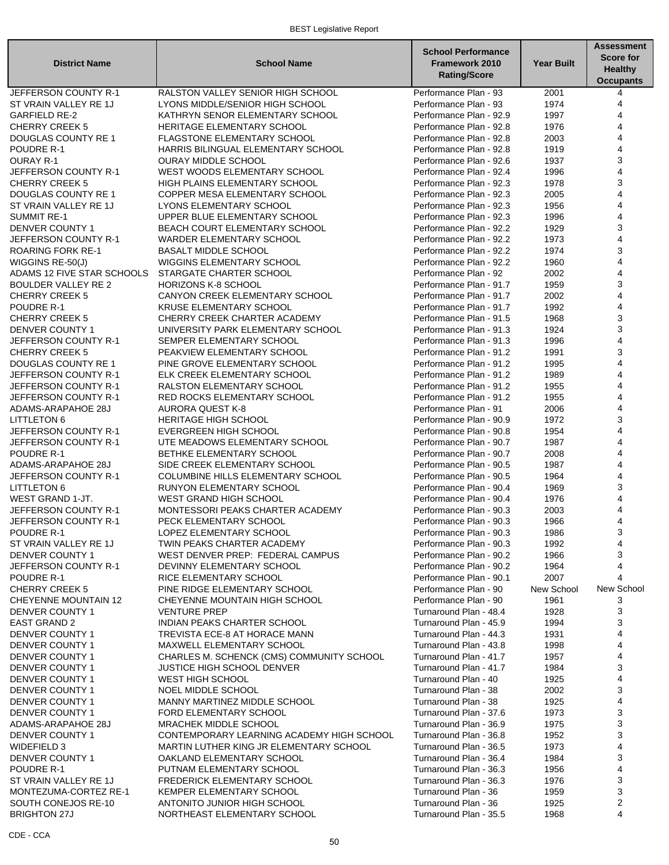#### BEST Legislative Report

| <b>District Name</b>                          | <b>School Name</b>                                                     | <b>School Performance</b><br><b>Framework 2010</b><br><b>Rating/Score</b> | <b>Year Built</b> | <b>Assessment</b><br><b>Score for</b><br><b>Healthy</b><br><b>Occupants</b> |
|-----------------------------------------------|------------------------------------------------------------------------|---------------------------------------------------------------------------|-------------------|-----------------------------------------------------------------------------|
| JEFFERSON COUNTY R-1                          | RALSTON VALLEY SENIOR HIGH SCHOOL                                      | Performance Plan - 93                                                     | 2001              | 4                                                                           |
| ST VRAIN VALLEY RE 1J                         | LYONS MIDDLE/SENIOR HIGH SCHOOL                                        | Performance Plan - 93                                                     | 1974              | 4                                                                           |
| <b>GARFIELD RE-2</b>                          | KATHRYN SENOR ELEMENTARY SCHOOL                                        | Performance Plan - 92.9                                                   | 1997              | 4                                                                           |
| <b>CHERRY CREEK 5</b>                         | HERITAGE ELEMENTARY SCHOOL                                             | Performance Plan - 92.8                                                   | 1976              | 4                                                                           |
| DOUGLAS COUNTY RE 1                           | <b>FLAGSTONE ELEMENTARY SCHOOL</b>                                     | Performance Plan - 92.8                                                   | 2003              | 4                                                                           |
| POUDRE R-1                                    | HARRIS BILINGUAL ELEMENTARY SCHOOL                                     | Performance Plan - 92.8                                                   | 1919              | 4                                                                           |
| <b>OURAY R-1</b>                              | <b>OURAY MIDDLE SCHOOL</b>                                             | Performance Plan - 92.6                                                   | 1937              | 3                                                                           |
| JEFFERSON COUNTY R-1<br><b>CHERRY CREEK 5</b> | WEST WOODS ELEMENTARY SCHOOL<br>HIGH PLAINS ELEMENTARY SCHOOL          | Performance Plan - 92.4                                                   | 1996<br>1978      | 4<br>3                                                                      |
| DOUGLAS COUNTY RE 1                           | COPPER MESA ELEMENTARY SCHOOL                                          | Performance Plan - 92.3<br>Performance Plan - 92.3                        | 2005              | 4                                                                           |
| ST VRAIN VALLEY RE 1J                         | LYONS ELEMENTARY SCHOOL                                                | Performance Plan - 92.3                                                   | 1956              | 4                                                                           |
| <b>SUMMIT RE-1</b>                            | UPPER BLUE ELEMENTARY SCHOOL                                           | Performance Plan - 92.3                                                   | 1996              | 4                                                                           |
| DENVER COUNTY 1                               | BEACH COURT ELEMENTARY SCHOOL                                          | Performance Plan - 92.2                                                   | 1929              | 3                                                                           |
| JEFFERSON COUNTY R-1                          | <b>WARDER ELEMENTARY SCHOOL</b>                                        | Performance Plan - 92.2                                                   | 1973              | 4                                                                           |
| <b>ROARING FORK RE-1</b>                      | <b>BASALT MIDDLE SCHOOL</b>                                            | Performance Plan - 92.2                                                   | 1974              | 3                                                                           |
| WIGGINS RE-50(J)                              | WIGGINS ELEMENTARY SCHOOL                                              | Performance Plan - 92.2                                                   | 1960              | 4                                                                           |
| ADAMS 12 FIVE STAR SCHOOLS                    | STARGATE CHARTER SCHOOL                                                | Performance Plan - 92                                                     | 2002              | 4                                                                           |
| <b>BOULDER VALLEY RE 2</b>                    | HORIZONS K-8 SCHOOL                                                    | Performance Plan - 91.7                                                   | 1959              | 3                                                                           |
| <b>CHERRY CREEK 5</b>                         | CANYON CREEK ELEMENTARY SCHOOL                                         | Performance Plan - 91.7                                                   | 2002              | 4                                                                           |
| POUDRE R-1                                    | KRUSE ELEMENTARY SCHOOL                                                | Performance Plan - 91.7                                                   | 1992              | 4                                                                           |
| <b>CHERRY CREEK 5</b>                         | CHERRY CREEK CHARTER ACADEMY                                           | Performance Plan - 91.5                                                   | 1968              | 3                                                                           |
| <b>DENVER COUNTY 1</b>                        | UNIVERSITY PARK ELEMENTARY SCHOOL                                      | Performance Plan - 91.3                                                   | 1924              | 3                                                                           |
| JEFFERSON COUNTY R-1                          | SEMPER ELEMENTARY SCHOOL                                               | Performance Plan - 91.3                                                   | 1996              | 4                                                                           |
| <b>CHERRY CREEK 5</b>                         | PEAKVIEW ELEMENTARY SCHOOL                                             | Performance Plan - 91.2                                                   | 1991              | 3                                                                           |
| <b>DOUGLAS COUNTY RE 1</b>                    | PINE GROVE ELEMENTARY SCHOOL                                           | Performance Plan - 91.2                                                   | 1995              | 4                                                                           |
| JEFFERSON COUNTY R-1                          | ELK CREEK ELEMENTARY SCHOOL                                            | Performance Plan - 91.2                                                   | 1989              | 4                                                                           |
| JEFFERSON COUNTY R-1                          | RALSTON ELEMENTARY SCHOOL                                              | Performance Plan - 91.2                                                   | 1955              | $\overline{\mathbf{4}}$                                                     |
| JEFFERSON COUNTY R-1                          | RED ROCKS ELEMENTARY SCHOOL                                            | Performance Plan - 91.2                                                   | 1955              | 4                                                                           |
| ADAMS-ARAPAHOE 28J                            | <b>AURORA QUEST K-8</b>                                                | Performance Plan - 91                                                     | 2006              | 4                                                                           |
| <b>LITTLETON 6</b>                            | <b>HERITAGE HIGH SCHOOL</b>                                            | Performance Plan - 90.9                                                   | 1972              | 3                                                                           |
| JEFFERSON COUNTY R-1<br>JEFFERSON COUNTY R-1  | EVERGREEN HIGH SCHOOL                                                  | Performance Plan - 90.8                                                   | 1954<br>1987      | 4                                                                           |
| POUDRE R-1                                    | UTE MEADOWS ELEMENTARY SCHOOL                                          | Performance Plan - 90.7                                                   |                   | 4                                                                           |
| ADAMS-ARAPAHOE 28J                            | BETHKE ELEMENTARY SCHOOL<br>SIDE CREEK ELEMENTARY SCHOOL               | Performance Plan - 90.7<br>Performance Plan - 90.5                        | 2008<br>1987      | $\overline{\mathbf{4}}$                                                     |
| JEFFERSON COUNTY R-1                          | COLUMBINE HILLS ELEMENTARY SCHOOL                                      | Performance Plan - 90.5                                                   | 1964              | 4                                                                           |
| <b>LITTLETON 6</b>                            | RUNYON ELEMENTARY SCHOOL                                               | Performance Plan - 90.4                                                   | 1969              | 3                                                                           |
| WEST GRAND 1-JT.                              | <b>WEST GRAND HIGH SCHOOL</b>                                          | Performance Plan - 90.4                                                   | 1976              | 4                                                                           |
| JEFFERSON COUNTY R-1                          | MONTESSORI PEAKS CHARTER ACADEMY                                       | Performance Plan - 90.3                                                   | 2003              | 4                                                                           |
| JEFFERSON COUNTY R-1                          | PECK ELEMENTARY SCHOOL                                                 | Performance Plan - 90.3                                                   | 1966              | 4                                                                           |
| POUDRE R-1                                    | LOPEZ ELEMENTARY SCHOOL                                                | Performance Plan - 90.3                                                   | 1986              | 3                                                                           |
| ST VRAIN VALLEY RE 1J                         | <b>TWIN PEAKS CHARTER ACADEMY</b>                                      | Performance Plan - 90.3                                                   | 1992              | 4                                                                           |
| DENVER COUNTY 1                               | WEST DENVER PREP: FEDERAL CAMPUS                                       | Performance Plan - 90.2                                                   | 1966              | 3                                                                           |
| JEFFERSON COUNTY R-1                          | DEVINNY ELEMENTARY SCHOOL                                              | Performance Plan - 90.2                                                   | 1964              | 4                                                                           |
| POUDRE R-1                                    | RICE ELEMENTARY SCHOOL                                                 | Performance Plan - 90.1                                                   | 2007              | 4                                                                           |
| <b>CHERRY CREEK 5</b>                         | PINE RIDGE ELEMENTARY SCHOOL                                           | Performance Plan - 90                                                     | New School        | New School                                                                  |
| <b>CHEYENNE MOUNTAIN 12</b>                   | CHEYENNE MOUNTAIN HIGH SCHOOL                                          | Performance Plan - 90                                                     | 1961              | 3                                                                           |
| DENVER COUNTY 1                               | <b>VENTURE PREP</b>                                                    | Turnaround Plan - 48.4                                                    | 1928              | 3                                                                           |
| <b>EAST GRAND 2</b>                           | INDIAN PEAKS CHARTER SCHOOL                                            | Turnaround Plan - 45.9                                                    | 1994              | 3                                                                           |
| <b>DENVER COUNTY 1</b>                        | TREVISTA ECE-8 AT HORACE MANN                                          | Turnaround Plan - 44.3                                                    | 1931              | 4                                                                           |
| <b>DENVER COUNTY 1</b><br>DENVER COUNTY 1     | MAXWELL ELEMENTARY SCHOOL<br>CHARLES M. SCHENCK (CMS) COMMUNITY SCHOOL | Turnaround Plan - 43.8<br>Turnaround Plan - 41.7                          | 1998<br>1957      | 4                                                                           |
| <b>DENVER COUNTY 1</b>                        | JUSTICE HIGH SCHOOL DENVER                                             | Turnaround Plan - 41.7                                                    | 1984              | 3                                                                           |
| DENVER COUNTY 1                               | <b>WEST HIGH SCHOOL</b>                                                | Turnaround Plan - 40                                                      | 1925              |                                                                             |
| DENVER COUNTY 1                               | NOEL MIDDLE SCHOOL                                                     | Turnaround Plan - 38                                                      | 2002              | 3                                                                           |
| <b>DENVER COUNTY 1</b>                        | MANNY MARTINEZ MIDDLE SCHOOL                                           | Turnaround Plan - 38                                                      | 1925              |                                                                             |
| <b>DENVER COUNTY 1</b>                        | FORD ELEMENTARY SCHOOL                                                 | Turnaround Plan - 37.6                                                    | 1973              | 3                                                                           |
| ADAMS-ARAPAHOE 28J                            | MRACHEK MIDDLE SCHOOL                                                  | Turnaround Plan - 36.9                                                    | 1975              | 3                                                                           |
| <b>DENVER COUNTY 1</b>                        | CONTEMPORARY LEARNING ACADEMY HIGH SCHOOL                              | Turnaround Plan - 36.8                                                    | 1952              | 3                                                                           |
| WIDEFIELD 3                                   | MARTIN LUTHER KING JR ELEMENTARY SCHOOL                                | Turnaround Plan - 36.5                                                    | 1973              |                                                                             |
| DENVER COUNTY 1                               | OAKLAND ELEMENTARY SCHOOL                                              | Turnaround Plan - 36.4                                                    | 1984              | 3                                                                           |
| POUDRE R-1                                    | PUTNAM ELEMENTARY SCHOOL                                               | Turnaround Plan - 36.3                                                    | 1956              | 4                                                                           |
| ST VRAIN VALLEY RE 1J                         | FREDERICK ELEMENTARY SCHOOL                                            | Turnaround Plan - 36.3                                                    | 1976              | 3                                                                           |
| MONTEZUMA-CORTEZ RE-1                         | KEMPER ELEMENTARY SCHOOL                                               | Turnaround Plan - 36                                                      | 1959              | 3                                                                           |
| SOUTH CONEJOS RE-10                           | ANTONITO JUNIOR HIGH SCHOOL                                            | Turnaround Plan - 36                                                      | 1925              | $\overline{c}$                                                              |
| <b>BRIGHTON 27J</b>                           | NORTHEAST ELEMENTARY SCHOOL                                            | Turnaround Plan - 35.5                                                    | 1968              | 4                                                                           |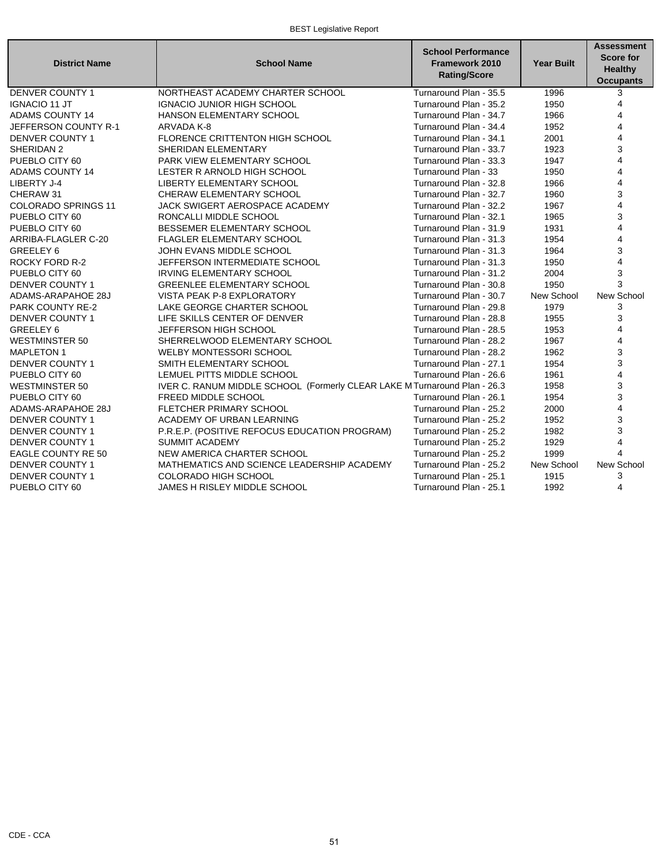#### BEST Legislative Report

| <b>District Name</b>       | <b>School Name</b>                                                       | <b>School Performance</b><br><b>Framework 2010</b><br><b>Rating/Score</b> | <b>Year Built</b> | <b>Assessment</b><br><b>Score for</b><br><b>Healthy</b><br><b>Occupants</b> |
|----------------------------|--------------------------------------------------------------------------|---------------------------------------------------------------------------|-------------------|-----------------------------------------------------------------------------|
| <b>DENVER COUNTY 1</b>     | NORTHEAST ACADEMY CHARTER SCHOOL                                         | Turnaround Plan - 35.5                                                    | 1996              | 3                                                                           |
| <b>IGNACIO 11 JT</b>       | <b>IGNACIO JUNIOR HIGH SCHOOL</b>                                        | Turnaround Plan - 35.2                                                    | 1950              | 4                                                                           |
| <b>ADAMS COUNTY 14</b>     | HANSON ELEMENTARY SCHOOL                                                 | Turnaround Plan - 34.7                                                    | 1966              | $\overline{\mathbf{4}}$                                                     |
| JEFFERSON COUNTY R-1       | ARVADA K-8                                                               | Turnaround Plan - 34.4                                                    | 1952              | 4                                                                           |
| <b>DENVER COUNTY 1</b>     | <b>FLORENCE CRITTENTON HIGH SCHOOL</b>                                   | Turnaround Plan - 34.1                                                    | 2001              | 4                                                                           |
| SHERIDAN 2                 | SHERIDAN ELEMENTARY                                                      | Turnaround Plan - 33.7                                                    | 1923              | 3                                                                           |
| PUEBLO CITY 60             | PARK VIEW ELEMENTARY SCHOOL                                              | Turnaround Plan - 33.3                                                    | 1947              | $\overline{\mathbf{4}}$                                                     |
| <b>ADAMS COUNTY 14</b>     | LESTER R ARNOLD HIGH SCHOOL                                              | Turnaround Plan - 33                                                      | 1950              | $\overline{4}$                                                              |
| LIBERTY J-4                | <b>LIBERTY ELEMENTARY SCHOOL</b>                                         | Turnaround Plan - 32.8                                                    | 1966              | $\overline{\mathbf{4}}$                                                     |
| CHERAW 31                  | CHERAW ELEMENTARY SCHOOL                                                 | Turnaround Plan - 32.7                                                    | 1960              | 3                                                                           |
| <b>COLORADO SPRINGS 11</b> | JACK SWIGERT AEROSPACE ACADEMY                                           | Turnaround Plan - 32.2                                                    | 1967              | $\overline{\mathbf{4}}$                                                     |
| PUEBLO CITY 60             | RONCALLI MIDDLE SCHOOL                                                   | Turnaround Plan - 32.1                                                    | 1965              | 3                                                                           |
| PUEBLO CITY 60             | BESSEMER ELEMENTARY SCHOOL                                               | Turnaround Plan - 31.9                                                    | 1931              | 4                                                                           |
| ARRIBA-FLAGLER C-20        | <b>FLAGLER ELEMENTARY SCHOOL</b>                                         | Turnaround Plan - 31.3                                                    | 1954              | $\overline{4}$                                                              |
| GREELEY 6                  | JOHN EVANS MIDDLE SCHOOL                                                 | Turnaround Plan - 31.3                                                    | 1964              | 3                                                                           |
| <b>ROCKY FORD R-2</b>      | JEFFERSON INTERMEDIATE SCHOOL                                            | Turnaround Plan - 31.3                                                    | 1950              | $\overline{\mathbf{4}}$                                                     |
| PUEBLO CITY 60             | <b>IRVING ELEMENTARY SCHOOL</b>                                          | Turnaround Plan - 31.2                                                    | 2004              | 3                                                                           |
| <b>DENVER COUNTY 1</b>     | <b>GREENLEE ELEMENTARY SCHOOL</b>                                        | Turnaround Plan - 30.8                                                    | 1950              | 3                                                                           |
| ADAMS-ARAPAHOE 28J         | VISTA PEAK P-8 EXPLORATORY                                               | Turnaround Plan - 30.7                                                    | New School        | New School                                                                  |
| PARK COUNTY RE-2           | LAKE GEORGE CHARTER SCHOOL                                               | Turnaround Plan - 29.8                                                    | 1979              | 3                                                                           |
| <b>DENVER COUNTY 1</b>     | LIFE SKILLS CENTER OF DENVER                                             | Turnaround Plan - 28.8                                                    | 1955              | 3                                                                           |
| GREELEY 6                  | JEFFERSON HIGH SCHOOL                                                    | Turnaround Plan - 28.5                                                    | 1953              | $\overline{4}$                                                              |
| <b>WESTMINSTER 50</b>      | SHERRELWOOD ELEMENTARY SCHOOL                                            | Turnaround Plan - 28.2                                                    | 1967              | $\overline{4}$                                                              |
| <b>MAPLETON 1</b>          | <b>WELBY MONTESSORI SCHOOL</b>                                           | Turnaround Plan - 28.2                                                    | 1962              | 3                                                                           |
| <b>DENVER COUNTY 1</b>     | SMITH ELEMENTARY SCHOOL                                                  | Turnaround Plan - 27.1                                                    | 1954              | 3                                                                           |
| PUEBLO CITY 60             | LEMUEL PITTS MIDDLE SCHOOL                                               | Turnaround Plan - 26.6                                                    | 1961              | $\overline{\mathbf{4}}$                                                     |
| <b>WESTMINSTER 50</b>      | IVER C. RANUM MIDDLE SCHOOL (Formerly CLEAR LAKE MTurnaround Plan - 26.3 |                                                                           | 1958              | 3                                                                           |
| PUEBLO CITY 60             | FREED MIDDLE SCHOOL                                                      | Turnaround Plan - 26.1                                                    | 1954              | 3                                                                           |
| ADAMS-ARAPAHOE 28J         | <b>FLETCHER PRIMARY SCHOOL</b>                                           | Turnaround Plan - 25.2                                                    | 2000              | 4                                                                           |
| <b>DENVER COUNTY 1</b>     | ACADEMY OF URBAN LEARNING                                                | Turnaround Plan - 25.2                                                    | 1952              | 3                                                                           |
| <b>DENVER COUNTY 1</b>     | P.R.E.P. (POSITIVE REFOCUS EDUCATION PROGRAM)                            | Turnaround Plan - 25.2                                                    | 1982              | 3                                                                           |
| <b>DENVER COUNTY 1</b>     | <b>SUMMIT ACADEMY</b>                                                    | Turnaround Plan - 25.2                                                    | 1929              | $\overline{\mathbf{4}}$                                                     |
| EAGLE COUNTY RE 50         | NEW AMERICA CHARTER SCHOOL                                               | Turnaround Plan - 25.2                                                    | 1999              | $\Delta$                                                                    |
| <b>DENVER COUNTY 1</b>     | MATHEMATICS AND SCIENCE LEADERSHIP ACADEMY                               | Turnaround Plan - 25.2                                                    | New School        | New School                                                                  |
| <b>DENVER COUNTY 1</b>     | <b>COLORADO HIGH SCHOOL</b>                                              | Turnaround Plan - 25.1                                                    | 1915              | 3                                                                           |
| PUEBLO CITY 60             | JAMES H RISLEY MIDDLE SCHOOL                                             | Turnaround Plan - 25.1                                                    | 1992              | $\overline{\mathbf{4}}$                                                     |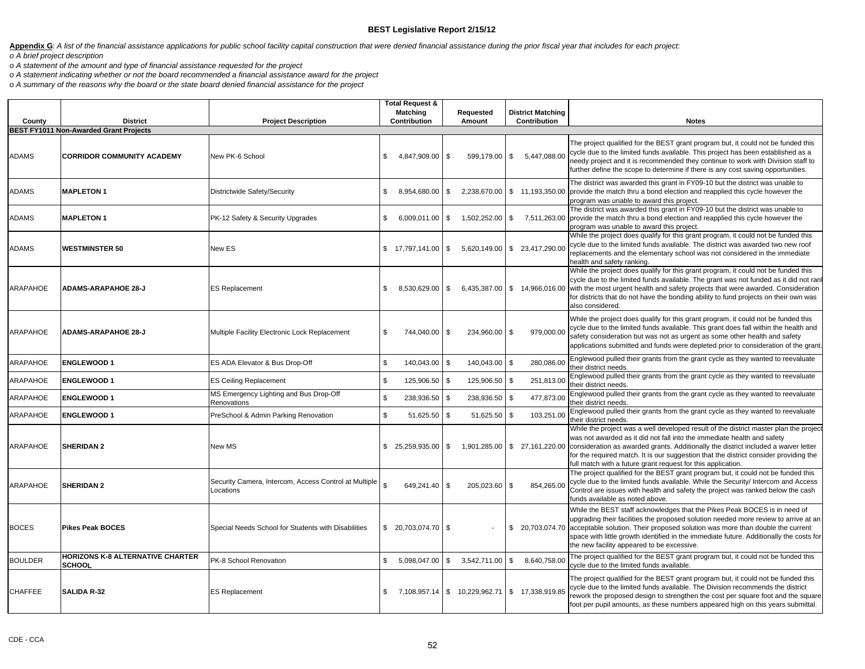Appendix G: A list of the financial assistance applications for public school facility capital construction that were denied financial assistance during the prior fiscal year that includes for each project: *o A brief project description*

*o A statement of the amount and type of financial assistance requested for the project*

*o A statement indicating whether or not the board recommended a financial assistance award for the project*

*o A summary of the reasons why the board or the state board denied financial assistance for the project*

| County          | <b>District</b>                                          | <b>Project Description</b>                                         | Total Request &<br>Matching<br>Contribution |                 |      | Requested<br>Amount          |          | <b>District Matching</b><br>Contribution | <b>Notes</b>                                                                                                                                                                                                                                                                                                                                                                                                                                      |
|-----------------|----------------------------------------------------------|--------------------------------------------------------------------|---------------------------------------------|-----------------|------|------------------------------|----------|------------------------------------------|---------------------------------------------------------------------------------------------------------------------------------------------------------------------------------------------------------------------------------------------------------------------------------------------------------------------------------------------------------------------------------------------------------------------------------------------------|
|                 | <b>BEST FY1011 Non-Awarded Grant Projects</b>            |                                                                    |                                             |                 |      |                              |          |                                          |                                                                                                                                                                                                                                                                                                                                                                                                                                                   |
| <b>ADAMS</b>    | <b>CORRIDOR COMMUNITY ACADEMY</b>                        | New PK-6 School                                                    | \$                                          | 4,847,909.00 \$ |      | 599,179.00                   | \$       | 5,447,088.00                             | The project qualified for the BEST grant program but, it could not be funded this<br>cycle due to the limited funds available. This project has been established as a<br>needy project and it is recommended they continue to work with Division staff to<br>further define the scope to determine if there is any cost saving opportunities.                                                                                                     |
| <b>ADAMS</b>    | <b>MAPLETON 1</b>                                        | Districtwide Safety/Security                                       | \$                                          | 8,954,680.00 \$ |      |                              |          | 2,238,670.00 \$ 11,193,350.00            | The district was awarded this grant in FY09-10 but the district was unable to<br>provide the match thru a bond election and reapplied this cycle however the<br>program was unable to award this project.                                                                                                                                                                                                                                         |
| ADAMS           | <b>MAPLETON1</b>                                         | PK-12 Safety & Security Upgrades                                   | \$                                          | 6,009,011.00 \$ |      | 1,502,252.00 \$              |          |                                          | The district was awarded this grant in FY09-10 but the district was unable to<br>7,511,263.00 provide the match thru a bond election and reapplied this cycle however the<br>program was unable to award this project.                                                                                                                                                                                                                            |
| ADAMS           | <b>WESTMINSTER 50</b>                                    | New ES                                                             | $$17,797,141.00$ \\$                        |                 |      |                              |          | 5,620,149.00 \$ 23,417,290.00            | While the project does qualify for this grant program, it could not be funded this<br>cycle due to the limited funds available. The district was awarded two new roof<br>replacements and the elementary school was not considered in the immediate<br>health and safety ranking.                                                                                                                                                                 |
| <b>ARAPAHOE</b> | <b>ADAMS-ARAPAHOE 28-J</b>                               | <b>ES Replacement</b>                                              | \$                                          | 8,530,629.00 \$ |      | 6,435,387.00                 |          |                                          | While the project does qualify for this grant program, it could not be funded this<br>cycle due to the limited funds available. The grant was not funded as it did not ran<br>\$14,966,016.00 with the most urgent health and safety projects that were awarded. Consideration<br>for districts that do not have the bonding ability to fund projects on their own was<br>also considered.                                                        |
| ARAPAHOE        | <b>ADAMS-ARAPAHOE 28-J</b>                               | Multiple Facility Electronic Lock Replacement                      | $\mathfrak{L}$                              | 744,040.00 \$   |      | 234,960.00                   | Ŝ.       | 979,000.00                               | While the project does qualify for this grant program, it could not be funded this<br>cycle due to the limited funds available. This grant does fall within the health and<br>safety consideration but was not as urgent as some other health and safety<br>applications submitted and funds were depleted prior to consideration of the grant                                                                                                    |
| ARAPAHOE        | <b>ENGLEWOOD 1</b>                                       | ES ADA Elevator & Bus Drop-Off                                     | \$                                          | 140,043.00 \$   |      | 140,043.00                   | \$       | 280,086.00                               | Englewood pulled their grants from the grant cycle as they wanted to reevaluate<br>their district needs.                                                                                                                                                                                                                                                                                                                                          |
| ARAPAHOE        | <b>ENGLEWOOD 1</b>                                       | <b>ES Ceiling Replacement</b>                                      | $\mathfrak{s}$                              | 125,906.50 \$   |      | 125,906.50                   | \$       | 251,813.00                               | Englewood pulled their grants from the grant cycle as they wanted to reevaluate<br>their district needs.                                                                                                                                                                                                                                                                                                                                          |
| ARAPAHOE        | <b>ENGLEWOOD 1</b>                                       | MS Emergency Lighting and Bus Drop-Off<br>Renovations              | \$                                          | 238,936.50 \$   |      | 238,936.50                   | Ŝ.       | 477,873.00                               | Englewood pulled their grants from the grant cycle as they wanted to reevaluate<br>their district needs.                                                                                                                                                                                                                                                                                                                                          |
| ARAPAHOE        | <b>ENGLEWOOD 1</b>                                       | PreSchool & Admin Parking Renovation                               | \$                                          | 51,625.50 \$    |      | 51,625.50                    | <b>S</b> | 103,251.00                               | Englewood pulled their grants from the grant cycle as they wanted to reevaluate<br>their district needs.                                                                                                                                                                                                                                                                                                                                          |
| <b>ARAPAHOE</b> | <b>SHERIDAN 2</b>                                        | New MS                                                             | $$25,259,935.00$ \\$                        |                 |      |                              |          |                                          | While the project was a well developed result of the district master plan the project<br>was not awarded as it did not fall into the immediate health and safety<br>1,901,285.00 \ \$27,161,220.00   consideration as awarded grants. Additionally the district included a waiver letter<br>for the required match. It is our suggestion that the district consider providing the<br>full match with a future grant request for this application. |
| ARAPAHOE        | <b>SHERIDAN 2</b>                                        | Security Camera, Intercom, Access Control at Multiple<br>Locations | \$                                          | 649,241.40 \$   |      | 205,023.60                   | \$       | 854,265.00                               | The project qualified for the BEST grant program but, it could not be funded this<br>cycle due to the limited funds available. While the Security/ Intercom and Access<br>Control are issues with health and safety the project was ranked below the cash<br>funds available as noted above.                                                                                                                                                      |
| <b>BOCES</b>    | <b>Pikes Peak BOCES</b>                                  | Special Needs School for Students with Disabilities                | $$20.703.074.70$ \ \ \$                     |                 |      |                              |          |                                          | While the BEST staff acknowledges that the Pikes Peak BOCES is in need of<br>upgrading their facilities the proposed solution needed more review to arrive at an<br>\$ 20,703,074.70 acceptable solution. Their proposed solution was more than double the current<br>space with little growth identified in the immediate future. Additionally the costs for<br>the new facility appeared to be excessive.                                       |
| <b>BOULDER</b>  | <b>HORIZONS K-8 ALTERNATIVE CHARTER</b><br><b>SCHOOL</b> | PK-8 School Renovation                                             | \$                                          |                 |      | 5,098,047.00 \$ 3,542,711.00 | \$       | 8,640,758.00                             | The project qualified for the BEST grant program but, it could not be funded this<br>cycle due to the limited funds available.                                                                                                                                                                                                                                                                                                                    |
| <b>CHAFFEE</b>  | <b>SALIDA R-32</b>                                       | <b>ES Replacement</b>                                              | \$                                          | 7,108,957.14    | l \$ | 10,229,962.71                |          | \$ 17,338,919.85                         | The project qualified for the BEST grant program but, it could not be funded this<br>cycle due to the limited funds available. The Division recommends the district<br>rework the proposed design to strengthen the cost per square foot and the square<br>foot per pupil amounts, as these numbers appeared high on this years submittal.                                                                                                        |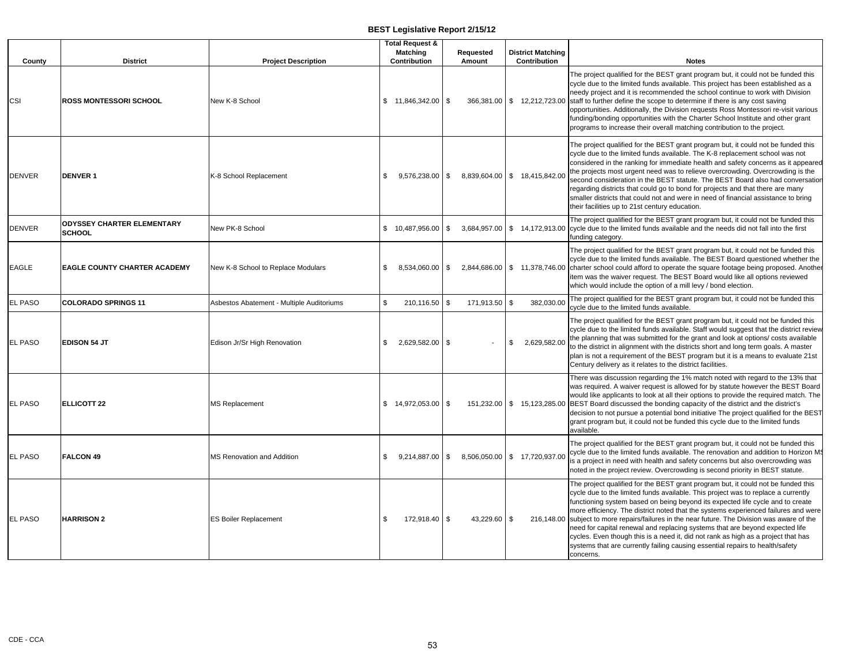| County         | <b>District</b>                                    | <b>Project Description</b>                |                | <b>Total Request &amp;</b><br><b>Matching</b><br>Contribution |    | Requested<br>Amount |    | <b>District Matching</b><br>Contribution | <b>Notes</b>                                                                                                                                                                                                                                                                                                                                                                                                                                                                                                                                                                                                                                                                                                       |
|----------------|----------------------------------------------------|-------------------------------------------|----------------|---------------------------------------------------------------|----|---------------------|----|------------------------------------------|--------------------------------------------------------------------------------------------------------------------------------------------------------------------------------------------------------------------------------------------------------------------------------------------------------------------------------------------------------------------------------------------------------------------------------------------------------------------------------------------------------------------------------------------------------------------------------------------------------------------------------------------------------------------------------------------------------------------|
| <b>CSI</b>     | <b>ROSS MONTESSORI SCHOOL</b>                      | New K-8 School                            |                | $$11,846,342.00$ \ \$                                         |    | 366,381.00          |    |                                          | The project qualified for the BEST grant program but, it could not be funded this<br>cycle due to the limited funds available. This project has been established as a<br>needy project and it is recommended the school continue to work with Division<br>\$12,212,723.00 staff to further define the scope to determine if there is any cost saving<br>opportunities. Additionally, the Division requests Ross Montessori re-visit various<br>funding/bonding opportunities with the Charter School Institute and other grant<br>programs to increase their overall matching contribution to the project.                                                                                                         |
| <b>DENVER</b>  | <b>DENVER 1</b>                                    | K-8 School Replacement                    | \$             | $9.576.238.00$ \$                                             |    |                     |    | 8,839,604.00 \$ 18,415,842.00            | The project qualified for the BEST grant program but, it could not be funded this<br>cycle due to the limited funds available. The K-8 replacement school was not<br>considered in the ranking for immediate health and safety concerns as it appeared<br>the projects most urgent need was to relieve overcrowding. Overcrowding is the<br>second consideration in the BEST statute. The BEST Board also had conversation<br>regarding districts that could go to bond for projects and that there are many<br>smaller districts that could not and were in need of financial assistance to bring<br>their facilities up to 21st century education.                                                               |
| <b>DENVER</b>  | <b>ODYSSEY CHARTER ELEMENTARY</b><br><b>SCHOOL</b> | New PK-8 School                           |                | $$10,487,956.00$ \\$                                          |    | 3,684,957.00        |    |                                          | The project qualified for the BEST grant program but, it could not be funded this<br>\$14,172,913.00 cycle due to the limited funds available and the needs did not fall into the first<br>funding category.                                                                                                                                                                                                                                                                                                                                                                                                                                                                                                       |
| <b>EAGLE</b>   | <b>EAGLE COUNTY CHARTER ACADEMY</b>                | New K-8 School to Replace Modulars        | \$             | 8,534,060.00 \$                                               |    |                     |    |                                          | The project qualified for the BEST grant program but, it could not be funded this<br>cycle due to the limited funds available. The BEST Board questioned whether the<br>2,844,686.00 \\$11,378,746.00 charter school could afford to operate the square footage being proposed. Another<br>item was the waiver request. The BEST Board would like all options reviewed<br>which would include the option of a mill levy / bond election.                                                                                                                                                                                                                                                                           |
| <b>EL PASO</b> | <b>COLORADO SPRINGS 11</b>                         | Asbestos Abatement - Multiple Auditoriums | $\mathfrak{L}$ | 210,116.50                                                    | \$ | 171,913.50          | \$ | 382,030.00                               | The project qualified for the BEST grant program but, it could not be funded this<br>cycle due to the limited funds available.                                                                                                                                                                                                                                                                                                                                                                                                                                                                                                                                                                                     |
| <b>EL PASO</b> | <b>EDISON 54 JT</b>                                | Edison Jr/Sr High Renovation              | \$             | 2,629,582.00 \$                                               |    |                     | S. | 2,629,582.00                             | The project qualified for the BEST grant program but, it could not be funded this<br>cycle due to the limited funds available. Staff would suggest that the district review<br>the planning that was submitted for the grant and look at options/ costs available<br>to the district in alignment with the districts short and long term goals. A master<br>plan is not a requirement of the BEST program but it is a means to evaluate 21st<br>Century delivery as it relates to the district facilities.                                                                                                                                                                                                         |
| <b>EL PASO</b> | <b>ELLICOTT 22</b>                                 | <b>MS Replacement</b>                     |                | \$14,972,053.00                                               | S. |                     |    |                                          | There was discussion regarding the 1% match noted with regard to the 13% that<br>was required. A waiver request is allowed for by statute however the BEST Board<br>would like applicants to look at all their options to provide the required match. The<br>151,232.00 \ \$15,123,285.00 BEST Board discussed the bonding capacity of the district and the district's<br>decision to not pursue a potential bond initiative The project qualified for the BEST<br>grant program but, it could not be funded this cycle due to the limited funds<br>available.                                                                                                                                                     |
| <b>EL PASO</b> | <b>FALCON 49</b>                                   | MS Renovation and Addition                | \$             | 9,214,887.00                                                  | \$ | 8,506,050.00        |    | \$17,720,937.00                          | The project qualified for the BEST grant program but, it could not be funded this<br>cycle due to the limited funds available. The renovation and addition to Horizon M\$<br>is a project in need with health and safety concerns but also overcrowding was<br>noted in the project review. Overcrowding is second priority in BEST statute.                                                                                                                                                                                                                                                                                                                                                                       |
| <b>EL PASO</b> | <b>HARRISON 2</b>                                  | <b>ES Boiler Replacement</b>              | \$.            | 172,918.40                                                    | S. | 43,229.60           | \$ |                                          | The project qualified for the BEST grant program but, it could not be funded this<br>cycle due to the limited funds available. This project was to replace a currently<br>functioning system based on being beyond its expected life cycle and to create<br>more efficiency. The district noted that the systems experienced failures and were<br>216,148.00 subject to more repairs/failures in the near future. The Division was aware of the<br>need for capital renewal and replacing systems that are beyond expected life<br>cycles. Even though this is a need it, did not rank as high as a project that has<br>systems that are currently failing causing essential repairs to health/safety<br>concerns. |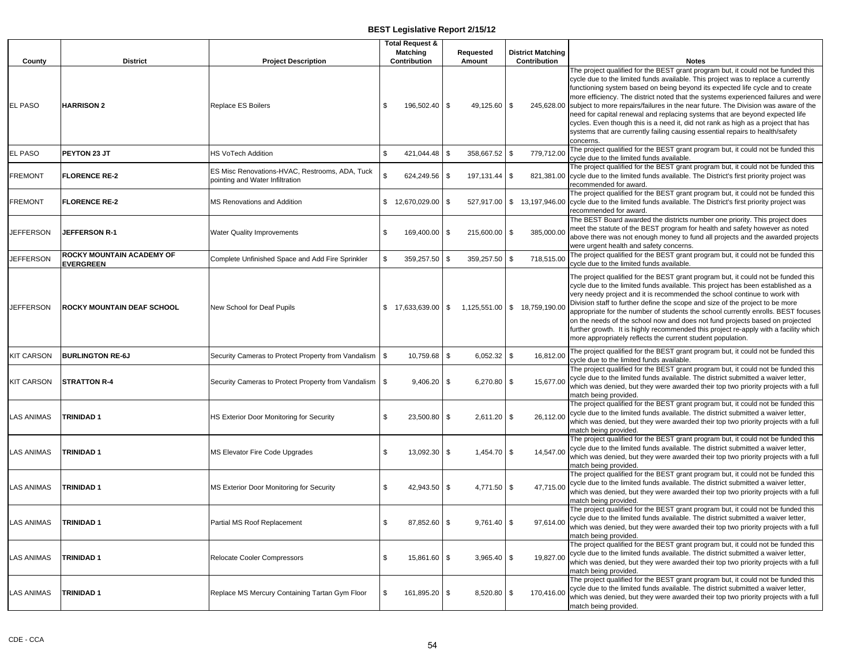| County            | <b>District</b>                               | <b>Project Description</b>                                                        | <b>Total Request &amp;</b><br><b>Matching</b><br>Contribution | Requested<br>Amount |               | <b>District Matching</b><br>Contribution | <b>Notes</b>                                                                                                                                                                                                                                                                                                                                                                                                                                                                                                                                                                                                                                                    |
|-------------------|-----------------------------------------------|-----------------------------------------------------------------------------------|---------------------------------------------------------------|---------------------|---------------|------------------------------------------|-----------------------------------------------------------------------------------------------------------------------------------------------------------------------------------------------------------------------------------------------------------------------------------------------------------------------------------------------------------------------------------------------------------------------------------------------------------------------------------------------------------------------------------------------------------------------------------------------------------------------------------------------------------------|
| <b>EL PASO</b>    | <b>HARRISON 2</b>                             | <b>Replace ES Boilers</b>                                                         | \$<br>196,502.40 \$                                           | 49,125.60           | \$            |                                          | The project qualified for the BEST grant program but, it could not be funded this<br>cycle due to the limited funds available. This project was to replace a currently<br>functioning system based on being beyond its expected life cycle and to create<br>more efficiency. The district noted that the systems experienced failures and were<br>245,628.00 subject to more repairs/failures in the near future. The Division was aware of the<br>need for capital renewal and replacing systems that are beyond expected life<br>cycles. Even though this is a need it, did not rank as high as a project that has                                            |
| EL PASO           | PEYTON 23 JT                                  | HS VoTech Addition                                                                | \$<br>421,044.48 \$                                           | 358,667.52          | \$            | 779,712.00                               | systems that are currently failing causing essential repairs to health/safety<br>concerns.<br>The project qualified for the BEST grant program but, it could not be funded this                                                                                                                                                                                                                                                                                                                                                                                                                                                                                 |
| <b>FREMONT</b>    | <b>FLORENCE RE-2</b>                          | ES Misc Renovations-HVAC, Restrooms, ADA, Tuck<br>pointing and Water Infiltration | \$<br>624,249.56 \$                                           | 197,131.44          | \$            |                                          | cycle due to the limited funds available.<br>The project qualified for the BEST grant program but, it could not be funded this<br>821,381.00 cycle due to the limited funds available. The District's first priority project was<br>recommended for award.                                                                                                                                                                                                                                                                                                                                                                                                      |
| <b>FREMONT</b>    | <b>FLORENCE RE-2</b>                          | MS Renovations and Addition                                                       | \$12,670,029.00                                               | \$<br>527,917.00    |               |                                          | The project qualified for the BEST grant program but, it could not be funded this<br>\$13,197,946.00 cycle due to the limited funds available. The District's first priority project was<br>recommended for award.                                                                                                                                                                                                                                                                                                                                                                                                                                              |
| <b>JEFFERSON</b>  | <b>JEFFERSON R-1</b>                          | Water Quality Improvements                                                        | \$<br>169,400.00                                              | \$<br>215,600.00    | \$            | 385,000.00                               | The BEST Board awarded the districts number one priority. This project does<br>meet the statute of the BEST program for health and safety however as noted<br>above there was not enough money to fund all projects and the awarded projects<br>were urgent health and safety concerns.                                                                                                                                                                                                                                                                                                                                                                         |
| <b>JEFFERSON</b>  | ROCKY MOUNTAIN ACADEMY OF<br><b>EVERGREEN</b> | Complete Unfinished Space and Add Fire Sprinkler                                  | \$<br>359,257.50                                              | \$<br>359,257.50    | \$            | 718,515.00                               | The project qualified for the BEST grant program but, it could not be funded this<br>cycle due to the limited funds available.                                                                                                                                                                                                                                                                                                                                                                                                                                                                                                                                  |
| <b>JEFFERSON</b>  | ROCKY MOUNTAIN DEAF SCHOOL                    | New School for Deaf Pupils                                                        | $$17,633,639.00$ \ \ \$                                       | 1,125,551.00        |               | \$18,759,190.00                          | The project qualified for the BEST grant program but, it could not be funded this<br>cycle due to the limited funds available. This project has been established as a<br>very needy project and it is recommended the school continue to work with<br>Division staff to further define the scope and size of the project to be more<br>appropriate for the number of students the school currently enrolls. BEST focuses<br>on the needs of the school now and does not fund projects based on projected<br>further growth. It is highly recommended this project re-apply with a facility which<br>more appropriately reflects the current student population. |
| <b>KIT CARSON</b> | <b>BURLINGTON RE-6J</b>                       | Security Cameras to Protect Property from Vandalism                               | \$<br>10,759.68 \$                                            | 6,052.32            | $\sqrt[6]{3}$ | 16,812.00                                | The project qualified for the BEST grant program but, it could not be funded this<br>cycle due to the limited funds available.                                                                                                                                                                                                                                                                                                                                                                                                                                                                                                                                  |
| <b>KIT CARSON</b> | <b>STRATTON R-4</b>                           | Security Cameras to Protect Property from Vandalism                               | \$<br>9,406.20 \$                                             | 6,270.80            | \$            | 15,677.00                                | The project qualified for the BEST grant program but, it could not be funded this<br>cycle due to the limited funds available. The district submitted a waiver letter,<br>which was denied, but they were awarded their top two priority projects with a full<br>match being provided.                                                                                                                                                                                                                                                                                                                                                                          |
| <b>LAS ANIMAS</b> | <b>TRINIDAD1</b>                              | HS Exterior Door Monitoring for Security                                          | \$<br>23,500.80                                               | \$<br>2,611.20      | \$            | 26,112.00                                | The project qualified for the BEST grant program but, it could not be funded this<br>cycle due to the limited funds available. The district submitted a waiver letter,<br>which was denied, but they were awarded their top two priority projects with a full<br>match being provided.                                                                                                                                                                                                                                                                                                                                                                          |
| LAS ANIMAS        | TRINIDAD 1                                    | MS Elevator Fire Code Upgrades                                                    | \$<br>13,092.30                                               | \$<br>1,454.70      | \$            | 14,547.00                                | The project qualified for the BEST grant program but, it could not be funded this<br>cycle due to the limited funds available. The district submitted a waiver letter,<br>which was denied, but they were awarded their top two priority projects with a full<br>match being provided.                                                                                                                                                                                                                                                                                                                                                                          |
| <b>LAS ANIMAS</b> | <b>TRINIDAD1</b>                              | MS Exterior Door Monitoring for Security                                          | \$<br>42,943.50 \$                                            | 4,771.50            | \$            | 47,715.00                                | The project qualified for the BEST grant program but, it could not be funded this<br>cycle due to the limited funds available. The district submitted a waiver letter,<br>which was denied, but they were awarded their top two priority projects with a full<br>match being provided.                                                                                                                                                                                                                                                                                                                                                                          |
| <b>LAS ANIMAS</b> | <b>TRINIDAD1</b>                              | Partial MS Roof Replacement                                                       | \$<br>87,852.60 \$                                            | 9,761.40            | \$            | 97,614.00                                | The project qualified for the BEST grant program but, it could not be funded this<br>cycle due to the limited funds available. The district submitted a waiver letter,<br>which was denied, but they were awarded their top two priority projects with a full<br>match being provided.                                                                                                                                                                                                                                                                                                                                                                          |
| <b>LAS ANIMAS</b> | <b>TRINIDAD1</b>                              | Relocate Cooler Compressors                                                       | \$<br>15,861.60 \$                                            | 3,965.40            | \$            | 19,827.00                                | The project qualified for the BEST grant program but, it could not be funded this<br>cycle due to the limited funds available. The district submitted a waiver letter,<br>which was denied, but they were awarded their top two priority projects with a full<br>match being provided.                                                                                                                                                                                                                                                                                                                                                                          |
| <b>LAS ANIMAS</b> | <b>TRINIDAD1</b>                              | Replace MS Mercury Containing Tartan Gym Floor                                    | \$<br>161,895.20                                              | \$<br>8,520.80      | \$            | 170,416.00                               | The project qualified for the BEST grant program but, it could not be funded this<br>cycle due to the limited funds available. The district submitted a waiver letter,<br>which was denied, but they were awarded their top two priority projects with a full<br>match being provided.                                                                                                                                                                                                                                                                                                                                                                          |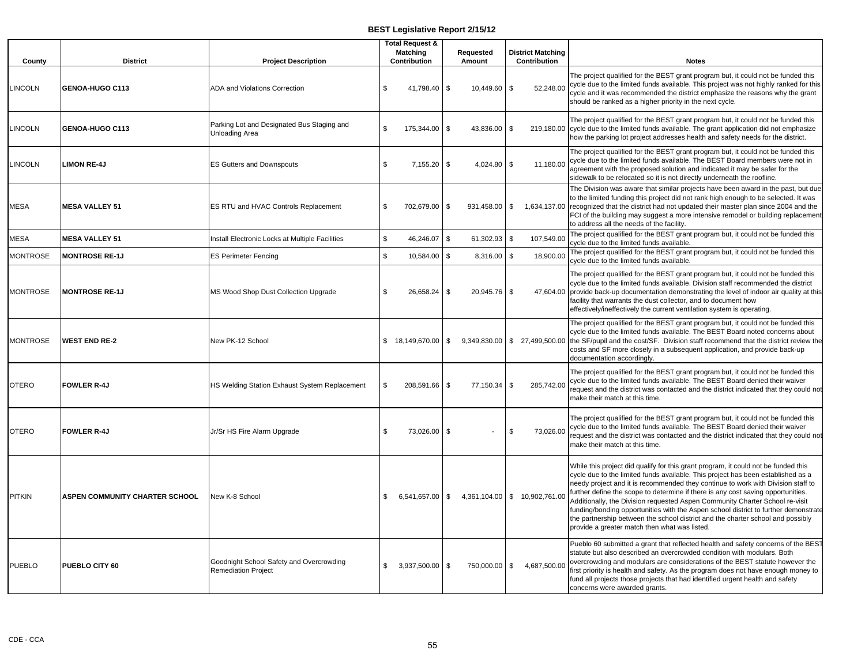| County          | <b>District</b>                       | <b>Project Description</b>                                             | <b>Total Request &amp;</b><br><b>Matching</b><br>Contribution | Requested<br>Amount       | <b>District Matching</b><br>Contribution     | <b>Notes</b>                                                                                                                                                                                                                                                                                                                                                                                                                                                                                                                                                                                                                                              |
|-----------------|---------------------------------------|------------------------------------------------------------------------|---------------------------------------------------------------|---------------------------|----------------------------------------------|-----------------------------------------------------------------------------------------------------------------------------------------------------------------------------------------------------------------------------------------------------------------------------------------------------------------------------------------------------------------------------------------------------------------------------------------------------------------------------------------------------------------------------------------------------------------------------------------------------------------------------------------------------------|
| <b>LINCOLN</b>  | GENOA-HUGO C113                       | <b>ADA and Violations Correction</b>                                   | \$<br>41,798.40                                               | \$<br>10,449.60           | \$<br>52,248.00                              | The project qualified for the BEST grant program but, it could not be funded this<br>cycle due to the limited funds available. This project was not highly ranked for this<br>cycle and it was recommended the district emphasize the reasons why the grant<br>should be ranked as a higher priority in the next cycle.                                                                                                                                                                                                                                                                                                                                   |
| <b>INCOLN</b>   | GENOA-HUGO C113                       | Parking Lot and Designated Bus Staging and<br><b>Unloading Area</b>    | $\mathfrak{L}$<br>175,344.00                                  | \$<br>43,836.00           | \$                                           | The project qualified for the BEST grant program but, it could not be funded this<br>219,180.00 cycle due to the limited funds available. The grant application did not emphasize<br>how the parking lot project addresses health and safety needs for the district.                                                                                                                                                                                                                                                                                                                                                                                      |
| <b>INCOLN</b>   | <b>LIMON RE-4J</b>                    | <b>ES Gutters and Downspouts</b>                                       | \$<br>7,155.20                                                | \$<br>4,024.80            | \$<br>11,180.00                              | The project qualified for the BEST grant program but, it could not be funded this<br>cycle due to the limited funds available. The BEST Board members were not in<br>agreement with the proposed solution and indicated it may be safer for the<br>sidewalk to be relocated so it is not directly underneath the roofline.                                                                                                                                                                                                                                                                                                                                |
| MESA            | <b>MESA VALLEY 51</b>                 | ES RTU and HVAC Controls Replacement                                   | \$<br>702,679.00                                              | \$<br>931,458.00          | $\sqrt{3}$<br>1,634,137.00                   | The Division was aware that similar projects have been award in the past, but due<br>to the limited funding this project did not rank high enough to be selected. It was<br>recognized that the district had not updated their master plan since 2004 and the<br>FCI of the building may suggest a more intensive remodel or building replacement<br>to address all the needs of the facility.                                                                                                                                                                                                                                                            |
| MESA            | <b>MESA VALLEY 51</b>                 | Install Electronic Locks at Multiple Facilities                        | \$<br>46,246.07                                               | $\mathbf{s}$<br>61,302.93 | \$<br>107,549.00                             | The project qualified for the BEST grant program but, it could not be funded this<br>cycle due to the limited funds available.                                                                                                                                                                                                                                                                                                                                                                                                                                                                                                                            |
| <b>MONTROSE</b> | <b>MONTROSE RE-1J</b>                 | <b>ES Perimeter Fencing</b>                                            | \$<br>10,584.00                                               | \$<br>8,316.00            | $\mathfrak s$<br>18,900.00                   | The project qualified for the BEST grant program but, it could not be funded this<br>cycle due to the limited funds available.                                                                                                                                                                                                                                                                                                                                                                                                                                                                                                                            |
| <b>MONTROSE</b> | <b>MONTROSE RE-1J</b>                 | MS Wood Shop Dust Collection Upgrade                                   | $\mathfrak{L}$<br>26,658.24                                   | \$<br>20,945.76           | \$                                           | The project qualified for the BEST grant program but, it could not be funded this<br>cycle due to the limited funds available. Division staff recommended the district<br>47,604.00 provide back-up documentation demonstrating the level of indoor air quality at this<br>facility that warrants the dust collector, and to document how<br>effectively/ineffectively the current ventilation system is operating.                                                                                                                                                                                                                                       |
| <b>MONTROSE</b> | <b>WEST END RE-2</b>                  | New PK-12 School                                                       | \$ 18,149,670.00                                              | \$<br>9,349,830.00        |                                              | The project qualified for the BEST grant program but, it could not be funded this<br>cycle due to the limited funds available. The BEST Board noted concerns about<br>\$ 27,499,500.00 the SF/pupil and the cost/SF. Division staff recommend that the district review the<br>costs and SF more closely in a subsequent application, and provide back-up<br>documentation accordingly.                                                                                                                                                                                                                                                                    |
| <b>OTERO</b>    | <b>FOWLER R-4J</b>                    | HS Welding Station Exhaust System Replacement                          | \$<br>208,591.66                                              | \$<br>77,150.34           | \$<br>285.742.00                             | The project qualified for the BEST grant program but, it could not be funded this<br>cycle due to the limited funds available. The BEST Board denied their waiver<br>request and the district was contacted and the district indicated that they could not<br>make their match at this time.                                                                                                                                                                                                                                                                                                                                                              |
| <b>OTERO</b>    | <b>FOWLER R-4J</b>                    | Jr/Sr HS Fire Alarm Upgrade                                            | \$<br>73,026.00                                               | \$                        | \$<br>73,026.00                              | The project qualified for the BEST grant program but, it could not be funded this<br>cycle due to the limited funds available. The BEST Board denied their waiver<br>request and the district was contacted and the district indicated that they could not<br>make their match at this time.                                                                                                                                                                                                                                                                                                                                                              |
| <b>PITKIN</b>   | <b>ASPEN COMMUNITY CHARTER SCHOOL</b> | New K-8 School                                                         | \$<br>6,541,657.00                                            |                           | $\frac{1}{2}$ 4,361,104.00 \ \ 10,902,761.00 | While this project did qualify for this grant program, it could not be funded this<br>cycle due to the limited funds available. This project has been established as a<br>needy project and it is recommended they continue to work with Division staff to<br>further define the scope to determine if there is any cost saving opportunities.<br>Additionally, the Division requested Aspen Community Charter School re-visit<br>funding/bonding opportunities with the Aspen school district to further demonstrate<br>the partnership between the school district and the charter school and possibly<br>provide a greater match then what was listed. |
| <b>PUEBLO</b>   | PUEBLO CITY 60                        | Goodnight School Safety and Overcrowding<br><b>Remediation Project</b> | \$<br>3,937,500.00 \$                                         | 750,000.00                | $\mathfrak{S}$<br>4,687,500.00               | Pueblo 60 submitted a grant that reflected health and safety concerns of the BEST<br>statute but also described an overcrowded condition with modulars. Both<br>overcrowding and modulars are considerations of the BEST statute however the<br>first priority is health and safety. As the program does not have enough money to<br>fund all projects those projects that had identified urgent health and safety<br>concerns were awarded grants.                                                                                                                                                                                                       |